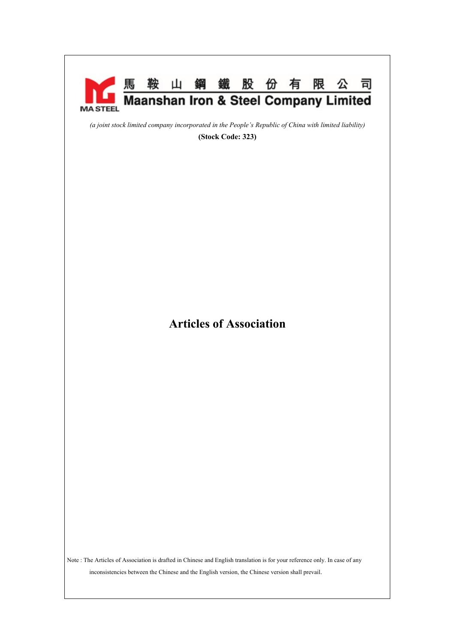

Note : The Articles of Association is drafted in Chinese and English translation is for your reference only. In case of any inconsistencies between the Chinese and the English version, the Chinese version shall prevail.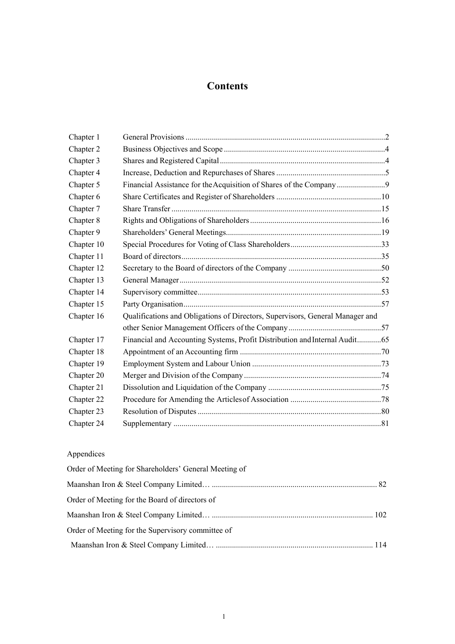# **Contents**

| Chapter 1  |                                                                               |  |  |
|------------|-------------------------------------------------------------------------------|--|--|
| Chapter 2  |                                                                               |  |  |
| Chapter 3  |                                                                               |  |  |
| Chapter 4  |                                                                               |  |  |
| Chapter 5  | Financial Assistance for the Acquisition of Shares of the Company             |  |  |
| Chapter 6  |                                                                               |  |  |
| Chapter 7  |                                                                               |  |  |
| Chapter 8  |                                                                               |  |  |
| Chapter 9  |                                                                               |  |  |
| Chapter 10 |                                                                               |  |  |
| Chapter 11 |                                                                               |  |  |
| Chapter 12 |                                                                               |  |  |
| Chapter 13 |                                                                               |  |  |
| Chapter 14 |                                                                               |  |  |
| Chapter 15 |                                                                               |  |  |
| Chapter 16 | Qualifications and Obligations of Directors, Supervisors, General Manager and |  |  |
|            |                                                                               |  |  |
| Chapter 17 | Financial and Accounting Systems, Profit Distribution and Internal Audit65    |  |  |
| Chapter 18 |                                                                               |  |  |
| Chapter 19 |                                                                               |  |  |
| Chapter 20 |                                                                               |  |  |
| Chapter 21 |                                                                               |  |  |
| Chapter 22 |                                                                               |  |  |
| Chapter 23 |                                                                               |  |  |
| Chapter 24 |                                                                               |  |  |

# Appendices

| Order of Meeting for Shareholders' General Meeting of |  |
|-------------------------------------------------------|--|
|                                                       |  |
| Order of Meeting for the Board of directors of        |  |
|                                                       |  |
| Order of Meeting for the Supervisory committee of     |  |
|                                                       |  |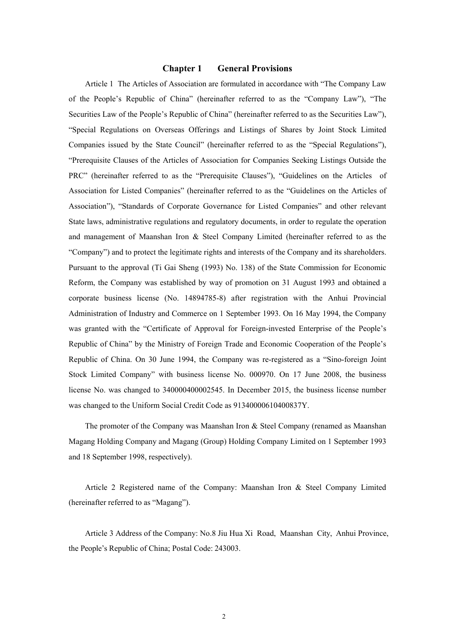# **Chapter 1 General Provisions**

Article 1 The Articles of Association are formulated in accordance with "The Company Law of the People's Republic of China" (hereinafter referred to as the "Company Law"), "The Securities Law of the People's Republic of China" (hereinafter referred to as the Securities Law"), "Special Regulations on Overseas Offerings and Listings of Shares by Joint Stock Limited Companies issued by the State Council" (hereinafter referred to as the "Special Regulations"), "Prerequisite Clauses of the Articles of Association for Companies Seeking Listings Outside the PRC" (hereinafter referred to as the "Prerequisite Clauses"), "Guidelines on the Articles of Association for Listed Companies" (hereinafter referred to as the "Guidelines on the Articles of Association"), "Standards of Corporate Governance for Listed Companies" and other relevant State laws, administrative regulations and regulatory documents, in order to regulate the operation and management of Maanshan Iron & Steel Company Limited (hereinafter referred to as the "Company") and to protect the legitimate rights and interests of the Company and its shareholders. Pursuant to the approval (Ti Gai Sheng (1993) No. 138) of the State Commission for Economic Reform, the Company was established by way of promotion on 31 August 1993 and obtained a corporate business license (No. 14894785-8) after registration with the Anhui Provincial Administration of Industry and Commerce on 1 September 1993. On 16 May 1994, the Company was granted with the "Certificate of Approval for Foreign-invested Enterprise of the People's Republic of China" by the Ministry of Foreign Trade and Economic Cooperation of the People's Republic of China. On 30 June 1994, the Company was re-registered as a "Sino-foreign Joint Stock Limited Company" with business license No. 000970. On 17 June 2008, the business license No. was changed to 340000400002545. In December 2015, the business license number was changed to the Uniform Social Credit Code as 91340000610400837Y.

The promoter of the Company was Maanshan Iron & Steel Company (renamed as Maanshan Magang Holding Company and Magang (Group) Holding Company Limited on 1 September 1993 and 18 September 1998, respectively).

Article 2 Registered name of the Company: Maanshan Iron & Steel Company Limited (hereinafter referred to as "Magang").

Article 3 Address of the Company: No.8 Jiu Hua Xi Road, Maanshan City, Anhui Province, the People's Republic of China; Postal Code: 243003.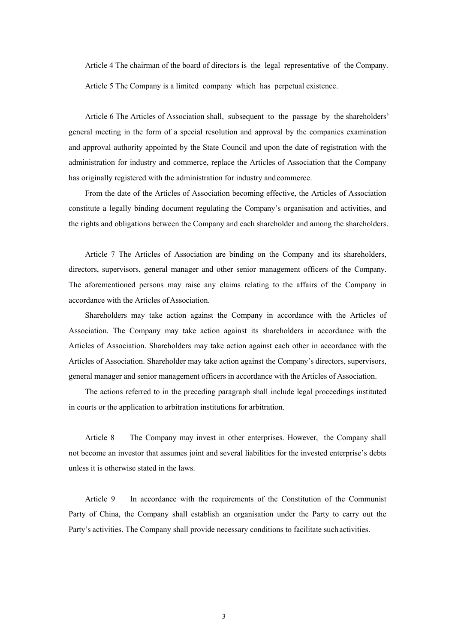Article 4 The chairman of the board of directors is the legal representative of the Company.

Article 5 The Company is a limited company which has perpetual existence.

Article 6 The Articles of Association shall, subsequent to the passage by the shareholders' general meeting in the form of a special resolution and approval by the companies examination and approval authority appointed by the State Council and upon the date of registration with the administration for industry and commerce, replace the Articles of Association that the Company has originally registered with the administration for industry and commerce.

From the date of the Articles of Association becoming effective, the Articles of Association constitute a legally binding document regulating the Company's organisation and activities, and the rights and obligations between the Company and each shareholder and among the shareholders.

Article 7 The Articles of Association are binding on the Company and its shareholders, directors, supervisors, general manager and other senior management officers of the Company. The aforementioned persons may raise any claims relating to the affairs of the Company in accordance with the Articles of Association.

Shareholders may take action against the Company in accordance with the Articles of Association. The Company may take action against its shareholders in accordance with the Articles of Association. Shareholders may take action against each other in accordance with the Articles of Association. Shareholder may take action against the Company's directors, supervisors, general manager and senior management officers in accordance with the Articles of Association.

The actions referred to in the preceding paragraph shall include legal proceedings instituted in courts or the application to arbitration institutions for arbitration.

Article 8 The Company may invest in other enterprises. However, the Company shall not become an investor that assumes joint and several liabilities for the invested enterprise's debts unless it is otherwise stated in the laws.

Article 9 In accordance with the requirements of the Constitution of the Communist Party of China, the Company shall establish an organisation under the Party to carry out the Party's activities. The Company shall provide necessary conditions to facilitate such activities.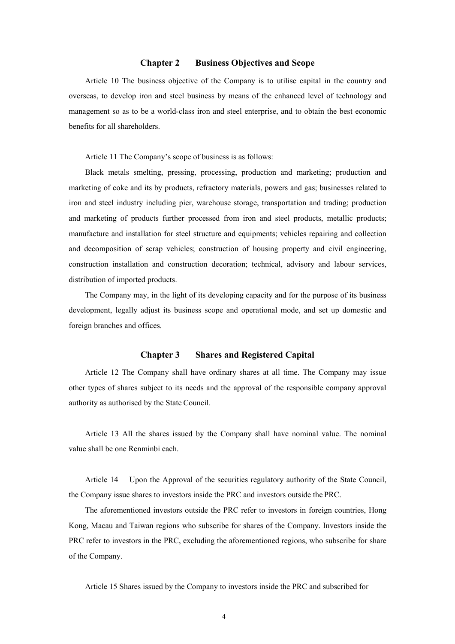# **Chapter 2 Business Objectives and Scope**

Article 10 The business objective of the Company is to utilise capital in the country and overseas, to develop iron and steel business by means of the enhanced level of technology and management so as to be a world-class iron and steel enterprise, and to obtain the best economic benefits for all shareholders.

Article 11 The Company's scope of business is as follows:

Black metals smelting, pressing, processing, production and marketing; production and marketing of coke and its by products, refractory materials, powers and gas; businesses related to iron and steel industry including pier, warehouse storage, transportation and trading; production and marketing of products further processed from iron and steel products, metallic products; manufacture and installation for steel structure and equipments; vehicles repairing and collection and decomposition of scrap vehicles; construction of housing property and civil engineering, construction installation and construction decoration; technical, advisory and labour services, distribution of imported products.

The Company may, in the light of its developing capacity and for the purpose of its business development, legally adjust its business scope and operational mode, and set up domestic and foreign branches and offices.

# **Chapter 3 Shares and Registered Capital**

Article 12 The Company shall have ordinary shares at all time. The Company may issue other types of shares subject to its needs and the approval of the responsible company approval authority as authorised by the State Council.

Article 13 All the shares issued by the Company shall have nominal value. The nominal value shall be one Renminbi each.

Article 14 Upon the Approval of the securities regulatory authority of the State Council, the Company issue shares to investors inside the PRC and investors outside the PRC.

The aforementioned investors outside the PRC refer to investors in foreign countries, Hong Kong, Macau and Taiwan regions who subscribe for shares of the Company. Investors inside the PRC refer to investors in the PRC, excluding the aforementioned regions, who subscribe for share of the Company.

Article 15 Shares issued by the Company to investors inside the PRC and subscribed for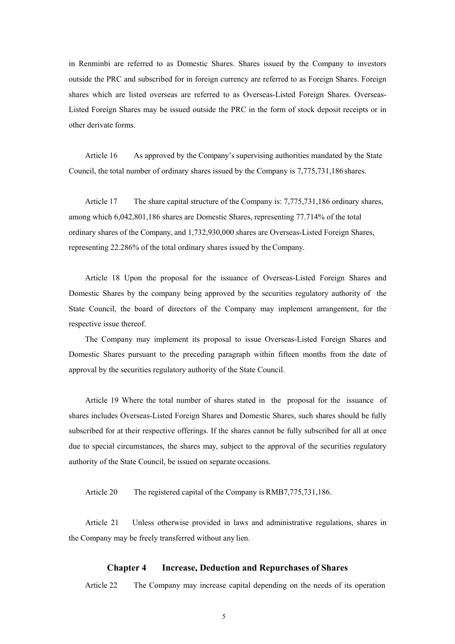in Renminbi are referred to as Domestic Shares. Shares issued by the Company to investors outside the PRC and subscribed for in foreign currency are referred to as Foreign Shares. Foreign shares which are listed overseas are referred to as Overseas-Listed Foreign Shares. Overseas-Listed Foreign Shares may be issued outside the PRC in the form of stock deposit receipts or in other derivate forms.

Article 16 As approved by the Company's supervising authorities mandated by the State Council, the total number of ordinary shares issued by the Company is 7,775,731,186 shares.

Article 17 The share capital structure of the Company is: 7,775,731,186 ordinary shares, among which 6,042,801,186 shares are Domestic Shares, representing 77.714% of the total ordinary shares of the Company, and 1,732,930,000 shares are Overseas-Listed Foreign Shares, representing 22.286% of the total ordinary shares issued by the Company.

Article 18 Upon the proposal for the issuance of Overseas-Listed Foreign Shares and Domestic Shares by the company being approved by the securities regulatory authority of the State Council, the board of directors of the Company may implement arrangement, for the respective issue thereof.

The Company may implement its proposal to issue Overseas-Listed Foreign Shares and Domestic Shares pursuant to the preceding paragraph within fifteen months from the date of approval by the securities regulatory authority of the State Council.

Article 19 Where the total number of shares stated in the proposal for the issuance of shares includes Overseas-Listed Foreign Shares and Domestic Shares, such shares should be fully subscribed for at their respective offerings. If the shares cannot be fully subscribed for all at once due to special circumstances, the shares may, subject to the approval of the securities regulatory authority of the State Council, be issued on separate occasions.

Article 20 The registered capital of the Company is RMB7,775,731,186.

Article 21 Unless otherwise provided in laws and administrative regulations, shares in the Company may be freely transferred without any lien.

#### **Chapter 4 Increase, Deduction and Repurchases of Shares**

Article 22 The Company may increase capital depending on the needs of its operation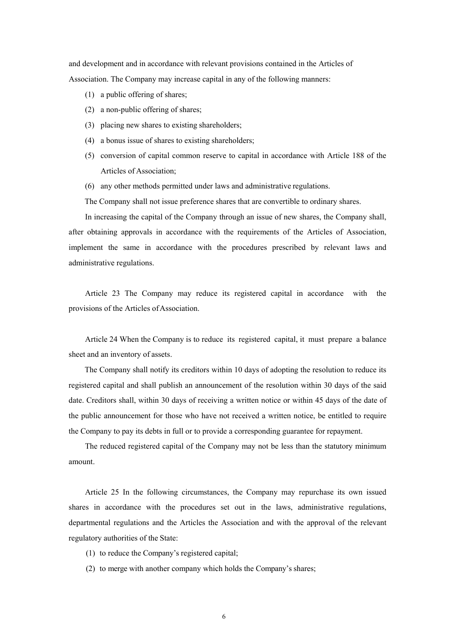and development and in accordance with relevant provisions contained in the Articles of Association. The Company may increase capital in any of the following manners:

- (1) a public offering of shares;
- (2) a non-public offering of shares;
- (3) placing new shares to existing shareholders;
- (4) a bonus issue of shares to existing shareholders;
- (5) conversion of capital common reserve to capital in accordance with Article 188 of the Articles of Association;
- (6) any other methods permitted under laws and administrative regulations.

The Company shall not issue preference shares that are convertible to ordinary shares.

In increasing the capital of the Company through an issue of new shares, the Company shall, after obtaining approvals in accordance with the requirements of the Articles of Association, implement the same in accordance with the procedures prescribed by relevant laws and administrative regulations.

Article 23 The Company may reduce its registered capital in accordance with the provisions of the Articles of Association.

Article 24 When the Company is to reduce its registered capital, it must prepare a balance sheet and an inventory of assets.

The Company shall notify its creditors within 10 days of adopting the resolution to reduce its registered capital and shall publish an announcement of the resolution within 30 days of the said date. Creditors shall, within 30 days of receiving a written notice or within 45 days of the date of the public announcement for those who have not received a written notice, be entitled to require the Company to pay its debts in full or to provide a corresponding guarantee for repayment.

The reduced registered capital of the Company may not be less than the statutory minimum amount.

Article 25 In the following circumstances, the Company may repurchase its own issued shares in accordance with the procedures set out in the laws, administrative regulations, departmental regulations and the Articles the Association and with the approval of the relevant regulatory authorities of the State:

- (1) to reduce the Company's registered capital;
- (2) to merge with another company which holds the Company's shares;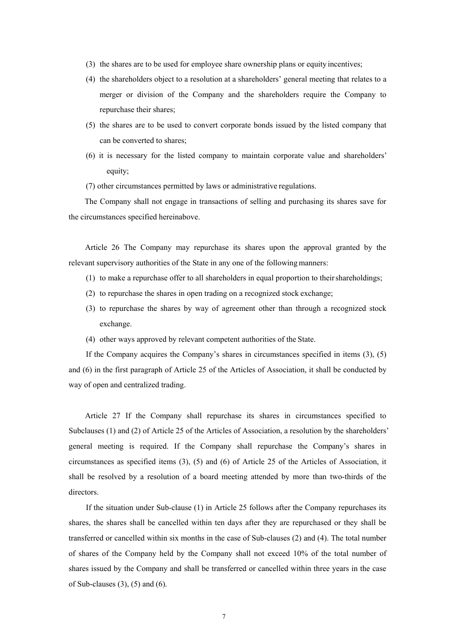- (3) the shares are to be used for employee share ownership plans or equity incentives;
- (4) the shareholders object to a resolution at a shareholders' general meeting that relates to a merger or division of the Company and the shareholders require the Company to repurchase their shares;
- (5) the shares are to be used to convert corporate bonds issued by the listed company that can be converted to shares;
- (6) it is necessary for the listed company to maintain corporate value and shareholders' equity;

(7) other circumstances permitted by laws or administrative regulations.

The Company shall not engage in transactions of selling and purchasing its shares save for the circumstances specified hereinabove.

Article 26 The Company may repurchase its shares upon the approval granted by the relevant supervisory authorities of the State in any one of the following manners:

- (1) to make a repurchase offer to all shareholders in equal proportion to their shareholdings;
- (2) to repurchase the shares in open trading on a recognized stock exchange;
- (3) to repurchase the shares by way of agreement other than through a recognized stock exchange.
- (4) other ways approved by relevant competent authorities of the State.

If the Company acquires the Company's shares in circumstances specified in items (3), (5) and (6) in the first paragraph of Article 25 of the Articles of Association, it shall be conducted by way of open and centralized trading.

Article 27 If the Company shall repurchase its shares in circumstances specified to Subclauses (1) and (2) of Article 25 of the Articles of Association, a resolution by the shareholders' general meeting is required. If the Company shall repurchase the Company's shares in circumstances as specified items (3), (5) and (6) of Article 25 of the Articles of Association, it shall be resolved by a resolution of a board meeting attended by more than two-thirds of the directors.

If the situation under Sub-clause (1) in Article 25 follows after the Company repurchases its shares, the shares shall be cancelled within ten days after they are repurchased or they shall be transferred or cancelled within six months in the case of Sub-clauses (2) and (4). The total number of shares of the Company held by the Company shall not exceed 10% of the total number of shares issued by the Company and shall be transferred or cancelled within three years in the case of Sub-clauses  $(3)$ ,  $(5)$  and  $(6)$ .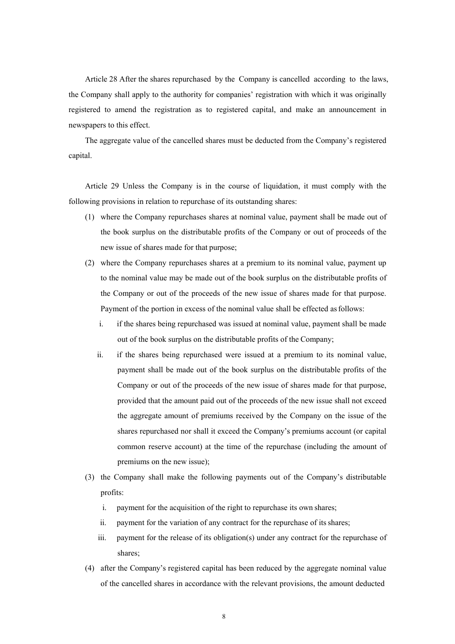Article 28 After the shares repurchased by the Company is cancelled according to the laws, the Company shall apply to the authority for companies' registration with which it was originally registered to amend the registration as to registered capital, and make an announcement in newspapers to this effect.

The aggregate value of the cancelled shares must be deducted from the Company's registered capital.

Article 29 Unless the Company is in the course of liquidation, it must comply with the following provisions in relation to repurchase of its outstanding shares:

- (1) where the Company repurchases shares at nominal value, payment shall be made out of the book surplus on the distributable profits of the Company or out of proceeds of the new issue of shares made for that purpose;
- (2) where the Company repurchases shares at a premium to its nominal value, payment up to the nominal value may be made out of the book surplus on the distributable profits of the Company or out of the proceeds of the new issue of shares made for that purpose. Payment of the portion in excess of the nominal value shall be effected as follows:
	- i. if the shares being repurchased was issued at nominal value, payment shall be made out of the book surplus on the distributable profits of the Company;
	- ii. if the shares being repurchased were issued at a premium to its nominal value, payment shall be made out of the book surplus on the distributable profits of the Company or out of the proceeds of the new issue of shares made for that purpose, provided that the amount paid out of the proceeds of the new issue shall not exceed the aggregate amount of premiums received by the Company on the issue of the shares repurchased nor shall it exceed the Company's premiums account (or capital common reserve account) at the time of the repurchase (including the amount of premiums on the new issue);
- (3) the Company shall make the following payments out of the Company's distributable profits:
	- i. payment for the acquisition of the right to repurchase its own shares;
	- ii. payment for the variation of any contract for the repurchase of its shares;
	- iii. payment for the release of its obligation(s) under any contract for the repurchase of shares;
- (4) after the Company's registered capital has been reduced by the aggregate nominal value of the cancelled shares in accordance with the relevant provisions, the amount deducted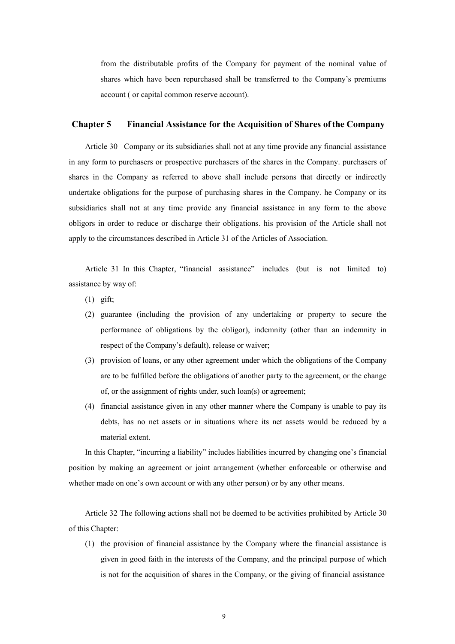from the distributable profits of the Company for payment of the nominal value of shares which have been repurchased shall be transferred to the Company's premiums account ( or capital common reserve account).

# **Chapter 5 Financial Assistance for the Acquisition of Shares of the Company**

Article 30 Company or its subsidiaries shall not at any time provide any financial assistance in any form to purchasers or prospective purchasers of the shares in the Company. purchasers of shares in the Company as referred to above shall include persons that directly or indirectly undertake obligations for the purpose of purchasing shares in the Company. he Company or its subsidiaries shall not at any time provide any financial assistance in any form to the above obligors in order to reduce or discharge their obligations. his provision of the Article shall not apply to the circumstances described in Article 31 of the Articles of Association.

Article 31 In this Chapter, "financial assistance" includes (but is not limited to) assistance by way of:

- (1) gift;
- (2) guarantee (including the provision of any undertaking or property to secure the performance of obligations by the obligor), indemnity (other than an indemnity in respect of the Company's default), release or waiver;
- (3) provision of loans, or any other agreement under which the obligations of the Company are to be fulfilled before the obligations of another party to the agreement, or the change of, or the assignment of rights under, such loan(s) or agreement;
- (4) financial assistance given in any other manner where the Company is unable to pay its debts, has no net assets or in situations where its net assets would be reduced by a material extent.

In this Chapter, "incurring a liability" includes liabilities incurred by changing one's financial position by making an agreement or joint arrangement (whether enforceable or otherwise and whether made on one's own account or with any other person) or by any other means.

Article 32 The following actions shall not be deemed to be activities prohibited by Article 30 of this Chapter:

(1) the provision of financial assistance by the Company where the financial assistance is given in good faith in the interests of the Company, and the principal purpose of which is not for the acquisition of shares in the Company, or the giving of financial assistance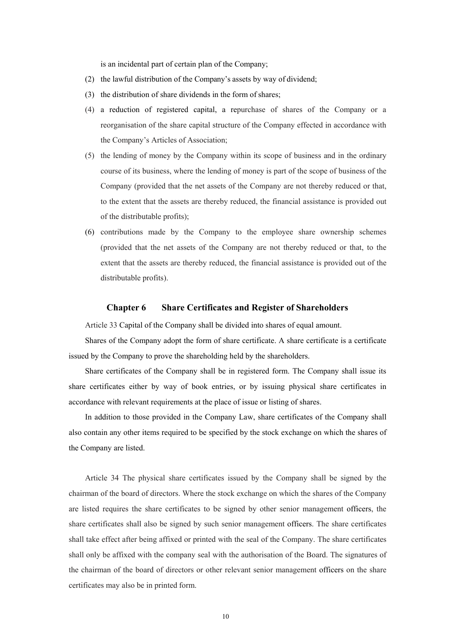is an incidental part of certain plan of the Company;

- (2) the lawful distribution of the Company's assets by way of dividend;
- (3) the distribution of share dividends in the form of shares;
- (4) a reduction of registered capital, a repurchase of shares of the Company or a reorganisation of the share capital structure of the Company effected in accordance with the Company's Articles of Association;
- (5) the lending of money by the Company within its scope of business and in the ordinary course of its business, where the lending of money is part of the scope of business of the Company (provided that the net assets of the Company are not thereby reduced or that, to the extent that the assets are thereby reduced, the financial assistance is provided out of the distributable profits);
- (6) contributions made by the Company to the employee share ownership schemes (provided that the net assets of the Company are not thereby reduced or that, to the extent that the assets are thereby reduced, the financial assistance is provided out of the distributable profits).

# **Chapter 6 Share Certificates and Register of Shareholders**

Article 33 Capital of the Company shall be divided into shares of equal amount.

Shares of the Company adopt the form of share certificate. A share certificate is a certificate issued by the Company to prove the shareholding held by the shareholders.

Share certificates of the Company shall be in registered form. The Company shall issue its share certificates either by way of book entries, or by issuing physical share certificates in accordance with relevant requirements at the place of issue or listing of shares.

In addition to those provided in the Company Law, share certificates of the Company shall also contain any other items required to be specified by the stock exchange on which the shares of the Company are listed.

Article 34 The physical share certificates issued by the Company shall be signed by the chairman of the board of directors. Where the stock exchange on which the shares of the Company are listed requires the share certificates to be signed by other senior management officers, the share certificates shall also be signed by such senior management officers. The share certificates shall take effect after being affixed or printed with the seal of the Company. The share certificates shall only be affixed with the company seal with the authorisation of the Board. The signatures of the chairman of the board of directors or other relevant senior management officers on the share certificates may also be in printed form.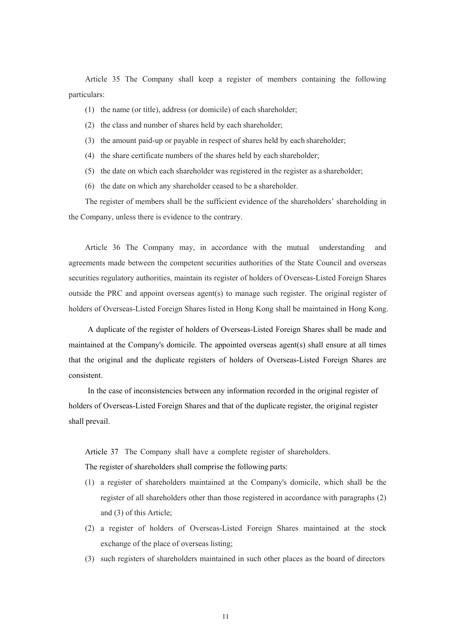Article 35 The Company shall keep a register of members containing the following particulars:

- (1) the name (or title), address (or domicile) of each shareholder;
- (2) the class and number of shares held by each shareholder;
- (3) the amount paid-up or payable in respect of shares held by each shareholder;
- (4) the share certificate numbers of the shares held by each shareholder;
- (5) the date on which each shareholder was registered in the register as a shareholder;
- (6) the date on which any shareholder ceased to be a shareholder.

The register of members shall be the sufficient evidence of the shareholders' shareholding in the Company, unless there is evidence to the contrary.

Article 36 The Company may, in accordance with the mutual understanding and agreements made between the competent securities authorities of the State Council and overseas securities regulatory authorities, maintain its register of holders of Overseas-Listed Foreign Shares outside the PRC and appoint overseas agent(s) to manage such register. The original register of holders of Overseas-Listed Foreign Shares listed in Hong Kong shall be maintained in Hong Kong.

A duplicate of the register of holders of Overseas-Listed Foreign Shares shall be made and maintained at the Company's domicile. The appointed overseas agent(s) shall ensure at all times that the original and the duplicate registers of holders of Overseas-Listed Foreign Shares are consistent.

In the case of inconsistencies between any information recorded in the original register of holders of Overseas-Listed Foreign Shares and that of the duplicate register, the original register shall prevail.

Article 37 The Company shall have a complete register of shareholders.

The register of shareholders shall comprise the following parts:

- (1) a register of shareholders maintained at the Company's domicile, which shall be the register of all shareholders other than those registered in accordance with paragraphs (2) and (3) of this Article;
- (2) a register of holders of Overseas-Listed Foreign Shares maintained at the stock exchange of the place of overseas listing;
- (3) such registers of shareholders maintained in such other places as the board of directors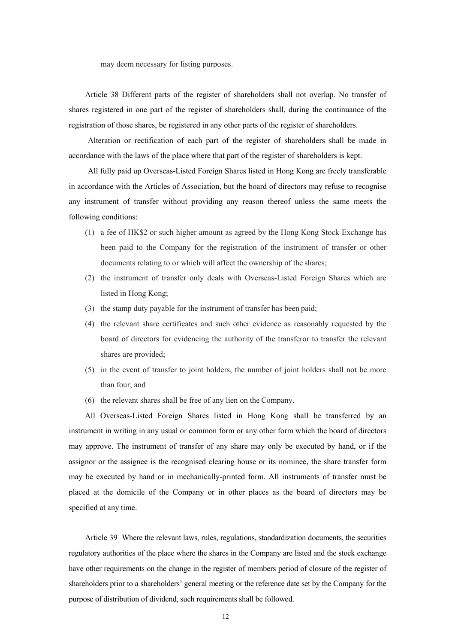may deem necessary for listing purposes.

Article 38 Different parts of the register of shareholders shall not overlap. No transfer of shares registered in one part of the register of shareholders shall, during the continuance of the registration of those shares, be registered in any other parts of the register of shareholders.

Alteration or rectification of each part of the register of shareholders shall be made in accordance with the laws of the place where that part of the register of shareholders is kept.

All fully paid up Overseas-Listed Foreign Shares listed in Hong Kong are freely transferable in accordance with the Articles of Association, but the board of directors may refuse to recognise any instrument of transfer without providing any reason thereof unless the same meets the following conditions:

- (1) a fee of HK\$2 or such higher amount as agreed by the Hong Kong Stock Exchange has been paid to the Company for the registration of the instrument of transfer or other documents relating to or which will affect the ownership of the shares;
- (2) the instrument of transfer only deals with Overseas-Listed Foreign Shares which are listed in Hong Kong;
- (3) the stamp duty payable for the instrument of transfer has been paid;
- (4) the relevant share certificates and such other evidence as reasonably requested by the board of directors for evidencing the authority of the transferor to transfer the relevant shares are provided;
- (5) in the event of transfer to joint holders, the number of joint holders shall not be more than four; and
- (6) the relevant shares shall be free of any lien on the Company.

All Overseas-Listed Foreign Shares listed in Hong Kong shall be transferred by an instrument in writing in any usual or common form or any other form which the board of directors may approve. The instrument of transfer of any share may only be executed by hand, or if the assignor or the assignee is the recognised clearing house or its nominee, the share transfer form may be executed by hand or in mechanically-printed form. All instruments of transfer must be placed at the domicile of the Company or in other places as the board of directors may be specified at any time.

Article 39 Where the relevant laws, rules, regulations, standardization documents, the securities regulatory authorities of the place where the shares in the Company are listed and the stock exchange have other requirements on the change in the register of members period of closure of the register of shareholders prior to a shareholders' general meeting or the reference date set by the Company for the purpose of distribution of dividend, such requirements shall be followed.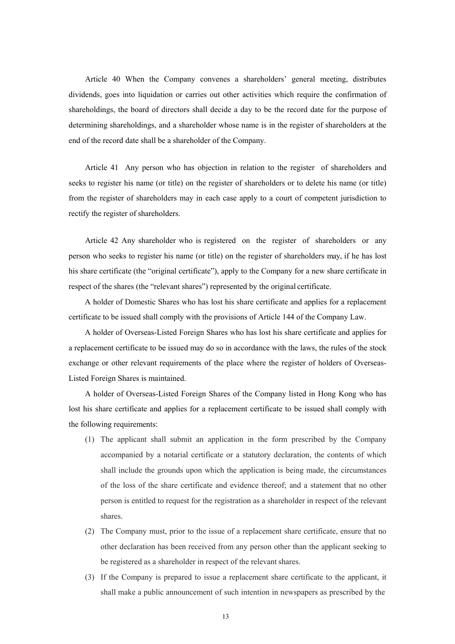Article 40 When the Company convenes a shareholders' general meeting, distributes dividends, goes into liquidation or carries out other activities which require the confirmation of shareholdings, the board of directors shall decide a day to be the record date for the purpose of determining shareholdings, and a shareholder whose name is in the register of shareholders at the end of the record date shall be a shareholder of the Company.

Article 41 Any person who has objection in relation to the register of shareholders and seeks to register his name (or title) on the register of shareholders or to delete his name (or title) from the register of shareholders may in each case apply to a court of competent jurisdiction to rectify the register of shareholders.

Article 42 Any shareholder who is registered on the register of shareholders or any person who seeks to register his name (or title) on the register of shareholders may, if he has lost his share certificate (the "original certificate"), apply to the Company for a new share certificate in respect of the shares (the "relevant shares") represented by the original certificate.

A holder of Domestic Shares who has lost his share certificate and applies for a replacement certificate to be issued shall comply with the provisions of Article 144 of the Company Law.

A holder of Overseas-Listed Foreign Shares who has lost his share certificate and applies for a replacement certificate to be issued may do so in accordance with the laws, the rules of the stock exchange or other relevant requirements of the place where the register of holders of Overseas-Listed Foreign Shares is maintained.

A holder of Overseas-Listed Foreign Shares of the Company listed in Hong Kong who has lost his share certificate and applies for a replacement certificate to be issued shall comply with the following requirements:

- (1) The applicant shall submit an application in the form prescribed by the Company accompanied by a notarial certificate or a statutory declaration, the contents of which shall include the grounds upon which the application is being made, the circumstances of the loss of the share certificate and evidence thereof; and a statement that no other person is entitled to request for the registration as a shareholder in respect of the relevant shares.
- (2) The Company must, prior to the issue of a replacement share certificate, ensure that no other declaration has been received from any person other than the applicant seeking to be registered as a shareholder in respect of the relevant shares.
- (3) If the Company is prepared to issue a replacement share certificate to the applicant, it shall make a public announcement of such intention in newspapers as prescribed by the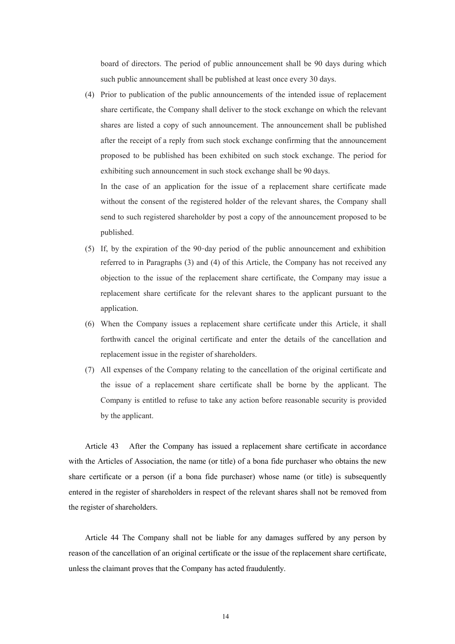board of directors. The period of public announcement shall be 90 days during which such public announcement shall be published at least once every 30 days.

(4) Prior to publication of the public announcements of the intended issue of replacement share certificate, the Company shall deliver to the stock exchange on which the relevant shares are listed a copy of such announcement. The announcement shall be published after the receipt of a reply from such stock exchange confirming that the announcement proposed to be published has been exhibited on such stock exchange. The period for exhibiting such announcement in such stock exchange shall be 90 days.

In the case of an application for the issue of a replacement share certificate made without the consent of the registered holder of the relevant shares, the Company shall send to such registered shareholder by post a copy of the announcement proposed to be published.

- (5) If, by the expiration of the 90-day period of the public announcement and exhibition referred to in Paragraphs (3) and (4) of this Article, the Company has not received any objection to the issue of the replacement share certificate, the Company may issue a replacement share certificate for the relevant shares to the applicant pursuant to the application.
- (6) When the Company issues a replacement share certificate under this Article, it shall forthwith cancel the original certificate and enter the details of the cancellation and replacement issue in the register of shareholders.
- (7) All expenses of the Company relating to the cancellation of the original certificate and the issue of a replacement share certificate shall be borne by the applicant. The Company is entitled to refuse to take any action before reasonable security is provided by the applicant.

Article 43 After the Company has issued a replacement share certificate in accordance with the Articles of Association, the name (or title) of a bona fide purchaser who obtains the new share certificate or a person (if a bona fide purchaser) whose name (or title) is subsequently entered in the register of shareholders in respect of the relevant shares shall not be removed from the register of shareholders.

Article 44 The Company shall not be liable for any damages suffered by any person by reason of the cancellation of an original certificate or the issue of the replacement share certificate, unless the claimant proves that the Company has acted fraudulently.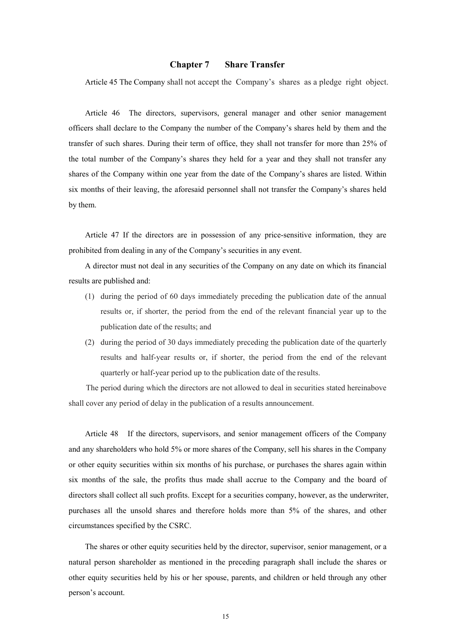# **Chapter 7 Share Transfer**

Article 45 The Company shall not accept the Company's shares as a pledge right object.

Article 46 The directors, supervisors, general manager and other senior management officers shall declare to the Company the number of the Company's shares held by them and the transfer of such shares. During their term of office, they shall not transfer for more than 25% of the total number of the Company's shares they held for a year and they shall not transfer any shares of the Company within one year from the date of the Company's shares are listed. Within six months of their leaving, the aforesaid personnel shall not transfer the Company's shares held by them.

Article 47 If the directors are in possession of any price-sensitive information, they are prohibited from dealing in any of the Company's securities in any event.

A director must not deal in any securities of the Company on any date on which its financial results are published and:

- (1) during the period of 60 days immediately preceding the publication date of the annual results or, if shorter, the period from the end of the relevant financial year up to the publication date of the results; and
- (2) during the period of 30 days immediately preceding the publication date of the quarterly results and half-year results or, if shorter, the period from the end of the relevant quarterly or half-year period up to the publication date of the results.

The period during which the directors are not allowed to deal in securities stated hereinabove shall cover any period of delay in the publication of a results announcement.

Article 48 If the directors, supervisors, and senior management officers of the Company and any shareholders who hold 5% or more shares of the Company, sell his shares in the Company or other equity securities within six months of his purchase, or purchases the shares again within six months of the sale, the profits thus made shall accrue to the Company and the board of directors shall collect all such profits. Except for a securities company, however, as the underwriter, purchases all the unsold shares and therefore holds more than 5% of the shares, and other circumstances specified by the CSRC.

The shares or other equity securities held by the director, supervisor, senior management, or a natural person shareholder as mentioned in the preceding paragraph shall include the shares or other equity securities held by his or her spouse, parents, and children or held through any other person's account.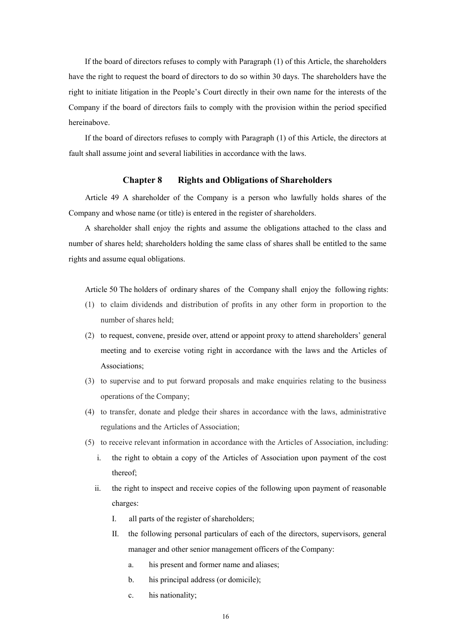If the board of directors refuses to comply with Paragraph (1) of this Article, the shareholders have the right to request the board of directors to do so within 30 days. The shareholders have the right to initiate litigation in the People's Court directly in their own name for the interests of the Company if the board of directors fails to comply with the provision within the period specified hereinabove.

If the board of directors refuses to comply with Paragraph (1) of this Article, the directors at fault shall assume joint and several liabilities in accordance with the laws.

# **Chapter 8 Rights and Obligations of Shareholders**

Article 49 A shareholder of the Company is a person who lawfully holds shares of the Company and whose name (or title) is entered in the register of shareholders.

A shareholder shall enjoy the rights and assume the obligations attached to the class and number of shares held; shareholders holding the same class of shares shall be entitled to the same rights and assume equal obligations.

Article 50 The holders of ordinary shares of the Company shall enjoy the following rights:

- (1) to claim dividends and distribution of profits in any other form in proportion to the number of shares held;
- (2) to request, convene, preside over, attend or appoint proxy to attend shareholders' general meeting and to exercise voting right in accordance with the laws and the Articles of Associations;
- (3) to supervise and to put forward proposals and make enquiries relating to the business operations of the Company;
- (4) to transfer, donate and pledge their shares in accordance with the laws, administrative regulations and the Articles of Association;
- (5) to receive relevant information in accordance with the Articles of Association, including:
	- i. the right to obtain a copy of the Articles of Association upon payment of the cost thereof;
	- ii. the right to inspect and receive copies of the following upon payment of reasonable charges:
		- I. all parts of the register of shareholders;
		- II. the following personal particulars of each of the directors, supervisors, general manager and other senior management officers of the Company:
			- a. his present and former name and aliases;
			- b. his principal address (or domicile);
			- c. his nationality;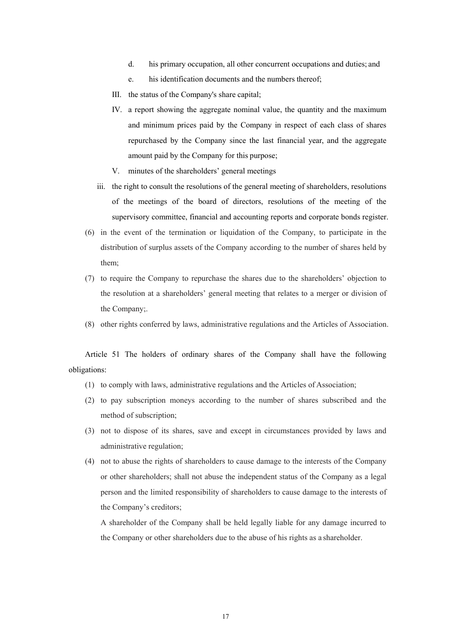- d. his primary occupation, all other concurrent occupations and duties; and
- e. his identification documents and the numbers thereof;
- III. the status of the Company's share capital;
- IV. a report showing the aggregate nominal value, the quantity and the maximum and minimum prices paid by the Company in respect of each class of shares repurchased by the Company since the last financial year, and the aggregate amount paid by the Company for this purpose;
- V. minutes of the shareholders' general meetings
- iii. the right to consult the resolutions of the general meeting of shareholders, resolutions of the meetings of the board of directors, resolutions of the meeting of the supervisory committee, financial and accounting reports and corporate bonds register.
- (6) in the event of the termination or liquidation of the Company, to participate in the distribution of surplus assets of the Company according to the number of shares held by them;
- (7) to require the Company to repurchase the shares due to the shareholders' objection to the resolution at a shareholders' general meeting that relates to a merger or division of the Company;.
- (8) other rights conferred by laws, administrative regulations and the Articles of Association.

Article 51 The holders of ordinary shares of the Company shall have the following obligations:

- (1) to comply with laws, administrative regulations and the Articles of Association;
- (2) to pay subscription moneys according to the number of shares subscribed and the method of subscription;
- (3) not to dispose of its shares, save and except in circumstances provided by laws and administrative regulation;
- (4) not to abuse the rights of shareholders to cause damage to the interests of the Company or other shareholders; shall not abuse the independent status of the Company as a legal person and the limited responsibility of shareholders to cause damage to the interests of the Company's creditors;

A shareholder of the Company shall be held legally liable for any damage incurred to the Company or other shareholders due to the abuse of his rights as a shareholder.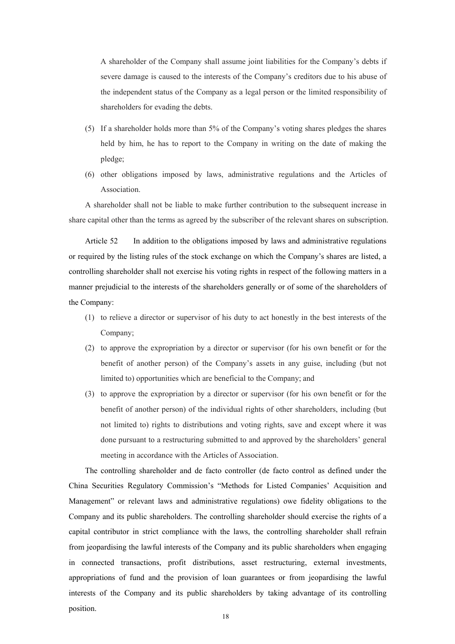A shareholder of the Company shall assume joint liabilities for the Company's debts if severe damage is caused to the interests of the Company's creditors due to his abuse of the independent status of the Company as a legal person or the limited responsibility of shareholders for evading the debts.

- (5) If a shareholder holds more than 5% of the Company's voting shares pledges the shares held by him, he has to report to the Company in writing on the date of making the pledge;
- (6) other obligations imposed by laws, administrative regulations and the Articles of Association.

A shareholder shall not be liable to make further contribution to the subsequent increase in share capital other than the terms as agreed by the subscriber of the relevant shares on subscription.

Article 52 In addition to the obligations imposed by laws and administrative regulations or required by the listing rules of the stock exchange on which the Company's shares are listed, a controlling shareholder shall not exercise his voting rights in respect of the following matters in a manner prejudicial to the interests of the shareholders generally or of some of the shareholders of the Company:

- (1) to relieve a director or supervisor of his duty to act honestly in the best interests of the Company;
- (2) to approve the expropriation by a director or supervisor (for his own benefit or for the benefit of another person) of the Company's assets in any guise, including (but not limited to) opportunities which are beneficial to the Company; and
- (3) to approve the expropriation by a director or supervisor (for his own benefit or for the benefit of another person) of the individual rights of other shareholders, including (but not limited to) rights to distributions and voting rights, save and except where it was done pursuant to a restructuring submitted to and approved by the shareholders' general meeting in accordance with the Articles of Association.

The controlling shareholder and de facto controller (de facto control as defined under the China Securities Regulatory Commission's "Methods for Listed Companies' Acquisition and Management" or relevant laws and administrative regulations) owe fidelity obligations to the Company and its public shareholders. The controlling shareholder should exercise the rights of a capital contributor in strict compliance with the laws, the controlling shareholder shall refrain from jeopardising the lawful interests of the Company and its public shareholders when engaging in connected transactions, profit distributions, asset restructuring, external investments, appropriations of fund and the provision of loan guarantees or from jeopardising the lawful interests of the Company and its public shareholders by taking advantage of its controlling position.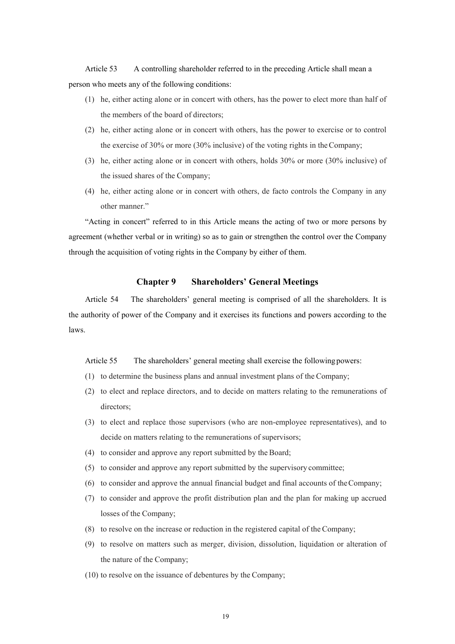Article 53 A controlling shareholder referred to in the preceding Article shall mean a person who meets any of the following conditions:

- (1) he, either acting alone or in concert with others, has the power to elect more than half of the members of the board of directors;
- (2) he, either acting alone or in concert with others, has the power to exercise or to control the exercise of 30% or more (30% inclusive) of the voting rights in the Company;
- (3) he, either acting alone or in concert with others, holds 30% or more (30% inclusive) of the issued shares of the Company;
- (4) he, either acting alone or in concert with others, de facto controls the Company in any other manner."

"Acting in concert" referred to in this Article means the acting of two or more persons by agreement (whether verbal or in writing) so as to gain or strengthen the control over the Company through the acquisition of voting rights in the Company by either of them.

# **Chapter 9 Shareholders' General Meetings**

Article 54 The shareholders' general meeting is comprised of all the shareholders. It is the authority of power of the Company and it exercises its functions and powers according to the laws.

# Article 55 The shareholders' general meeting shall exercise the following powers:

- (1) to determine the business plans and annual investment plans of the Company;
- (2) to elect and replace directors, and to decide on matters relating to the remunerations of directors;
- (3) to elect and replace those supervisors (who are non-employee representatives), and to decide on matters relating to the remunerations of supervisors;
- (4) to consider and approve any report submitted by the Board;
- (5) to consider and approve any report submitted by the supervisory committee;
- (6) to consider and approve the annual financial budget and final accounts of the Company;
- (7) to consider and approve the profit distribution plan and the plan for making up accrued losses of the Company;
- (8) to resolve on the increase or reduction in the registered capital of the Company;
- (9) to resolve on matters such as merger, division, dissolution, liquidation or alteration of the nature of the Company;
- (10) to resolve on the issuance of debentures by the Company;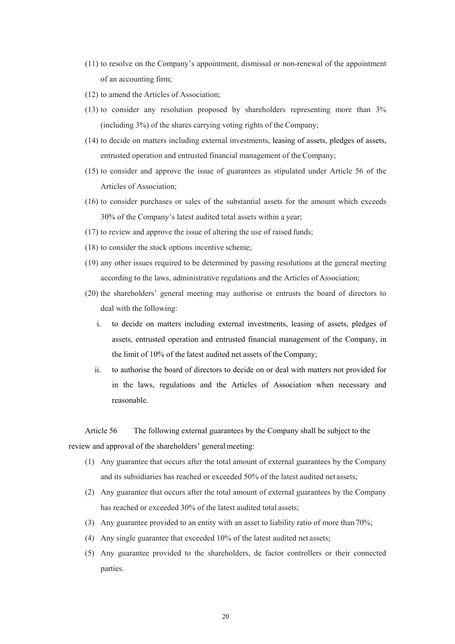- (11) to resolve on the Company's appointment, dismissal or non-renewal of the appointment of an accounting firm;
- (12) to amend the Articles of Association;
- (13) to consider any resolution proposed by shareholders representing more than 3% (including 3%) of the shares carrying voting rights of the Company;
- (14) to decide on matters including external investments, leasing of assets, pledges of assets, entrusted operation and entrusted financial management of the Company;
- (15) to consider and approve the issue of guarantees as stipulated under Article 56 of the Articles of Association;
- (16) to consider purchases or sales of the substantial assets for the amount which exceeds 30% of the Company's latest audited total assets within a year;
- (17) to review and approve the issue of altering the use of raised funds;
- (18) to consider the stock options incentive scheme;
- (19) any other issues required to be determined by passing resolutions at the general meeting according to the laws, administrative regulations and the Articles of Association;
- (20) the shareholders' general meeting may authorise or entrusts the board of directors to deal with the following:
	- i. to decide on matters including external investments, leasing of assets, pledges of assets, entrusted operation and entrusted financial management of the Company, in the limit of 10% of the latest audited net assets of the Company;
	- ii. to authorise the board of directors to decide on or deal with matters not provided for in the laws, regulations and the Articles of Association when necessary and reasonable.

Article 56 The following external guarantees by the Company shall be subject to the review and approval of the shareholders' general meeting:

- (1) Any guarantee that occurs after the total amount of external guarantees by the Company and its subsidiaries has reached or exceeded 50% of the latest audited net assets;
- (2) Any guarantee that occurs after the total amount of external guarantees by the Company has reached or exceeded 30% of the latest audited total assets;
- (3) Any guarantee provided to an entity with an asset to liability ratio of more than 70%;
- (4) Any single guarantee that exceeded 10% of the latest audited net assets;
- (5) Any guarantee provided to the shareholders, de factor controllers or their connected parties.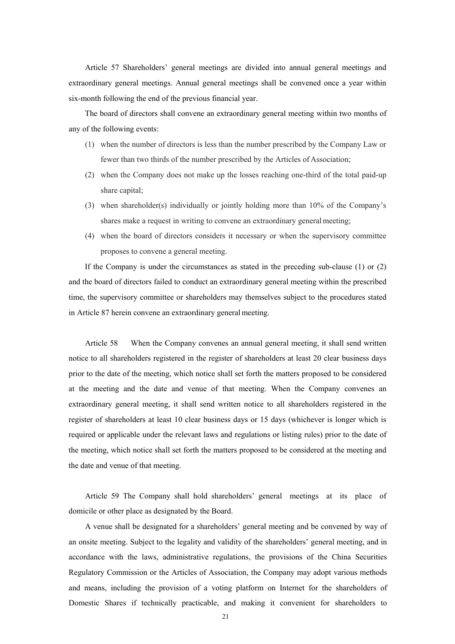Article 57 Shareholders' general meetings are divided into annual general meetings and extraordinary general meetings. Annual general meetings shall be convened once a year within six-month following the end of the previous financial year.

The board of directors shall convene an extraordinary general meeting within two months of any of the following events:

- (1) when the number of directors is less than the number prescribed by the Company Law or fewer than two thirds of the number prescribed by the Articles of Association;
- (2) when the Company does not make up the losses reaching one-third of the total paid-up share capital;
- (3) when shareholder(s) individually or jointly holding more than 10% of the Company's shares make a request in writing to convene an extraordinary general meeting;
- (4) when the board of directors considers it necessary or when the supervisory committee proposes to convene a general meeting.

If the Company is under the circumstances as stated in the preceding sub-clause (1) or (2) and the board of directors failed to conduct an extraordinary general meeting within the prescribed time, the supervisory committee or shareholders may themselves subject to the procedures stated in Article 87 herein convene an extraordinary general meeting.

Article 58 When the Company convenes an annual general meeting, it shall send written notice to all shareholders registered in the register of shareholders at least 20 clear business days prior to the date of the meeting, which notice shall set forth the matters proposed to be considered at the meeting and the date and venue of that meeting. When the Company convenes an extraordinary general meeting, it shall send written notice to all shareholders registered in the register of shareholders at least 10 clear business days or 15 days (whichever is longer which is required or applicable under the relevant laws and regulations or listing rules) prior to the date of the meeting, which notice shall set forth the matters proposed to be considered at the meeting and the date and venue of that meeting.

Article 59 The Company shall hold shareholders' general meetings at its place of domicile or other place as designated by the Board.

A venue shall be designated for a shareholders' general meeting and be convened by way of an onsite meeting. Subject to the legality and validity of the shareholders' general meeting, and in accordance with the laws, administrative regulations, the provisions of the China Securities Regulatory Commission or the Articles of Association, the Company may adopt various methods and means, including the provision of a voting platform on Internet for the shareholders of Domestic Shares if technically practicable, and making it convenient for shareholders to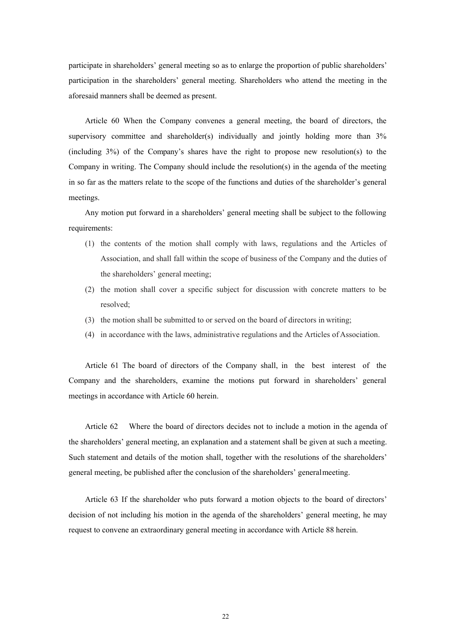participate in shareholders' general meeting so as to enlarge the proportion of public shareholders' participation in the shareholders' general meeting. Shareholders who attend the meeting in the aforesaid manners shall be deemed as present.

Article 60 When the Company convenes a general meeting, the board of directors, the supervisory committee and shareholder(s) individually and jointly holding more than 3% (including 3%) of the Company's shares have the right to propose new resolution(s) to the Company in writing. The Company should include the resolution(s) in the agenda of the meeting in so far as the matters relate to the scope of the functions and duties of the shareholder's general meetings.

Any motion put forward in a shareholders' general meeting shall be subject to the following requirements:

- (1) the contents of the motion shall comply with laws, regulations and the Articles of Association, and shall fall within the scope of business of the Company and the duties of the shareholders' general meeting;
- (2) the motion shall cover a specific subject for discussion with concrete matters to be resolved;
- (3) the motion shall be submitted to or served on the board of directors in writing;
- (4) in accordance with the laws, administrative regulations and the Articles of Association.

Article 61 The board of directors of the Company shall, in the best interest of the Company and the shareholders, examine the motions put forward in shareholders' general meetings in accordance with Article 60 herein.

Article 62 Where the board of directors decides not to include a motion in the agenda of the shareholders' general meeting, an explanation and a statement shall be given at such a meeting. Such statement and details of the motion shall, together with the resolutions of the shareholders' general meeting, be published after the conclusion of the shareholders' general meeting.

Article 63 If the shareholder who puts forward a motion objects to the board of directors' decision of not including his motion in the agenda of the shareholders' general meeting, he may request to convene an extraordinary general meeting in accordance with Article 88 herein.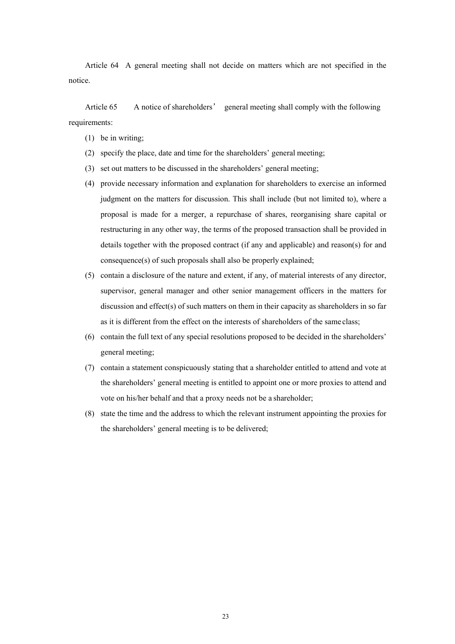Article 64 A general meeting shall not decide on matters which are not specified in the notice.

Article 65 A notice of shareholders' general meeting shall comply with the following requirements:

- (1) be in writing;
- (2) specify the place, date and time for the shareholders' general meeting;
- (3) set out matters to be discussed in the shareholders' general meeting;
- (4) provide necessary information and explanation for shareholders to exercise an informed judgment on the matters for discussion. This shall include (but not limited to), where a proposal is made for a merger, a repurchase of shares, reorganising share capital or restructuring in any other way, the terms of the proposed transaction shall be provided in details together with the proposed contract (if any and applicable) and reason(s) for and consequence(s) of such proposals shall also be properly explained;
- (5) contain a disclosure of the nature and extent, if any, of material interests of any director, supervisor, general manager and other senior management officers in the matters for discussion and effect(s) of such matters on them in their capacity as shareholders in so far as it is different from the effect on the interests of shareholders of the same class;
- (6) contain the full text of any special resolutions proposed to be decided in the shareholders' general meeting;
- (7) contain a statement conspicuously stating that a shareholder entitled to attend and vote at the shareholders' general meeting is entitled to appoint one or more proxies to attend and vote on his/her behalf and that a proxy needs not be a shareholder;
- (8) state the time and the address to which the relevant instrument appointing the proxies for the shareholders' general meeting is to be delivered;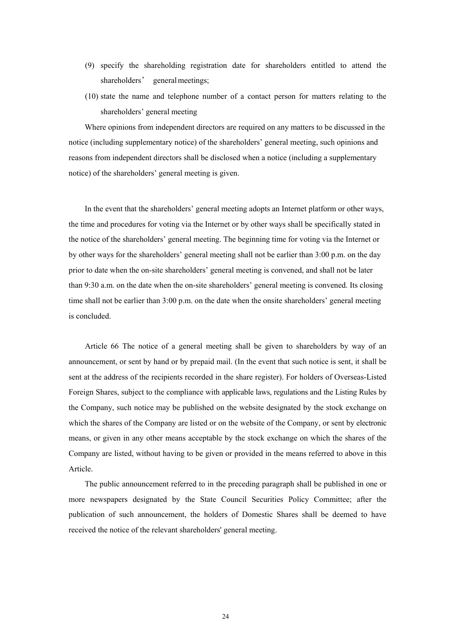- (9) specify the shareholding registration date for shareholders entitled to attend the shareholders' general meetings;
- (10) state the name and telephone number of a contact person for matters relating to the shareholders' general meeting

Where opinions from independent directors are required on any matters to be discussed in the notice (including supplementary notice) of the shareholders' general meeting, such opinions and reasons from independent directors shall be disclosed when a notice (including a supplementary notice) of the shareholders' general meeting is given.

In the event that the shareholders' general meeting adopts an Internet platform or other ways, the time and procedures for voting via the Internet or by other ways shall be specifically stated in the notice of the shareholders' general meeting. The beginning time for voting via the Internet or by other ways for the shareholders' general meeting shall not be earlier than 3:00 p.m. on the day prior to date when the on-site shareholders' general meeting is convened, and shall not be later than 9:30 a.m. on the date when the on-site shareholders' general meeting is convened. Its closing time shall not be earlier than 3:00 p.m. on the date when the onsite shareholders' general meeting is concluded.

Article 66 The notice of a general meeting shall be given to shareholders by way of an announcement, or sent by hand or by prepaid mail. (In the event that such notice is sent, it shall be sent at the address of the recipients recorded in the share register). For holders of Overseas-Listed Foreign Shares, subject to the compliance with applicable laws, regulations and the Listing Rules by the Company, such notice may be published on the website designated by the stock exchange on which the shares of the Company are listed or on the website of the Company, or sent by electronic means, or given in any other means acceptable by the stock exchange on which the shares of the Company are listed, without having to be given or provided in the means referred to above in this Article.

The public announcement referred to in the preceding paragraph shall be published in one or more newspapers designated by the State Council Securities Policy Committee; after the publication of such announcement, the holders of Domestic Shares shall be deemed to have received the notice of the relevant shareholders' general meeting.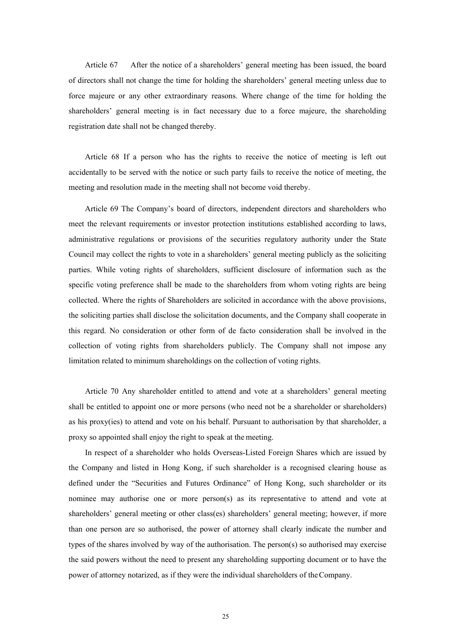Article 67 After the notice of a shareholders' general meeting has been issued, the board of directors shall not change the time for holding the shareholders' general meeting unless due to force majeure or any other extraordinary reasons. Where change of the time for holding the shareholders' general meeting is in fact necessary due to a force majeure, the shareholding registration date shall not be changed thereby.

Article 68 If a person who has the rights to receive the notice of meeting is left out accidentally to be served with the notice or such party fails to receive the notice of meeting, the meeting and resolution made in the meeting shall not become void thereby.

Article 69 The Company's board of directors, independent directors and shareholders who meet the relevant requirements or investor protection institutions established according to laws, administrative regulations or provisions of the securities regulatory authority under the State Council may collect the rights to vote in a shareholders' general meeting publicly as the soliciting parties. While voting rights of shareholders, sufficient disclosure of information such as the specific voting preference shall be made to the shareholders from whom voting rights are being collected. Where the rights of Shareholders are solicited in accordance with the above provisions, the soliciting parties shall disclose the solicitation documents, and the Company shall cooperate in this regard. No consideration or other form of de facto consideration shall be involved in the collection of voting rights from shareholders publicly. The Company shall not impose any limitation related to minimum shareholdings on the collection of voting rights.

Article 70 Any shareholder entitled to attend and vote at a shareholders' general meeting shall be entitled to appoint one or more persons (who need not be a shareholder or shareholders) as his proxy(ies) to attend and vote on his behalf. Pursuant to authorisation by that shareholder, a proxy so appointed shall enjoy the right to speak at the meeting.

In respect of a shareholder who holds Overseas-Listed Foreign Shares which are issued by the Company and listed in Hong Kong, if such shareholder is a recognised clearing house as defined under the "Securities and Futures Ordinance" of Hong Kong, such shareholder or its nominee may authorise one or more person(s) as its representative to attend and vote at shareholders' general meeting or other class(es) shareholders' general meeting; however, if more than one person are so authorised, the power of attorney shall clearly indicate the number and types of the shares involved by way of the authorisation. The person(s) so authorised may exercise the said powers without the need to present any shareholding supporting document or to have the power of attorney notarized, as if they were the individual shareholders of the Company.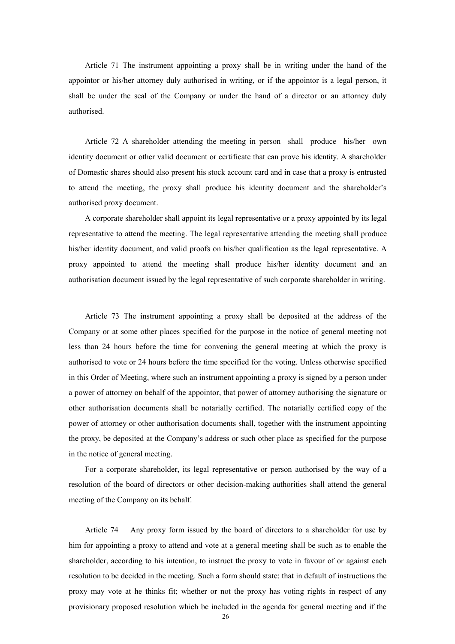Article 71 The instrument appointing a proxy shall be in writing under the hand of the appointor or his/her attorney duly authorised in writing, or if the appointor is a legal person, it shall be under the seal of the Company or under the hand of a director or an attorney duly authorised.

Article 72 A shareholder attending the meeting in person shall produce his/her own identity document or other valid document or certificate that can prove his identity. A shareholder of Domestic shares should also present his stock account card and in case that a proxy is entrusted to attend the meeting, the proxy shall produce his identity document and the shareholder's authorised proxy document.

A corporate shareholder shall appoint its legal representative or a proxy appointed by its legal representative to attend the meeting. The legal representative attending the meeting shall produce his/her identity document, and valid proofs on his/her qualification as the legal representative. A proxy appointed to attend the meeting shall produce his/her identity document and an authorisation document issued by the legal representative of such corporate shareholder in writing.

Article 73 The instrument appointing a proxy shall be deposited at the address of the Company or at some other places specified for the purpose in the notice of general meeting not less than 24 hours before the time for convening the general meeting at which the proxy is authorised to vote or 24 hours before the time specified for the voting. Unless otherwise specified in this Order of Meeting, where such an instrument appointing a proxy is signed by a person under a power of attorney on behalf of the appointor, that power of attorney authorising the signature or other authorisation documents shall be notarially certified. The notarially certified copy of the power of attorney or other authorisation documents shall, together with the instrument appointing the proxy, be deposited at the Company's address or such other place as specified for the purpose in the notice of general meeting.

For a corporate shareholder, its legal representative or person authorised by the way of a resolution of the board of directors or other decision-making authorities shall attend the general meeting of the Company on its behalf.

Article 74 Any proxy form issued by the board of directors to a shareholder for use by him for appointing a proxy to attend and vote at a general meeting shall be such as to enable the shareholder, according to his intention, to instruct the proxy to vote in favour of or against each resolution to be decided in the meeting. Such a form should state: that in default of instructions the proxy may vote at he thinks fit; whether or not the proxy has voting rights in respect of any provisionary proposed resolution which be included in the agenda for general meeting and if the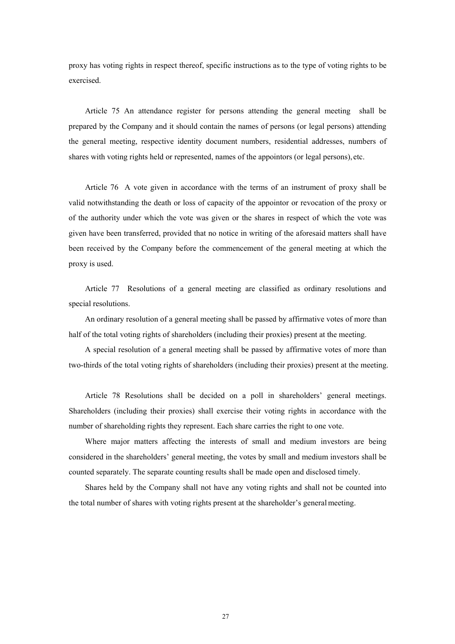proxy has voting rights in respect thereof, specific instructions as to the type of voting rights to be exercised.

Article 75 An attendance register for persons attending the general meeting shall be prepared by the Company and it should contain the names of persons (or legal persons) attending the general meeting, respective identity document numbers, residential addresses, numbers of shares with voting rights held or represented, names of the appointors (or legal persons), etc.

Article 76 A vote given in accordance with the terms of an instrument of proxy shall be valid notwithstanding the death or loss of capacity of the appointor or revocation of the proxy or of the authority under which the vote was given or the shares in respect of which the vote was given have been transferred, provided that no notice in writing of the aforesaid matters shall have been received by the Company before the commencement of the general meeting at which the proxy is used.

Article 77 Resolutions of a general meeting are classified as ordinary resolutions and special resolutions.

An ordinary resolution of a general meeting shall be passed by affirmative votes of more than half of the total voting rights of shareholders (including their proxies) present at the meeting.

A special resolution of a general meeting shall be passed by affirmative votes of more than two-thirds of the total voting rights of shareholders (including their proxies) present at the meeting.

Article 78 Resolutions shall be decided on a poll in shareholders' general meetings. Shareholders (including their proxies) shall exercise their voting rights in accordance with the number of shareholding rights they represent. Each share carries the right to one vote.

Where major matters affecting the interests of small and medium investors are being considered in the shareholders' general meeting, the votes by small and medium investors shall be counted separately. The separate counting results shall be made open and disclosed timely.

Shares held by the Company shall not have any voting rights and shall not be counted into the total number of shares with voting rights present at the shareholder's general meeting.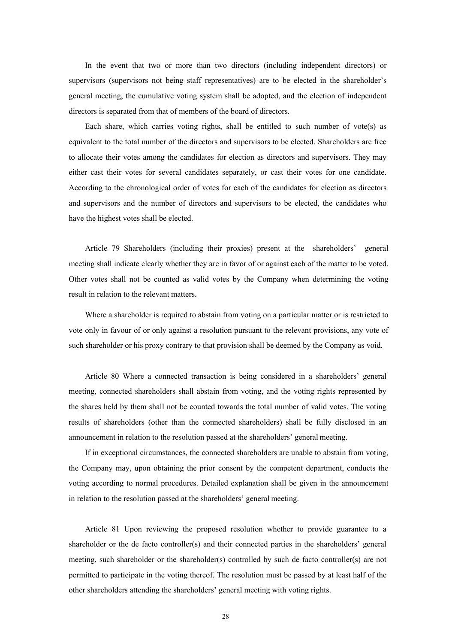In the event that two or more than two directors (including independent directors) or supervisors (supervisors not being staff representatives) are to be elected in the shareholder's general meeting, the cumulative voting system shall be adopted, and the election of independent directors is separated from that of members of the board of directors.

Each share, which carries voting rights, shall be entitled to such number of vote(s) as equivalent to the total number of the directors and supervisors to be elected. Shareholders are free to allocate their votes among the candidates for election as directors and supervisors. They may either cast their votes for several candidates separately, or cast their votes for one candidate. According to the chronological order of votes for each of the candidates for election as directors and supervisors and the number of directors and supervisors to be elected, the candidates who have the highest votes shall be elected.

Article 79 Shareholders (including their proxies) present at the shareholders' general meeting shall indicate clearly whether they are in favor of or against each of the matter to be voted. Other votes shall not be counted as valid votes by the Company when determining the voting result in relation to the relevant matters.

Where a shareholder is required to abstain from voting on a particular matter or is restricted to vote only in favour of or only against a resolution pursuant to the relevant provisions, any vote of such shareholder or his proxy contrary to that provision shall be deemed by the Company as void.

Article 80 Where a connected transaction is being considered in a shareholders' general meeting, connected shareholders shall abstain from voting, and the voting rights represented by the shares held by them shall not be counted towards the total number of valid votes. The voting results of shareholders (other than the connected shareholders) shall be fully disclosed in an announcement in relation to the resolution passed at the shareholders' general meeting.

If in exceptional circumstances, the connected shareholders are unable to abstain from voting, the Company may, upon obtaining the prior consent by the competent department, conducts the voting according to normal procedures. Detailed explanation shall be given in the announcement in relation to the resolution passed at the shareholders' general meeting.

Article 81 Upon reviewing the proposed resolution whether to provide guarantee to a shareholder or the de facto controller(s) and their connected parties in the shareholders' general meeting, such shareholder or the shareholder(s) controlled by such de facto controller(s) are not permitted to participate in the voting thereof. The resolution must be passed by at least half of the other shareholders attending the shareholders' general meeting with voting rights.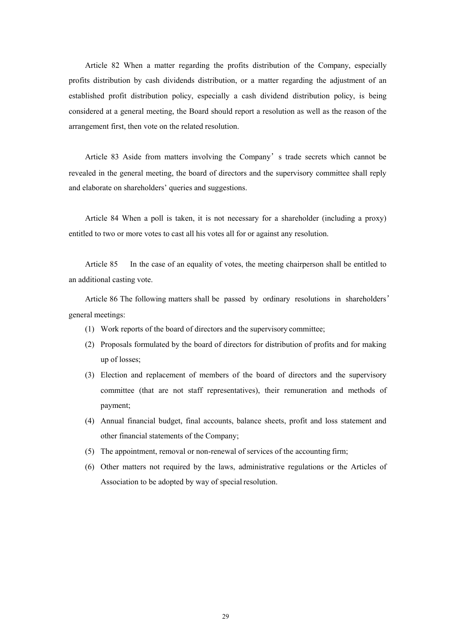Article 82 When a matter regarding the profits distribution of the Company, especially profits distribution by cash dividends distribution, or a matter regarding the adjustment of an established profit distribution policy, especially a cash dividend distribution policy, is being considered at a general meeting, the Board should report a resolution as well as the reason of the arrangement first, then vote on the related resolution.

Article 83 Aside from matters involving the Company's trade secrets which cannot be revealed in the general meeting, the board of directors and the supervisory committee shall reply and elaborate on shareholders' queries and suggestions.

Article 84 When a poll is taken, it is not necessary for a shareholder (including a proxy) entitled to two or more votes to cast all his votes all for or against any resolution.

Article 85 In the case of an equality of votes, the meeting chairperson shall be entitled to an additional casting vote.

Article 86 The following matters shall be passed by ordinary resolutions in shareholders' general meetings:

- (1) Work reports of the board of directors and the supervisory committee;
- (2) Proposals formulated by the board of directors for distribution of profits and for making up of losses;
- (3) Election and replacement of members of the board of directors and the supervisory committee (that are not staff representatives), their remuneration and methods of payment;
- (4) Annual financial budget, final accounts, balance sheets, profit and loss statement and other financial statements of the Company;
- (5) The appointment, removal or non-renewal of services of the accounting firm;
- (6) Other matters not required by the laws, administrative regulations or the Articles of Association to be adopted by way of special resolution.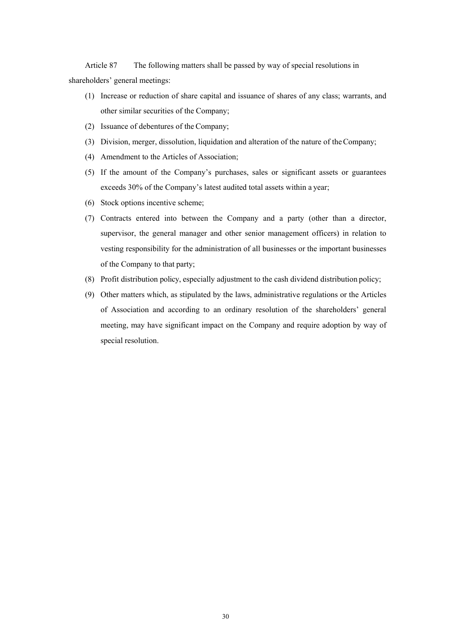Article 87 The following matters shall be passed by way of special resolutions in shareholders' general meetings:

- (1) Increase or reduction of share capital and issuance of shares of any class; warrants, and other similar securities of the Company;
- (2) Issuance of debentures of the Company;
- (3) Division, merger, dissolution, liquidation and alteration of the nature of the Company;
- (4) Amendment to the Articles of Association;
- (5) If the amount of the Company's purchases, sales or significant assets or guarantees exceeds 30% of the Company's latest audited total assets within a year;
- (6) Stock options incentive scheme;
- (7) Contracts entered into between the Company and a party (other than a director, supervisor, the general manager and other senior management officers) in relation to vesting responsibility for the administration of all businesses or the important businesses of the Company to that party;
- (8) Profit distribution policy, especially adjustment to the cash dividend distribution policy;
- (9) Other matters which, as stipulated by the laws, administrative regulations or the Articles of Association and according to an ordinary resolution of the shareholders' general meeting, may have significant impact on the Company and require adoption by way of special resolution.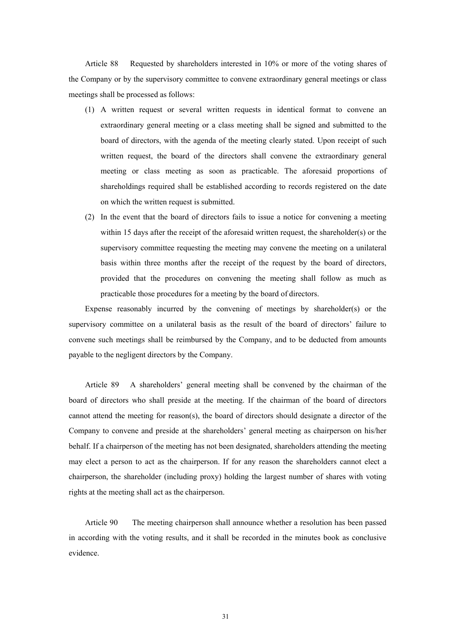Article 88 Requested by shareholders interested in 10% or more of the voting shares of the Company or by the supervisory committee to convene extraordinary general meetings or class meetings shall be processed as follows:

- (1) A written request or several written requests in identical format to convene an extraordinary general meeting or a class meeting shall be signed and submitted to the board of directors, with the agenda of the meeting clearly stated. Upon receipt of such written request, the board of the directors shall convene the extraordinary general meeting or class meeting as soon as practicable. The aforesaid proportions of shareholdings required shall be established according to records registered on the date on which the written request is submitted.
- (2) In the event that the board of directors fails to issue a notice for convening a meeting within 15 days after the receipt of the aforesaid written request, the shareholder(s) or the supervisory committee requesting the meeting may convene the meeting on a unilateral basis within three months after the receipt of the request by the board of directors, provided that the procedures on convening the meeting shall follow as much as practicable those procedures for a meeting by the board of directors.

Expense reasonably incurred by the convening of meetings by shareholder(s) or the supervisory committee on a unilateral basis as the result of the board of directors' failure to convene such meetings shall be reimbursed by the Company, and to be deducted from amounts payable to the negligent directors by the Company.

Article 89 A shareholders' general meeting shall be convened by the chairman of the board of directors who shall preside at the meeting. If the chairman of the board of directors cannot attend the meeting for reason(s), the board of directors should designate a director of the Company to convene and preside at the shareholders' general meeting as chairperson on his/her behalf. If a chairperson of the meeting has not been designated, shareholders attending the meeting may elect a person to act as the chairperson. If for any reason the shareholders cannot elect a chairperson, the shareholder (including proxy) holding the largest number of shares with voting rights at the meeting shall act as the chairperson.

Article 90 The meeting chairperson shall announce whether a resolution has been passed in according with the voting results, and it shall be recorded in the minutes book as conclusive evidence.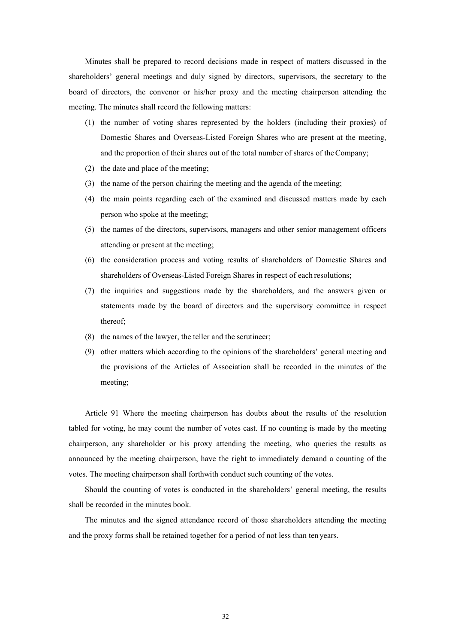Minutes shall be prepared to record decisions made in respect of matters discussed in the shareholders' general meetings and duly signed by directors, supervisors, the secretary to the board of directors, the convenor or his/her proxy and the meeting chairperson attending the meeting. The minutes shall record the following matters:

- (1) the number of voting shares represented by the holders (including their proxies) of Domestic Shares and Overseas-Listed Foreign Shares who are present at the meeting, and the proportion of their shares out of the total number of shares of the Company;
- (2) the date and place of the meeting;
- (3) the name of the person chairing the meeting and the agenda of the meeting;
- (4) the main points regarding each of the examined and discussed matters made by each person who spoke at the meeting;
- (5) the names of the directors, supervisors, managers and other senior management officers attending or present at the meeting;
- (6) the consideration process and voting results of shareholders of Domestic Shares and shareholders of Overseas-Listed Foreign Shares in respect of each resolutions;
- (7) the inquiries and suggestions made by the shareholders, and the answers given or statements made by the board of directors and the supervisory committee in respect thereof;
- (8) the names of the lawyer, the teller and the scrutineer;
- (9) other matters which according to the opinions of the shareholders' general meeting and the provisions of the Articles of Association shall be recorded in the minutes of the meeting;

Article 91 Where the meeting chairperson has doubts about the results of the resolution tabled for voting, he may count the number of votes cast. If no counting is made by the meeting chairperson, any shareholder or his proxy attending the meeting, who queries the results as announced by the meeting chairperson, have the right to immediately demand a counting of the votes. The meeting chairperson shall forthwith conduct such counting of the votes.

Should the counting of votes is conducted in the shareholders' general meeting, the results shall be recorded in the minutes book.

The minutes and the signed attendance record of those shareholders attending the meeting and the proxy forms shall be retained together for a period of not less than ten years.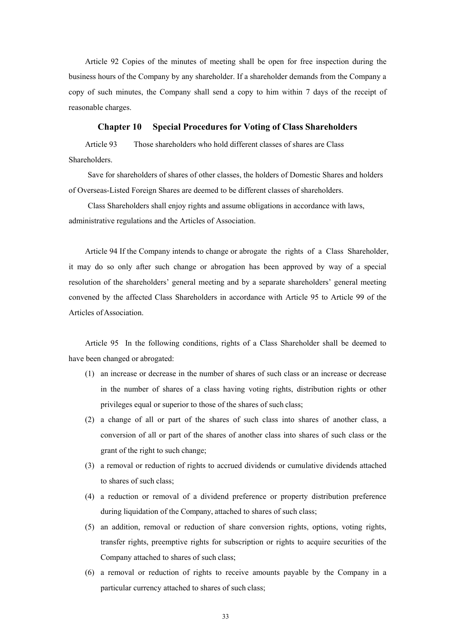Article 92 Copies of the minutes of meeting shall be open for free inspection during the business hours of the Company by any shareholder. If a shareholder demands from the Company a copy of such minutes, the Company shall send a copy to him within 7 days of the receipt of reasonable charges.

#### **Chapter 10 Special Procedures for Voting of Class Shareholders**

Article 93 Those shareholders who hold different classes of shares are Class **Shareholders** 

Save for shareholders of shares of other classes, the holders of Domestic Shares and holders of Overseas-Listed Foreign Shares are deemed to be different classes of shareholders.

Class Shareholders shall enjoy rights and assume obligations in accordance with laws, administrative regulations and the Articles of Association.

Article 94 If the Company intends to change or abrogate the rights of a Class Shareholder, it may do so only after such change or abrogation has been approved by way of a special resolution of the shareholders' general meeting and by a separate shareholders' general meeting convened by the affected Class Shareholders in accordance with Article 95 to Article 99 of the Articles of Association.

Article 95 In the following conditions, rights of a Class Shareholder shall be deemed to have been changed or abrogated:

- (1) an increase or decrease in the number of shares of such class or an increase or decrease in the number of shares of a class having voting rights, distribution rights or other privileges equal or superior to those of the shares of such class;
- (2) a change of all or part of the shares of such class into shares of another class, a conversion of all or part of the shares of another class into shares of such class or the grant of the right to such change;
- (3) a removal or reduction of rights to accrued dividends or cumulative dividends attached to shares of such class;
- (4) a reduction or removal of a dividend preference or property distribution preference during liquidation of the Company, attached to shares of such class;
- (5) an addition, removal or reduction of share conversion rights, options, voting rights, transfer rights, preemptive rights for subscription or rights to acquire securities of the Company attached to shares of such class;
- (6) a removal or reduction of rights to receive amounts payable by the Company in a particular currency attached to shares of such class;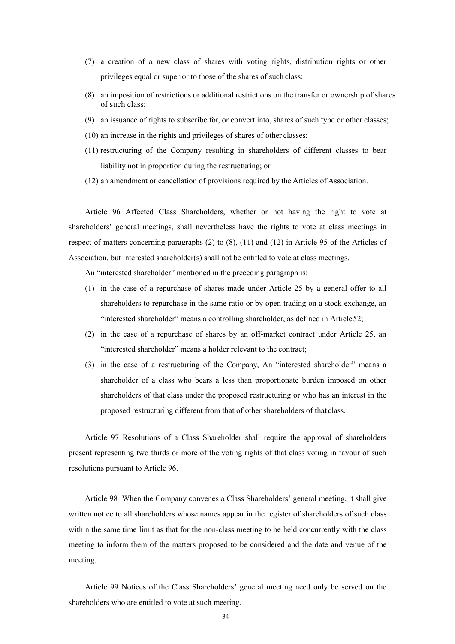- (7) a creation of a new class of shares with voting rights, distribution rights or other privileges equal or superior to those of the shares of such class;
- (8) an imposition of restrictions or additional restrictions on the transfer or ownership of shares of such class;
- (9) an issuance of rights to subscribe for, or convert into, shares of such type or other classes;
- (10) an increase in the rights and privileges of shares of other classes;
- (11) restructuring of the Company resulting in shareholders of different classes to bear liability not in proportion during the restructuring; or
- (12) an amendment or cancellation of provisions required by the Articles of Association.

Article 96 Affected Class Shareholders, whether or not having the right to vote at shareholders' general meetings, shall nevertheless have the rights to vote at class meetings in respect of matters concerning paragraphs (2) to (8), (11) and (12) in Article 95 of the Articles of Association, but interested shareholder(s) shall not be entitled to vote at class meetings.

An "interested shareholder" mentioned in the preceding paragraph is:

- (1) in the case of a repurchase of shares made under Article 25 by a general offer to all shareholders to repurchase in the same ratio or by open trading on a stock exchange, an "interested shareholder" means a controlling shareholder, as defined in Article 52;
- (2) in the case of a repurchase of shares by an off-market contract under Article 25, an "interested shareholder" means a holder relevant to the contract;
- (3) in the case of a restructuring of the Company, An "interested shareholder" means a shareholder of a class who bears a less than proportionate burden imposed on other shareholders of that class under the proposed restructuring or who has an interest in the proposed restructuring different from that of other shareholders of that class.

Article 97 Resolutions of a Class Shareholder shall require the approval of shareholders present representing two thirds or more of the voting rights of that class voting in favour of such resolutions pursuant to Article 96.

Article 98 When the Company convenes a Class Shareholders' general meeting, it shall give written notice to all shareholders whose names appear in the register of shareholders of such class within the same time limit as that for the non-class meeting to be held concurrently with the class meeting to inform them of the matters proposed to be considered and the date and venue of the meeting.

Article 99 Notices of the Class Shareholders' general meeting need only be served on the shareholders who are entitled to vote at such meeting.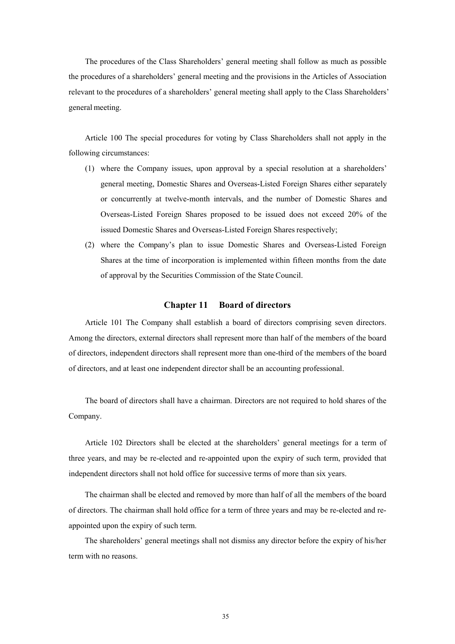The procedures of the Class Shareholders' general meeting shall follow as much as possible the procedures of a shareholders' general meeting and the provisions in the Articles of Association relevant to the procedures of a shareholders' general meeting shall apply to the Class Shareholders' general meeting.

Article 100 The special procedures for voting by Class Shareholders shall not apply in the following circumstances:

- (1) where the Company issues, upon approval by a special resolution at a shareholders' general meeting, Domestic Shares and Overseas-Listed Foreign Shares either separately or concurrently at twelve-month intervals, and the number of Domestic Shares and Overseas-Listed Foreign Shares proposed to be issued does not exceed 20% of the issued Domestic Shares and Overseas-Listed Foreign Shares respectively;
- (2) where the Company's plan to issue Domestic Shares and Overseas-Listed Foreign Shares at the time of incorporation is implemented within fifteen months from the date of approval by the Securities Commission of the State Council.

# **Chapter 11 Board of directors**

Article 101 The Company shall establish a board of directors comprising seven directors. Among the directors, external directors shall represent more than half of the members of the board of directors, independent directors shall represent more than one-third of the members of the board of directors, and at least one independent director shall be an accounting professional.

The board of directors shall have a chairman. Directors are not required to hold shares of the Company.

Article 102 Directors shall be elected at the shareholders' general meetings for a term of three years, and may be re-elected and re-appointed upon the expiry of such term, provided that independent directors shall not hold office for successive terms of more than six years.

The chairman shall be elected and removed by more than half of all the members of the board of directors. The chairman shall hold office for a term of three years and may be re-elected and reappointed upon the expiry of such term.

The shareholders' general meetings shall not dismiss any director before the expiry of his/her term with no reasons.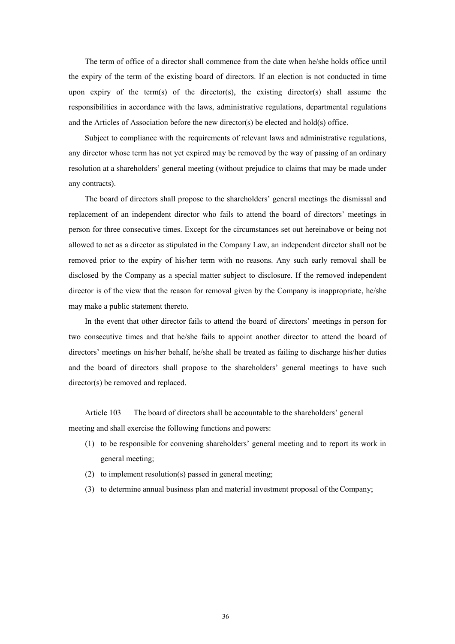The term of office of a director shall commence from the date when he/she holds office until the expiry of the term of the existing board of directors. If an election is not conducted in time upon expiry of the term(s) of the director(s), the existing director(s) shall assume the responsibilities in accordance with the laws, administrative regulations, departmental regulations and the Articles of Association before the new director(s) be elected and hold(s) office.

Subject to compliance with the requirements of relevant laws and administrative regulations, any director whose term has not yet expired may be removed by the way of passing of an ordinary resolution at a shareholders' general meeting (without prejudice to claims that may be made under any contracts).

The board of directors shall propose to the shareholders' general meetings the dismissal and replacement of an independent director who fails to attend the board of directors' meetings in person for three consecutive times. Except for the circumstances set out hereinabove or being not allowed to act as a director as stipulated in the Company Law, an independent director shall not be removed prior to the expiry of his/her term with no reasons. Any such early removal shall be disclosed by the Company as a special matter subject to disclosure. If the removed independent director is of the view that the reason for removal given by the Company is inappropriate, he/she may make a public statement thereto.

In the event that other director fails to attend the board of directors' meetings in person for two consecutive times and that he/she fails to appoint another director to attend the board of directors' meetings on his/her behalf, he/she shall be treated as failing to discharge his/her duties and the board of directors shall propose to the shareholders' general meetings to have such director(s) be removed and replaced.

Article 103 The board of directors shall be accountable to the shareholders' general meeting and shall exercise the following functions and powers:

- (1) to be responsible for convening shareholders' general meeting and to report its work in general meeting;
- (2) to implement resolution(s) passed in general meeting;
- (3) to determine annual business plan and material investment proposal of the Company;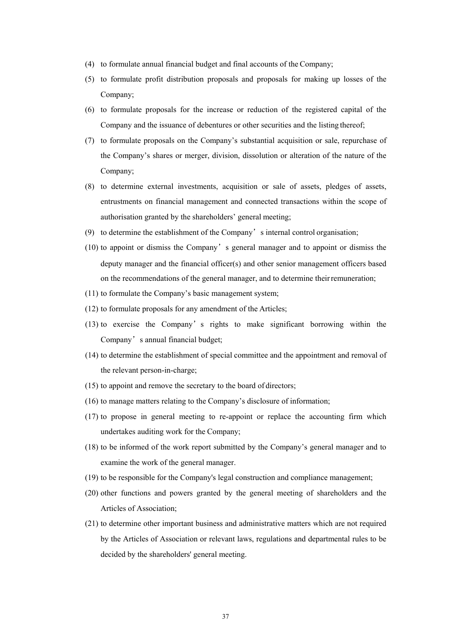- (4) to formulate annual financial budget and final accounts of the Company;
- (5) to formulate profit distribution proposals and proposals for making up losses of the Company;
- (6) to formulate proposals for the increase or reduction of the registered capital of the Company and the issuance of debentures or other securities and the listing thereof;
- (7) to formulate proposals on the Company's substantial acquisition or sale, repurchase of the Company's shares or merger, division, dissolution or alteration of the nature of the Company;
- (8) to determine external investments, acquisition or sale of assets, pledges of assets, entrustments on financial management and connected transactions within the scope of authorisation granted by the shareholders' general meeting;
- (9) to determine the establishment of the Company's internal control organisation;
- (10) to appoint or dismiss the Company's general manager and to appoint or dismiss the deputy manager and the financial officer(s) and other senior management officers based on the recommendations of the general manager, and to determine their remuneration;
- (11) to formulate the Company's basic management system;
- (12) to formulate proposals for any amendment of the Articles;
- (13) to exercise the Company's rights to make significant borrowing within the Company's annual financial budget;
- (14) to determine the establishment of special committee and the appointment and removal of the relevant person-in-charge;
- (15) to appoint and remove the secretary to the board of directors;
- (16) to manage matters relating to the Company's disclosure of information;
- (17) to propose in general meeting to re-appoint or replace the accounting firm which undertakes auditing work for the Company;
- (18) to be informed of the work report submitted by the Company's general manager and to examine the work of the general manager.
- (19) to be responsible for the Company's legal construction and compliance management;
- (20) other functions and powers granted by the general meeting of shareholders and the Articles of Association;
- (21) to determine other important business and administrative matters which are not required by the Articles of Association or relevant laws, regulations and departmental rules to be decided by the shareholders' general meeting.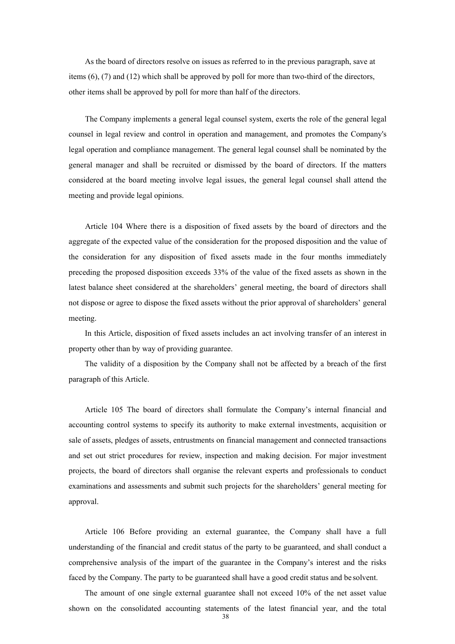As the board of directors resolve on issues as referred to in the previous paragraph, save at items (6), (7) and (12) which shall be approved by poll for more than two-third of the directors, other items shall be approved by poll for more than half of the directors.

The Company implements a general legal counsel system, exerts the role of the general legal counsel in legal review and control in operation and management, and promotes the Company's legal operation and compliance management. The general legal counsel shall be nominated by the general manager and shall be recruited or dismissed by the board of directors. If the matters considered at the board meeting involve legal issues, the general legal counsel shall attend the meeting and provide legal opinions.

Article 104 Where there is a disposition of fixed assets by the board of directors and the aggregate of the expected value of the consideration for the proposed disposition and the value of the consideration for any disposition of fixed assets made in the four months immediately preceding the proposed disposition exceeds 33% of the value of the fixed assets as shown in the latest balance sheet considered at the shareholders' general meeting, the board of directors shall not dispose or agree to dispose the fixed assets without the prior approval of shareholders' general meeting.

In this Article, disposition of fixed assets includes an act involving transfer of an interest in property other than by way of providing guarantee.

The validity of a disposition by the Company shall not be affected by a breach of the first paragraph of this Article.

Article 105 The board of directors shall formulate the Company's internal financial and accounting control systems to specify its authority to make external investments, acquisition or sale of assets, pledges of assets, entrustments on financial management and connected transactions and set out strict procedures for review, inspection and making decision. For major investment projects, the board of directors shall organise the relevant experts and professionals to conduct examinations and assessments and submit such projects for the shareholders' general meeting for approval.

Article 106 Before providing an external guarantee, the Company shall have a full understanding of the financial and credit status of the party to be guaranteed, and shall conduct a comprehensive analysis of the impart of the guarantee in the Company's interest and the risks faced by the Company. The party to be guaranteed shall have a good credit status and be solvent.

38 The amount of one single external guarantee shall not exceed 10% of the net asset value shown on the consolidated accounting statements of the latest financial year, and the total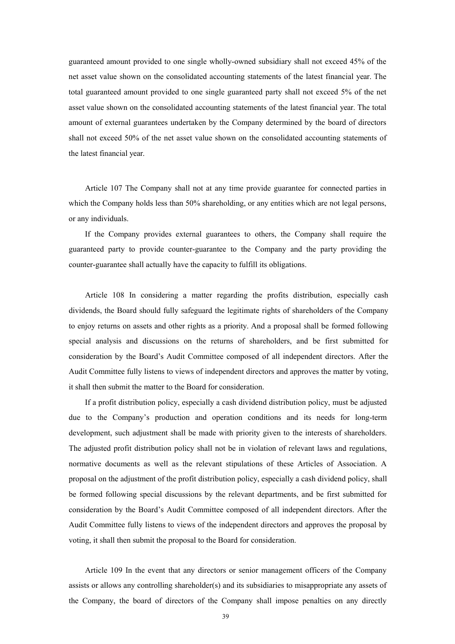guaranteed amount provided to one single wholly-owned subsidiary shall not exceed 45% of the net asset value shown on the consolidated accounting statements of the latest financial year. The total guaranteed amount provided to one single guaranteed party shall not exceed 5% of the net asset value shown on the consolidated accounting statements of the latest financial year. The total amount of external guarantees undertaken by the Company determined by the board of directors shall not exceed 50% of the net asset value shown on the consolidated accounting statements of the latest financial year.

Article 107 The Company shall not at any time provide guarantee for connected parties in which the Company holds less than 50% shareholding, or any entities which are not legal persons, or any individuals.

If the Company provides external guarantees to others, the Company shall require the guaranteed party to provide counter-guarantee to the Company and the party providing the counter-guarantee shall actually have the capacity to fulfill its obligations.

Article 108 In considering a matter regarding the profits distribution, especially cash dividends, the Board should fully safeguard the legitimate rights of shareholders of the Company to enjoy returns on assets and other rights as a priority. And a proposal shall be formed following special analysis and discussions on the returns of shareholders, and be first submitted for consideration by the Board's Audit Committee composed of all independent directors. After the Audit Committee fully listens to views of independent directors and approves the matter by voting, it shall then submit the matter to the Board for consideration.

If a profit distribution policy, especially a cash dividend distribution policy, must be adjusted due to the Company's production and operation conditions and its needs for long-term development, such adjustment shall be made with priority given to the interests of shareholders. The adjusted profit distribution policy shall not be in violation of relevant laws and regulations, normative documents as well as the relevant stipulations of these Articles of Association. A proposal on the adjustment of the profit distribution policy, especially a cash dividend policy, shall be formed following special discussions by the relevant departments, and be first submitted for consideration by the Board's Audit Committee composed of all independent directors. After the Audit Committee fully listens to views of the independent directors and approves the proposal by voting, it shall then submit the proposal to the Board for consideration.

Article 109 In the event that any directors or senior management officers of the Company assists or allows any controlling shareholder(s) and its subsidiaries to misappropriate any assets of the Company, the board of directors of the Company shall impose penalties on any directly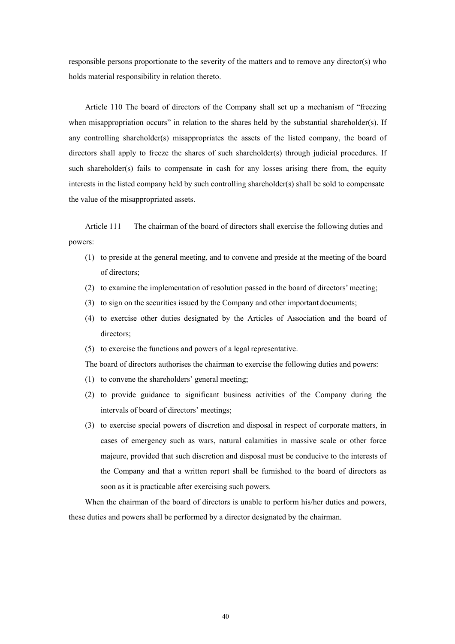responsible persons proportionate to the severity of the matters and to remove any director(s) who holds material responsibility in relation thereto.

Article 110 The board of directors of the Company shall set up a mechanism of "freezing when misappropriation occurs" in relation to the shares held by the substantial shareholder(s). If any controlling shareholder(s) misappropriates the assets of the listed company, the board of directors shall apply to freeze the shares of such shareholder(s) through judicial procedures. If such shareholder(s) fails to compensate in cash for any losses arising there from, the equity interests in the listed company held by such controlling shareholder(s) shall be sold to compensate the value of the misappropriated assets.

Article 111 The chairman of the board of directors shall exercise the following duties and powers:

- (1) to preside at the general meeting, and to convene and preside at the meeting of the board of directors;
- (2) to examine the implementation of resolution passed in the board of directors' meeting;
- (3) to sign on the securities issued by the Company and other important documents;
- (4) to exercise other duties designated by the Articles of Association and the board of directors;
- (5) to exercise the functions and powers of a legal representative.

The board of directors authorises the chairman to exercise the following duties and powers:

- (1) to convene the shareholders' general meeting;
- (2) to provide guidance to significant business activities of the Company during the intervals of board of directors' meetings;
- (3) to exercise special powers of discretion and disposal in respect of corporate matters, in cases of emergency such as wars, natural calamities in massive scale or other force majeure, provided that such discretion and disposal must be conducive to the interests of the Company and that a written report shall be furnished to the board of directors as soon as it is practicable after exercising such powers.

When the chairman of the board of directors is unable to perform his/her duties and powers, these duties and powers shall be performed by a director designated by the chairman.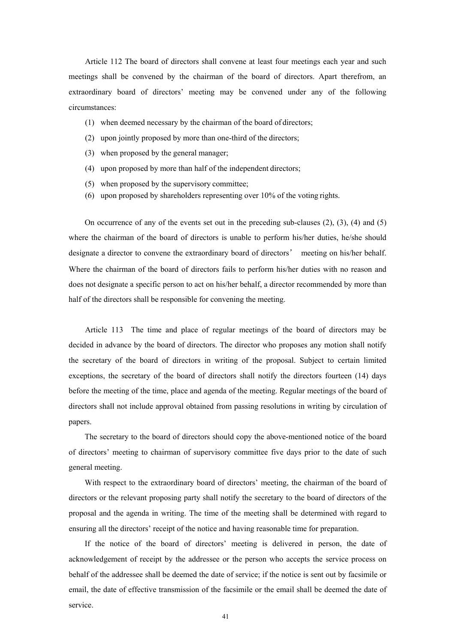Article 112 The board of directors shall convene at least four meetings each year and such meetings shall be convened by the chairman of the board of directors. Apart therefrom, an extraordinary board of directors' meeting may be convened under any of the following circumstances:

- (1) when deemed necessary by the chairman of the board of directors;
- (2) upon jointly proposed by more than one-third of the directors;
- (3) when proposed by the general manager;
- (4) upon proposed by more than half of the independent directors;
- (5) when proposed by the supervisory committee;
- (6) upon proposed by shareholders representing over 10% of the voting rights.

On occurrence of any of the events set out in the preceding sub-clauses  $(2)$ ,  $(3)$ ,  $(4)$  and  $(5)$ where the chairman of the board of directors is unable to perform his/her duties, he/she should designate a director to convene the extraordinary board of directors' meeting on his/her behalf. Where the chairman of the board of directors fails to perform his/her duties with no reason and does not designate a specific person to act on his/her behalf, a director recommended by more than half of the directors shall be responsible for convening the meeting.

Article 113 The time and place of regular meetings of the board of directors may be decided in advance by the board of directors. The director who proposes any motion shall notify the secretary of the board of directors in writing of the proposal. Subject to certain limited exceptions, the secretary of the board of directors shall notify the directors fourteen (14) days before the meeting of the time, place and agenda of the meeting. Regular meetings of the board of directors shall not include approval obtained from passing resolutions in writing by circulation of papers.

The secretary to the board of directors should copy the above-mentioned notice of the board of directors' meeting to chairman of supervisory committee five days prior to the date of such general meeting.

With respect to the extraordinary board of directors' meeting, the chairman of the board of directors or the relevant proposing party shall notify the secretary to the board of directors of the proposal and the agenda in writing. The time of the meeting shall be determined with regard to ensuring all the directors' receipt of the notice and having reasonable time for preparation.

If the notice of the board of directors' meeting is delivered in person, the date of acknowledgement of receipt by the addressee or the person who accepts the service process on behalf of the addressee shall be deemed the date of service; if the notice is sent out by facsimile or email, the date of effective transmission of the facsimile or the email shall be deemed the date of service.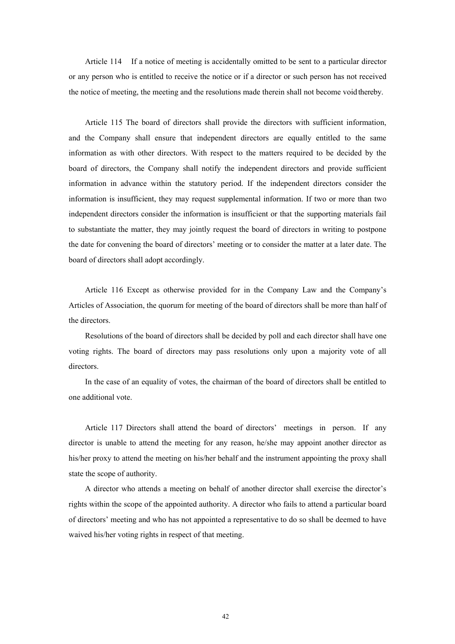Article 114 If a notice of meeting is accidentally omitted to be sent to a particular director or any person who is entitled to receive the notice or if a director or such person has not received the notice of meeting, the meeting and the resolutions made therein shall not become void thereby.

Article 115 The board of directors shall provide the directors with sufficient information, and the Company shall ensure that independent directors are equally entitled to the same information as with other directors. With respect to the matters required to be decided by the board of directors, the Company shall notify the independent directors and provide sufficient information in advance within the statutory period. If the independent directors consider the information is insufficient, they may request supplemental information. If two or more than two independent directors consider the information is insufficient or that the supporting materials fail to substantiate the matter, they may jointly request the board of directors in writing to postpone the date for convening the board of directors' meeting or to consider the matter at a later date. The board of directors shall adopt accordingly.

Article 116 Except as otherwise provided for in the Company Law and the Company's Articles of Association, the quorum for meeting of the board of directors shall be more than half of the directors.

Resolutions of the board of directors shall be decided by poll and each director shall have one voting rights. The board of directors may pass resolutions only upon a majority vote of all directors.

In the case of an equality of votes, the chairman of the board of directors shall be entitled to one additional vote.

Article 117 Directors shall attend the board of directors' meetings in person. If any director is unable to attend the meeting for any reason, he/she may appoint another director as his/her proxy to attend the meeting on his/her behalf and the instrument appointing the proxy shall state the scope of authority.

A director who attends a meeting on behalf of another director shall exercise the director's rights within the scope of the appointed authority. A director who fails to attend a particular board of directors' meeting and who has not appointed a representative to do so shall be deemed to have waived his/her voting rights in respect of that meeting.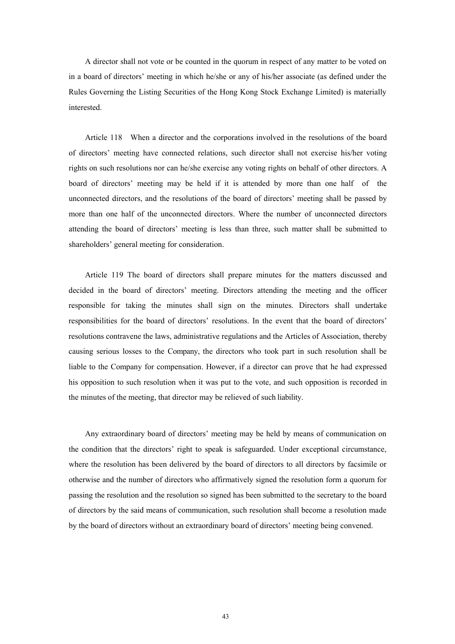A director shall not vote or be counted in the quorum in respect of any matter to be voted on in a board of directors' meeting in which he/she or any of his/her associate (as defined under the Rules Governing the Listing Securities of the Hong Kong Stock Exchange Limited) is materially interested.

Article 118 When a director and the corporations involved in the resolutions of the board of directors' meeting have connected relations, such director shall not exercise his/her voting rights on such resolutions nor can he/she exercise any voting rights on behalf of other directors. A board of directors' meeting may be held if it is attended by more than one half of the unconnected directors, and the resolutions of the board of directors' meeting shall be passed by more than one half of the unconnected directors. Where the number of unconnected directors attending the board of directors' meeting is less than three, such matter shall be submitted to shareholders' general meeting for consideration.

Article 119 The board of directors shall prepare minutes for the matters discussed and decided in the board of directors' meeting. Directors attending the meeting and the officer responsible for taking the minutes shall sign on the minutes. Directors shall undertake responsibilities for the board of directors' resolutions. In the event that the board of directors' resolutions contravene the laws, administrative regulations and the Articles of Association, thereby causing serious losses to the Company, the directors who took part in such resolution shall be liable to the Company for compensation. However, if a director can prove that he had expressed his opposition to such resolution when it was put to the vote, and such opposition is recorded in the minutes of the meeting, that director may be relieved of such liability.

Any extraordinary board of directors' meeting may be held by means of communication on the condition that the directors' right to speak is safeguarded. Under exceptional circumstance, where the resolution has been delivered by the board of directors to all directors by facsimile or otherwise and the number of directors who affirmatively signed the resolution form a quorum for passing the resolution and the resolution so signed has been submitted to the secretary to the board of directors by the said means of communication, such resolution shall become a resolution made by the board of directors without an extraordinary board of directors' meeting being convened.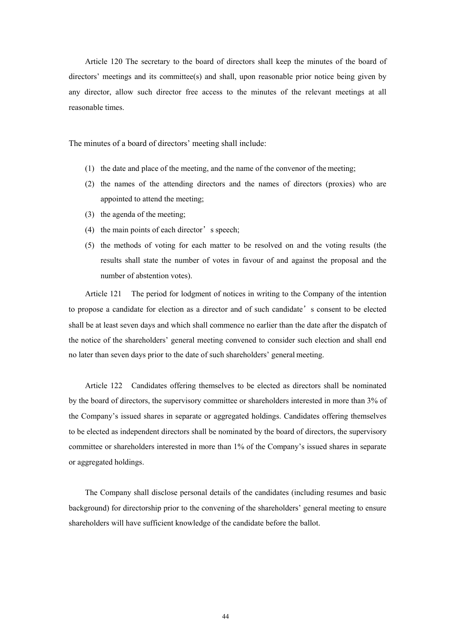Article 120 The secretary to the board of directors shall keep the minutes of the board of directors' meetings and its committee(s) and shall, upon reasonable prior notice being given by any director, allow such director free access to the minutes of the relevant meetings at all reasonable times.

The minutes of a board of directors' meeting shall include:

- (1) the date and place of the meeting, and the name of the convenor of the meeting;
- (2) the names of the attending directors and the names of directors (proxies) who are appointed to attend the meeting;
- (3) the agenda of the meeting;
- (4) the main points of each director's speech;
- (5) the methods of voting for each matter to be resolved on and the voting results (the results shall state the number of votes in favour of and against the proposal and the number of abstention votes).

Article 121 The period for lodgment of notices in writing to the Company of the intention to propose a candidate for election as a director and of such candidate's consent to be elected shall be at least seven days and which shall commence no earlier than the date after the dispatch of the notice of the shareholders' general meeting convened to consider such election and shall end no later than seven days prior to the date of such shareholders' general meeting.

Article 122 Candidates offering themselves to be elected as directors shall be nominated by the board of directors, the supervisory committee or shareholders interested in more than 3% of the Company's issued shares in separate or aggregated holdings. Candidates offering themselves to be elected as independent directors shall be nominated by the board of directors, the supervisory committee or shareholders interested in more than 1% of the Company's issued shares in separate or aggregated holdings.

The Company shall disclose personal details of the candidates (including resumes and basic background) for directorship prior to the convening of the shareholders' general meeting to ensure shareholders will have sufficient knowledge of the candidate before the ballot.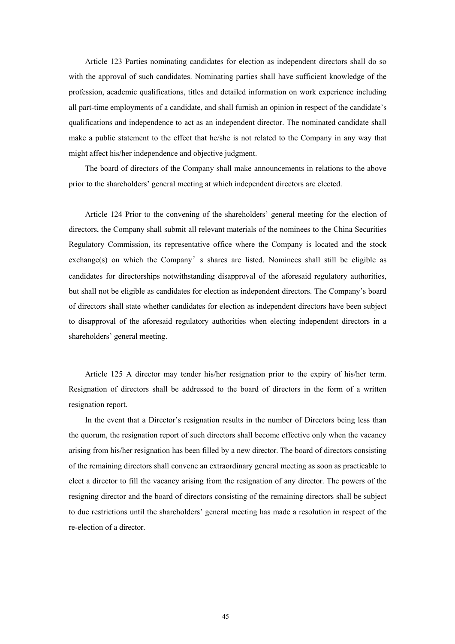Article 123 Parties nominating candidates for election as independent directors shall do so with the approval of such candidates. Nominating parties shall have sufficient knowledge of the profession, academic qualifications, titles and detailed information on work experience including all part-time employments of a candidate, and shall furnish an opinion in respect of the candidate's qualifications and independence to act as an independent director. The nominated candidate shall make a public statement to the effect that he/she is not related to the Company in any way that might affect his/her independence and objective judgment.

The board of directors of the Company shall make announcements in relations to the above prior to the shareholders' general meeting at which independent directors are elected.

Article 124 Prior to the convening of the shareholders' general meeting for the election of directors, the Company shall submit all relevant materials of the nominees to the China Securities Regulatory Commission, its representative office where the Company is located and the stock exchange(s) on which the Company's shares are listed. Nominees shall still be eligible as candidates for directorships notwithstanding disapproval of the aforesaid regulatory authorities, but shall not be eligible as candidates for election as independent directors. The Company's board of directors shall state whether candidates for election as independent directors have been subject to disapproval of the aforesaid regulatory authorities when electing independent directors in a shareholders' general meeting.

Article 125 A director may tender his/her resignation prior to the expiry of his/her term. Resignation of directors shall be addressed to the board of directors in the form of a written resignation report.

In the event that a Director's resignation results in the number of Directors being less than the quorum, the resignation report of such directors shall become effective only when the vacancy arising from his/her resignation has been filled by a new director. The board of directors consisting of the remaining directors shall convene an extraordinary general meeting as soon as practicable to elect a director to fill the vacancy arising from the resignation of any director. The powers of the resigning director and the board of directors consisting of the remaining directors shall be subject to due restrictions until the shareholders' general meeting has made a resolution in respect of the re-election of a director.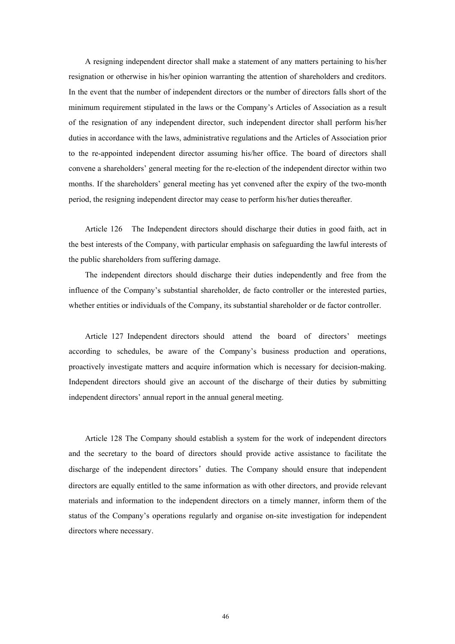A resigning independent director shall make a statement of any matters pertaining to his/her resignation or otherwise in his/her opinion warranting the attention of shareholders and creditors. In the event that the number of independent directors or the number of directors falls short of the minimum requirement stipulated in the laws or the Company's Articles of Association as a result of the resignation of any independent director, such independent director shall perform his/her duties in accordance with the laws, administrative regulations and the Articles of Association prior to the re-appointed independent director assuming his/her office. The board of directors shall convene a shareholders' general meeting for the re-election of the independent director within two months. If the shareholders' general meeting has yet convened after the expiry of the two-month period, the resigning independent director may cease to perform his/her duties thereafter.

Article 126 The Independent directors should discharge their duties in good faith, act in the best interests of the Company, with particular emphasis on safeguarding the lawful interests of the public shareholders from suffering damage.

The independent directors should discharge their duties independently and free from the influence of the Company's substantial shareholder, de facto controller or the interested parties, whether entities or individuals of the Company, its substantial shareholder or de factor controller.

Article 127 Independent directors should attend the board of directors' meetings according to schedules, be aware of the Company's business production and operations, proactively investigate matters and acquire information which is necessary for decision-making. Independent directors should give an account of the discharge of their duties by submitting independent directors' annual report in the annual general meeting.

Article 128 The Company should establish a system for the work of independent directors and the secretary to the board of directors should provide active assistance to facilitate the discharge of the independent directors'duties. The Company should ensure that independent directors are equally entitled to the same information as with other directors, and provide relevant materials and information to the independent directors on a timely manner, inform them of the status of the Company's operations regularly and organise on-site investigation for independent directors where necessary.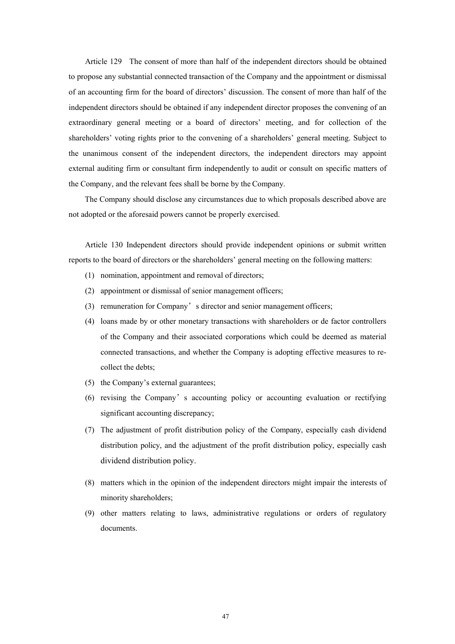Article 129 The consent of more than half of the independent directors should be obtained to propose any substantial connected transaction of the Company and the appointment or dismissal of an accounting firm for the board of directors' discussion. The consent of more than half of the independent directors should be obtained if any independent director proposes the convening of an extraordinary general meeting or a board of directors' meeting, and for collection of the shareholders' voting rights prior to the convening of a shareholders' general meeting. Subject to the unanimous consent of the independent directors, the independent directors may appoint external auditing firm or consultant firm independently to audit or consult on specific matters of the Company, and the relevant fees shall be borne by the Company.

The Company should disclose any circumstances due to which proposals described above are not adopted or the aforesaid powers cannot be properly exercised.

Article 130 Independent directors should provide independent opinions or submit written reports to the board of directors or the shareholders' general meeting on the following matters:

- (1) nomination, appointment and removal of directors;
- (2) appointment or dismissal of senior management officers;
- (3) remuneration for Company's director and senior management officers;
- (4) loans made by or other monetary transactions with shareholders or de factor controllers of the Company and their associated corporations which could be deemed as material connected transactions, and whether the Company is adopting effective measures to recollect the debts;
- (5) the Company's external guarantees;
- (6) revising the Company's accounting policy or accounting evaluation or rectifying significant accounting discrepancy;
- (7) The adjustment of profit distribution policy of the Company, especially cash dividend distribution policy, and the adjustment of the profit distribution policy, especially cash dividend distribution policy.
- (8) matters which in the opinion of the independent directors might impair the interests of minority shareholders;
- (9) other matters relating to laws, administrative regulations or orders of regulatory documents.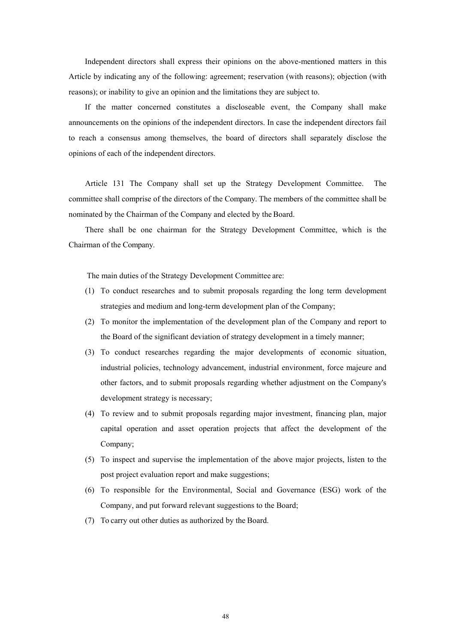Independent directors shall express their opinions on the above-mentioned matters in this Article by indicating any of the following: agreement; reservation (with reasons); objection (with reasons); or inability to give an opinion and the limitations they are subject to.

If the matter concerned constitutes a discloseable event, the Company shall make announcements on the opinions of the independent directors. In case the independent directors fail to reach a consensus among themselves, the board of directors shall separately disclose the opinions of each of the independent directors.

Article 131 The Company shall set up the Strategy Development Committee. The committee shall comprise of the directors of the Company. The members of the committee shall be nominated by the Chairman of the Company and elected by the Board.

There shall be one chairman for the Strategy Development Committee, which is the Chairman of the Company.

The main duties of the Strategy Development Committee are:

- (1) To conduct researches and to submit proposals regarding the long term development strategies and medium and long-term development plan of the Company;
- (2) To monitor the implementation of the development plan of the Company and report to the Board of the significant deviation of strategy development in a timely manner;
- (3) To conduct researches regarding the major developments of economic situation, industrial policies, technology advancement, industrial environment, force majeure and other factors, and to submit proposals regarding whether adjustment on the Company's development strategy is necessary;
- (4) To review and to submit proposals regarding major investment, financing plan, major capital operation and asset operation projects that affect the development of the Company;
- (5) To inspect and supervise the implementation of the above major projects, listen to the post project evaluation report and make suggestions;
- (6) To responsible for the Environmental, Social and Governance (ESG) work of the Company, and put forward relevant suggestions to the Board;
- (7) To carry out other duties as authorized by the Board.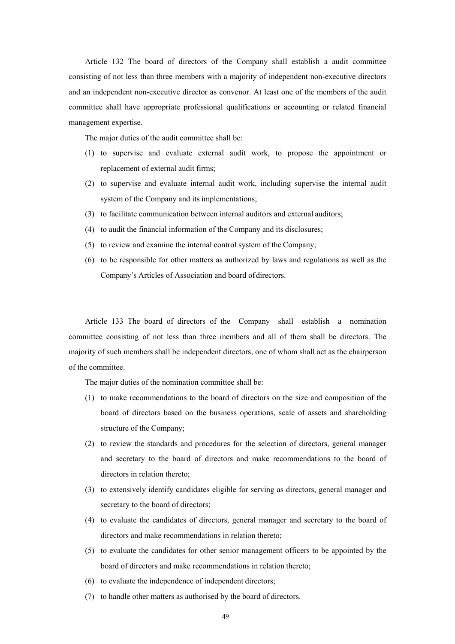Article 132 The board of directors of the Company shall establish a audit committee consisting of not less than three members with a majority of independent non-executive directors and an independent non-executive director as convenor. At least one of the members of the audit committee shall have appropriate professional qualifications or accounting or related financial management expertise.

The major duties of the audit committee shall be:

- (1) to supervise and evaluate external audit work, to propose the appointment or replacement of external audit firms;
- (2) to supervise and evaluate internal audit work, including supervise the internal audit system of the Company and its implementations;
- (3) to facilitate communication between internal auditors and external auditors;
- (4) to audit the financial information of the Company and its disclosures;
- (5) to review and examine the internal control system of the Company;
- (6) to be responsible for other matters as authorized by laws and regulations as well as the Company's Articles of Association and board of directors.

Article 133 The board of directors of the Company shall establish a nomination committee consisting of not less than three members and all of them shall be directors. The majority of such members shall be independent directors, one of whom shall act as the chairperson of the committee.

The major duties of the nomination committee shall be:

- (1) to make recommendations to the board of directors on the size and composition of the board of directors based on the business operations, scale of assets and shareholding structure of the Company;
- (2) to review the standards and procedures for the selection of directors, general manager and secretary to the board of directors and make recommendations to the board of directors in relation thereto;
- (3) to extensively identify candidates eligible for serving as directors, general manager and secretary to the board of directors;
- (4) to evaluate the candidates of directors, general manager and secretary to the board of directors and make recommendations in relation thereto;
- (5) to evaluate the candidates for other senior management officers to be appointed by the board of directors and make recommendations in relation thereto;
- (6) to evaluate the independence of independent directors;
- (7) to handle other matters as authorised by the board of directors.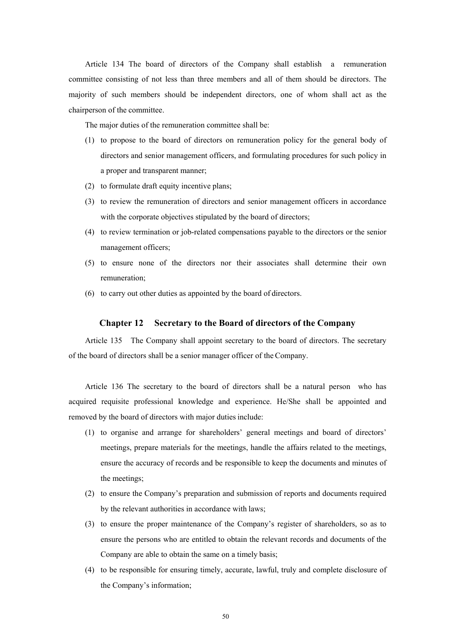Article 134 The board of directors of the Company shall establish a remuneration committee consisting of not less than three members and all of them should be directors. The majority of such members should be independent directors, one of whom shall act as the chairperson of the committee.

The major duties of the remuneration committee shall be:

- (1) to propose to the board of directors on remuneration policy for the general body of directors and senior management officers, and formulating procedures for such policy in a proper and transparent manner;
- (2) to formulate draft equity incentive plans;
- (3) to review the remuneration of directors and senior management officers in accordance with the corporate objectives stipulated by the board of directors;
- (4) to review termination or job-related compensations payable to the directors or the senior management officers;
- (5) to ensure none of the directors nor their associates shall determine their own remuneration;
- (6) to carry out other duties as appointed by the board of directors.

#### **Chapter 12 Secretary to the Board of directors of the Company**

Article 135 The Company shall appoint secretary to the board of directors. The secretary of the board of directors shall be a senior manager officer of the Company.

Article 136 The secretary to the board of directors shall be a natural person who has acquired requisite professional knowledge and experience. He/She shall be appointed and removed by the board of directors with major duties include:

- (1) to organise and arrange for shareholders' general meetings and board of directors' meetings, prepare materials for the meetings, handle the affairs related to the meetings, ensure the accuracy of records and be responsible to keep the documents and minutes of the meetings;
- (2) to ensure the Company's preparation and submission of reports and documents required by the relevant authorities in accordance with laws;
- (3) to ensure the proper maintenance of the Company's register of shareholders, so as to ensure the persons who are entitled to obtain the relevant records and documents of the Company are able to obtain the same on a timely basis;
- (4) to be responsible for ensuring timely, accurate, lawful, truly and complete disclosure of the Company's information;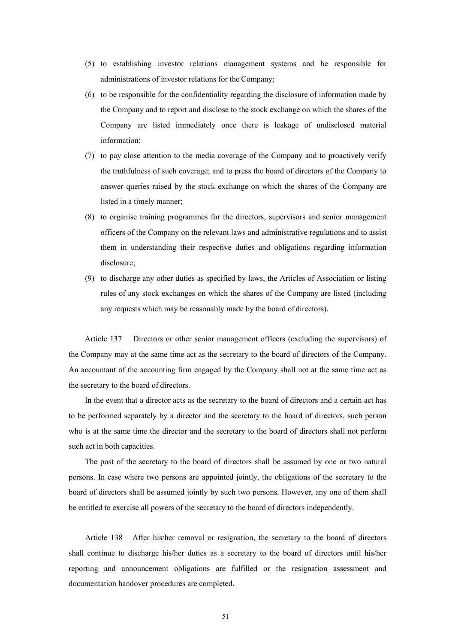- (5) to establishing investor relations management systems and be responsible for administrations of investor relations for the Company;
- (6) to be responsible for the confidentiality regarding the disclosure of information made by the Company and to report and disclose to the stock exchange on which the shares of the Company are listed immediately once there is leakage of undisclosed material information;
- (7) to pay close attention to the media coverage of the Company and to proactively verify the truthfulness of such coverage; and to press the board of directors of the Company to answer queries raised by the stock exchange on which the shares of the Company are listed in a timely manner;
- (8) to organise training programmes for the directors, supervisors and senior management officers of the Company on the relevant laws and administrative regulations and to assist them in understanding their respective duties and obligations regarding information disclosure;
- (9) to discharge any other duties as specified by laws, the Articles of Association or listing rules of any stock exchanges on which the shares of the Company are listed (including any requests which may be reasonably made by the board of directors).

Article 137 Directors or other senior management officers (excluding the supervisors) of the Company may at the same time act as the secretary to the board of directors of the Company. An accountant of the accounting firm engaged by the Company shall not at the same time act as the secretary to the board of directors.

In the event that a director acts as the secretary to the board of directors and a certain act has to be performed separately by a director and the secretary to the board of directors, such person who is at the same time the director and the secretary to the board of directors shall not perform such act in both capacities.

The post of the secretary to the board of directors shall be assumed by one or two natural persons. In case where two persons are appointed jointly, the obligations of the secretary to the board of directors shall be assumed jointly by such two persons. However, any one of them shall be entitled to exercise all powers of the secretary to the board of directors independently.

Article 138 After his/her removal or resignation, the secretary to the board of directors shall continue to discharge his/her duties as a secretary to the board of directors until his/her reporting and announcement obligations are fulfilled or the resignation assessment and documentation handover procedures are completed.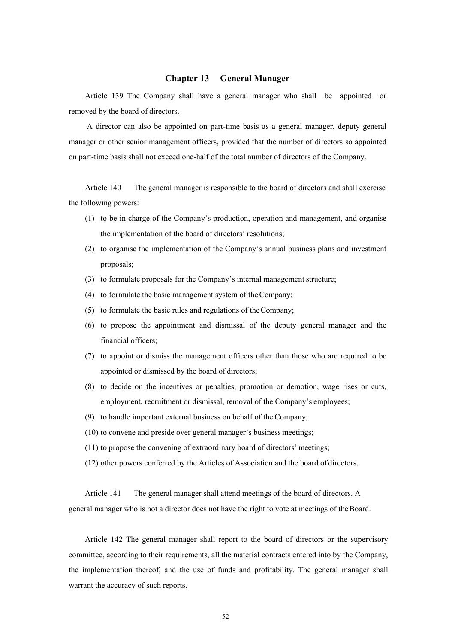#### **Chapter 13 General Manager**

Article 139 The Company shall have a general manager who shall be appointed or removed by the board of directors.

A director can also be appointed on part-time basis as a general manager, deputy general manager or other senior management officers, provided that the number of directors so appointed on part-time basis shall not exceed one-half of the total number of directors of the Company.

Article 140 The general manager is responsible to the board of directors and shall exercise the following powers:

- (1) to be in charge of the Company's production, operation and management, and organise the implementation of the board of directors' resolutions;
- (2) to organise the implementation of the Company's annual business plans and investment proposals;
- (3) to formulate proposals for the Company's internal management structure;
- (4) to formulate the basic management system of the Company;
- (5) to formulate the basic rules and regulations of the Company;
- (6) to propose the appointment and dismissal of the deputy general manager and the financial officers;
- (7) to appoint or dismiss the management officers other than those who are required to be appointed or dismissed by the board of directors;
- (8) to decide on the incentives or penalties, promotion or demotion, wage rises or cuts, employment, recruitment or dismissal, removal of the Company's employees;
- (9) to handle important external business on behalf of the Company;
- (10) to convene and preside over general manager's business meetings;
- (11) to propose the convening of extraordinary board of directors' meetings;
- (12) other powers conferred by the Articles of Association and the board of directors.

Article 141 The general manager shall attend meetings of the board of directors. A general manager who is not a director does not have the right to vote at meetings of the Board.

Article 142 The general manager shall report to the board of directors or the supervisory committee, according to their requirements, all the material contracts entered into by the Company, the implementation thereof, and the use of funds and profitability. The general manager shall warrant the accuracy of such reports.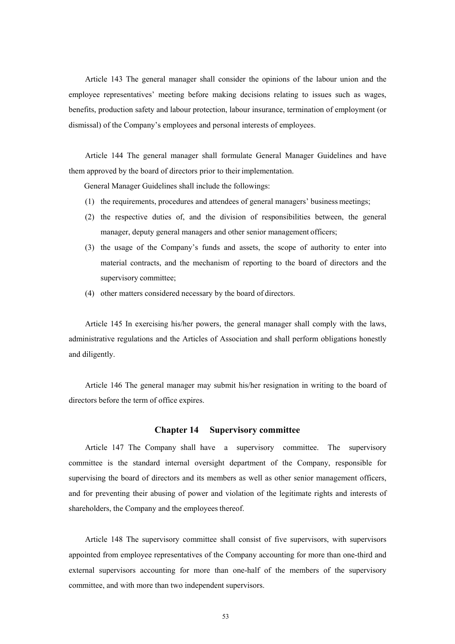Article 143 The general manager shall consider the opinions of the labour union and the employee representatives' meeting before making decisions relating to issues such as wages, benefits, production safety and labour protection, labour insurance, termination of employment (or dismissal) of the Company's employees and personal interests of employees.

Article 144 The general manager shall formulate General Manager Guidelines and have them approved by the board of directors prior to their implementation.

General Manager Guidelines shall include the followings:

- (1) the requirements, procedures and attendees of general managers' business meetings;
- (2) the respective duties of, and the division of responsibilities between, the general manager, deputy general managers and other senior management officers;
- (3) the usage of the Company's funds and assets, the scope of authority to enter into material contracts, and the mechanism of reporting to the board of directors and the supervisory committee;
- (4) other matters considered necessary by the board of directors.

Article 145 In exercising his/her powers, the general manager shall comply with the laws, administrative regulations and the Articles of Association and shall perform obligations honestly and diligently.

Article 146 The general manager may submit his/her resignation in writing to the board of directors before the term of office expires.

#### **Chapter 14 Supervisory committee**

Article 147 The Company shall have a supervisory committee. The supervisory committee is the standard internal oversight department of the Company, responsible for supervising the board of directors and its members as well as other senior management officers, and for preventing their abusing of power and violation of the legitimate rights and interests of shareholders, the Company and the employees thereof.

Article 148 The supervisory committee shall consist of five supervisors, with supervisors appointed from employee representatives of the Company accounting for more than one-third and external supervisors accounting for more than one-half of the members of the supervisory committee, and with more than two independent supervisors.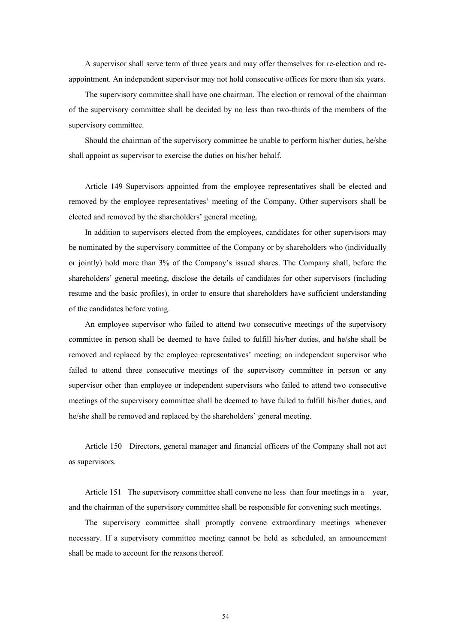A supervisor shall serve term of three years and may offer themselves for re-election and reappointment. An independent supervisor may not hold consecutive offices for more than six years.

The supervisory committee shall have one chairman. The election or removal of the chairman of the supervisory committee shall be decided by no less than two-thirds of the members of the supervisory committee.

Should the chairman of the supervisory committee be unable to perform his/her duties, he/she shall appoint as supervisor to exercise the duties on his/her behalf.

Article 149 Supervisors appointed from the employee representatives shall be elected and removed by the employee representatives' meeting of the Company. Other supervisors shall be elected and removed by the shareholders' general meeting.

In addition to supervisors elected from the employees, candidates for other supervisors may be nominated by the supervisory committee of the Company or by shareholders who (individually or jointly) hold more than 3% of the Company's issued shares. The Company shall, before the shareholders' general meeting, disclose the details of candidates for other supervisors (including resume and the basic profiles), in order to ensure that shareholders have sufficient understanding of the candidates before voting.

An employee supervisor who failed to attend two consecutive meetings of the supervisory committee in person shall be deemed to have failed to fulfill his/her duties, and he/she shall be removed and replaced by the employee representatives' meeting; an independent supervisor who failed to attend three consecutive meetings of the supervisory committee in person or any supervisor other than employee or independent supervisors who failed to attend two consecutive meetings of the supervisory committee shall be deemed to have failed to fulfill his/her duties, and he/she shall be removed and replaced by the shareholders' general meeting.

Article 150 Directors, general manager and financial officers of the Company shall not act as supervisors.

Article 151 The supervisory committee shall convene no less than four meetings in a year, and the chairman of the supervisory committee shall be responsible for convening such meetings.

The supervisory committee shall promptly convene extraordinary meetings whenever necessary. If a supervisory committee meeting cannot be held as scheduled, an announcement shall be made to account for the reasons thereof.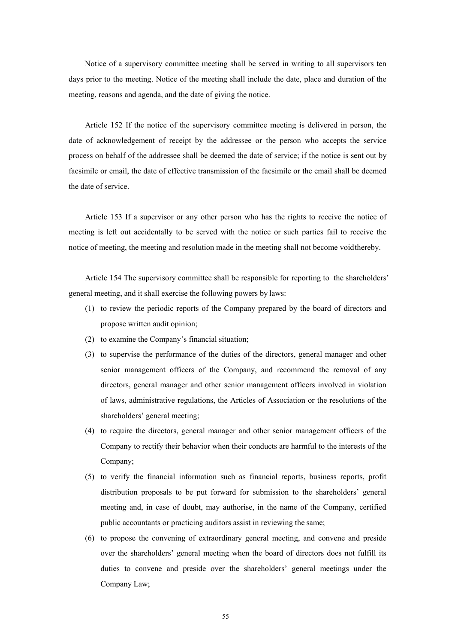Notice of a supervisory committee meeting shall be served in writing to all supervisors ten days prior to the meeting. Notice of the meeting shall include the date, place and duration of the meeting, reasons and agenda, and the date of giving the notice.

Article 152 If the notice of the supervisory committee meeting is delivered in person, the date of acknowledgement of receipt by the addressee or the person who accepts the service process on behalf of the addressee shall be deemed the date of service; if the notice is sent out by facsimile or email, the date of effective transmission of the facsimile or the email shall be deemed the date of service.

Article 153 If a supervisor or any other person who has the rights to receive the notice of meeting is left out accidentally to be served with the notice or such parties fail to receive the notice of meeting, the meeting and resolution made in the meeting shall not become void thereby.

Article 154 The supervisory committee shall be responsible for reporting to the shareholders' general meeting, and it shall exercise the following powers by laws:

- (1) to review the periodic reports of the Company prepared by the board of directors and propose written audit opinion;
- (2) to examine the Company's financial situation;
- (3) to supervise the performance of the duties of the directors, general manager and other senior management officers of the Company, and recommend the removal of any directors, general manager and other senior management officers involved in violation of laws, administrative regulations, the Articles of Association or the resolutions of the shareholders' general meeting;
- (4) to require the directors, general manager and other senior management officers of the Company to rectify their behavior when their conducts are harmful to the interests of the Company;
- (5) to verify the financial information such as financial reports, business reports, profit distribution proposals to be put forward for submission to the shareholders' general meeting and, in case of doubt, may authorise, in the name of the Company, certified public accountants or practicing auditors assist in reviewing the same;
- (6) to propose the convening of extraordinary general meeting, and convene and preside over the shareholders' general meeting when the board of directors does not fulfill its duties to convene and preside over the shareholders' general meetings under the Company Law;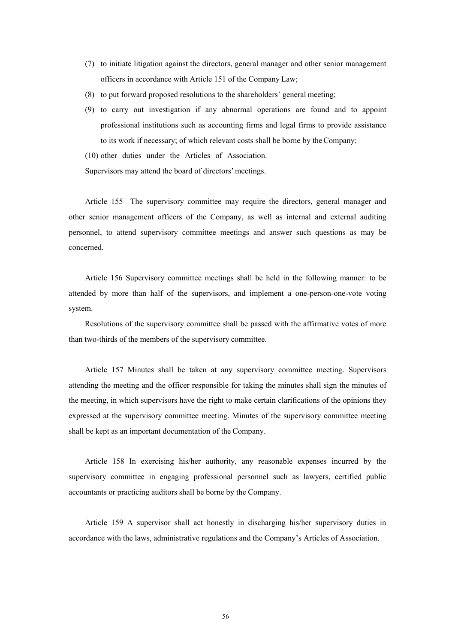- (7) to initiate litigation against the directors, general manager and other senior management officers in accordance with Article 151 of the Company Law;
- (8) to put forward proposed resolutions to the shareholders' general meeting;
- (9) to carry out investigation if any abnormal operations are found and to appoint professional institutions such as accounting firms and legal firms to provide assistance to its work if necessary; of which relevant costs shall be borne by the Company;

(10) other duties under the Articles of Association.

Supervisors may attend the board of directors' meetings.

Article 155 The supervisory committee may require the directors, general manager and other senior management officers of the Company, as well as internal and external auditing personnel, to attend supervisory committee meetings and answer such questions as may be concerned.

Article 156 Supervisory committee meetings shall be held in the following manner: to be attended by more than half of the supervisors, and implement a one-person-one-vote voting system.

Resolutions of the supervisory committee shall be passed with the affirmative votes of more than two-thirds of the members of the supervisory committee.

Article 157 Minutes shall be taken at any supervisory committee meeting. Supervisors attending the meeting and the officer responsible for taking the minutes shall sign the minutes of the meeting, in which supervisors have the right to make certain clarifications of the opinions they expressed at the supervisory committee meeting. Minutes of the supervisory committee meeting shall be kept as an important documentation of the Company.

Article 158 In exercising his/her authority, any reasonable expenses incurred by the supervisory committee in engaging professional personnel such as lawyers, certified public accountants or practicing auditors shall be borne by the Company.

Article 159 A supervisor shall act honestly in discharging his/her supervisory duties in accordance with the laws, administrative regulations and the Company's Articles of Association.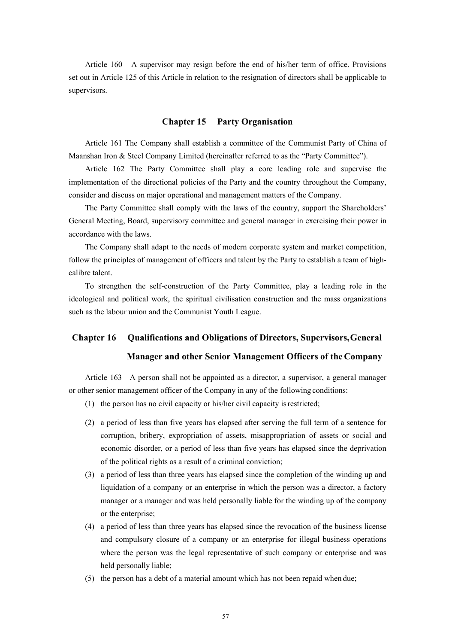Article 160 A supervisor may resign before the end of his/her term of office. Provisions set out in Article 125 of this Article in relation to the resignation of directors shall be applicable to supervisors.

#### **Chapter 15 Party Organisation**

Article 161 The Company shall establish a committee of the Communist Party of China of Maanshan Iron & Steel Company Limited (hereinafter referred to as the "Party Committee").

Article 162 The Party Committee shall play a core leading role and supervise the implementation of the directional policies of the Party and the country throughout the Company, consider and discuss on major operational and management matters of the Company.

The Party Committee shall comply with the laws of the country, support the Shareholders' General Meeting, Board, supervisory committee and general manager in exercising their power in accordance with the laws.

The Company shall adapt to the needs of modern corporate system and market competition, follow the principles of management of officers and talent by the Party to establish a team of highcalibre talent.

To strengthen the self-construction of the Party Committee, play a leading role in the ideological and political work, the spiritual civilisation construction and the mass organizations such as the labour union and the Communist Youth League.

# **Chapter 16 Qualifications and Obligations of Directors, Supervisors, General Manager and other Senior Management Officers of the Company**

Article 163 A person shall not be appointed as a director, a supervisor, a general manager or other senior management officer of the Company in any of the following conditions:

- (1) the person has no civil capacity or his/her civil capacity is restricted;
- (2) a period of less than five years has elapsed after serving the full term of a sentence for corruption, bribery, expropriation of assets, misappropriation of assets or social and economic disorder, or a period of less than five years has elapsed since the deprivation of the political rights as a result of a criminal conviction;
- (3) a period of less than three years has elapsed since the completion of the winding up and liquidation of a company or an enterprise in which the person was a director, a factory manager or a manager and was held personally liable for the winding up of the company or the enterprise;
- (4) a period of less than three years has elapsed since the revocation of the business license and compulsory closure of a company or an enterprise for illegal business operations where the person was the legal representative of such company or enterprise and was held personally liable;
- (5) the person has a debt of a material amount which has not been repaid when due;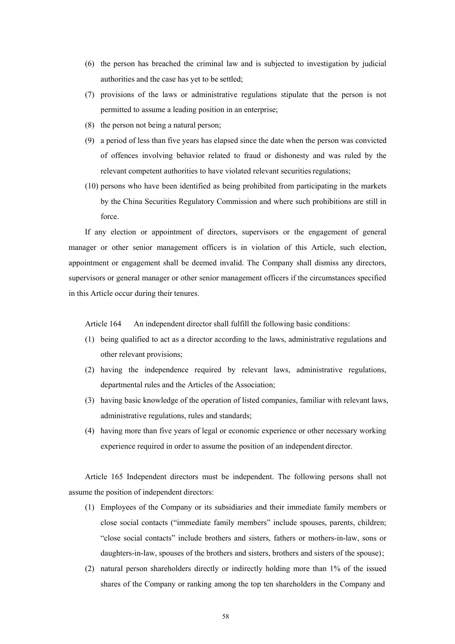- (6) the person has breached the criminal law and is subjected to investigation by judicial authorities and the case has yet to be settled;
- (7) provisions of the laws or administrative regulations stipulate that the person is not permitted to assume a leading position in an enterprise;
- (8) the person not being a natural person;
- (9) a period of less than five years has elapsed since the date when the person was convicted of offences involving behavior related to fraud or dishonesty and was ruled by the relevant competent authorities to have violated relevant securities regulations;
- (10) persons who have been identified as being prohibited from participating in the markets by the China Securities Regulatory Commission and where such prohibitions are still in force.

If any election or appointment of directors, supervisors or the engagement of general manager or other senior management officers is in violation of this Article, such election, appointment or engagement shall be deemed invalid. The Company shall dismiss any directors, supervisors or general manager or other senior management officers if the circumstances specified in this Article occur during their tenures.

Article 164 An independent director shall fulfill the following basic conditions:

- (1) being qualified to act as a director according to the laws, administrative regulations and other relevant provisions;
- (2) having the independence required by relevant laws, administrative regulations, departmental rules and the Articles of the Association;
- (3) having basic knowledge of the operation of listed companies, familiar with relevant laws, administrative regulations, rules and standards;
- (4) having more than five years of legal or economic experience or other necessary working experience required in order to assume the position of an independent director.

Article 165 Independent directors must be independent. The following persons shall not assume the position of independent directors:

- (1) Employees of the Company or its subsidiaries and their immediate family members or close social contacts ("immediate family members" include spouses, parents, children; "close social contacts" include brothers and sisters, fathers or mothers-in-law, sons or daughters-in-law, spouses of the brothers and sisters, brothers and sisters of the spouse);
- (2) natural person shareholders directly or indirectly holding more than 1% of the issued shares of the Company or ranking among the top ten shareholders in the Company and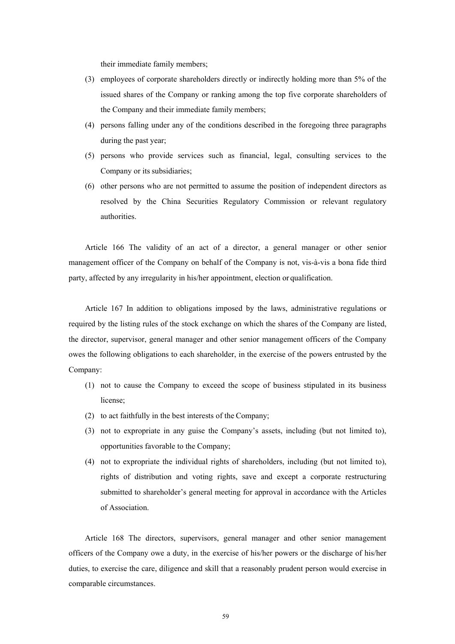their immediate family members;

- (3) employees of corporate shareholders directly or indirectly holding more than 5% of the issued shares of the Company or ranking among the top five corporate shareholders of the Company and their immediate family members;
- (4) persons falling under any of the conditions described in the foregoing three paragraphs during the past year;
- (5) persons who provide services such as financial, legal, consulting services to the Company or its subsidiaries;
- (6) other persons who are not permitted to assume the position of independent directors as resolved by the China Securities Regulatory Commission or relevant regulatory authorities.

Article 166 The validity of an act of a director, a general manager or other senior management officer of the Company on behalf of the Company is not, vis-à-vis a bona fide third party, affected by any irregularity in his/her appointment, election or qualification.

Article 167 In addition to obligations imposed by the laws, administrative regulations or required by the listing rules of the stock exchange on which the shares of the Company are listed, the director, supervisor, general manager and other senior management officers of the Company owes the following obligations to each shareholder, in the exercise of the powers entrusted by the Company:

- (1) not to cause the Company to exceed the scope of business stipulated in its business license;
- (2) to act faithfully in the best interests of the Company;
- (3) not to expropriate in any guise the Company's assets, including (but not limited to), opportunities favorable to the Company;
- (4) not to expropriate the individual rights of shareholders, including (but not limited to), rights of distribution and voting rights, save and except a corporate restructuring submitted to shareholder's general meeting for approval in accordance with the Articles of Association.

Article 168 The directors, supervisors, general manager and other senior management officers of the Company owe a duty, in the exercise of his/her powers or the discharge of his/her duties, to exercise the care, diligence and skill that a reasonably prudent person would exercise in comparable circumstances.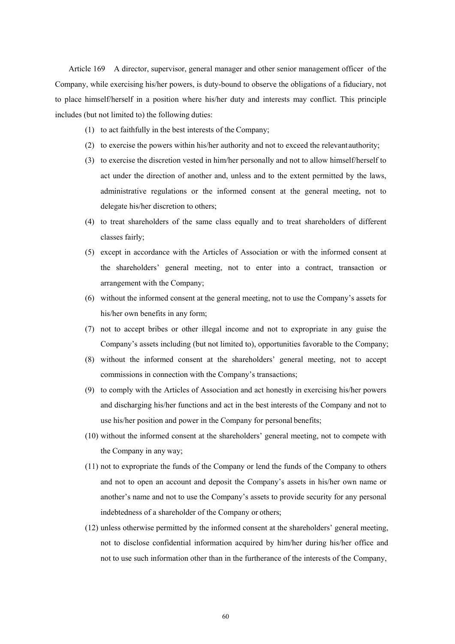Article 169 A director, supervisor, general manager and other senior management officer of the Company, while exercising his/her powers, is duty-bound to observe the obligations of a fiduciary, not to place himself/herself in a position where his/her duty and interests may conflict. This principle includes (but not limited to) the following duties:

- (1) to act faithfully in the best interests of the Company;
- (2) to exercise the powers within his/her authority and not to exceed the relevant authority;
- (3) to exercise the discretion vested in him/her personally and not to allow himself/herself to act under the direction of another and, unless and to the extent permitted by the laws, administrative regulations or the informed consent at the general meeting, not to delegate his/her discretion to others;
- (4) to treat shareholders of the same class equally and to treat shareholders of different classes fairly;
- (5) except in accordance with the Articles of Association or with the informed consent at the shareholders' general meeting, not to enter into a contract, transaction or arrangement with the Company;
- (6) without the informed consent at the general meeting, not to use the Company's assets for his/her own benefits in any form;
- (7) not to accept bribes or other illegal income and not to expropriate in any guise the Company's assets including (but not limited to), opportunities favorable to the Company;
- (8) without the informed consent at the shareholders' general meeting, not to accept commissions in connection with the Company's transactions;
- (9) to comply with the Articles of Association and act honestly in exercising his/her powers and discharging his/her functions and act in the best interests of the Company and not to use his/her position and power in the Company for personal benefits;
- (10) without the informed consent at the shareholders' general meeting, not to compete with the Company in any way;
- (11) not to expropriate the funds of the Company or lend the funds of the Company to others and not to open an account and deposit the Company's assets in his/her own name or another's name and not to use the Company's assets to provide security for any personal indebtedness of a shareholder of the Company or others;
- (12) unless otherwise permitted by the informed consent at the shareholders' general meeting, not to disclose confidential information acquired by him/her during his/her office and not to use such information other than in the furtherance of the interests of the Company,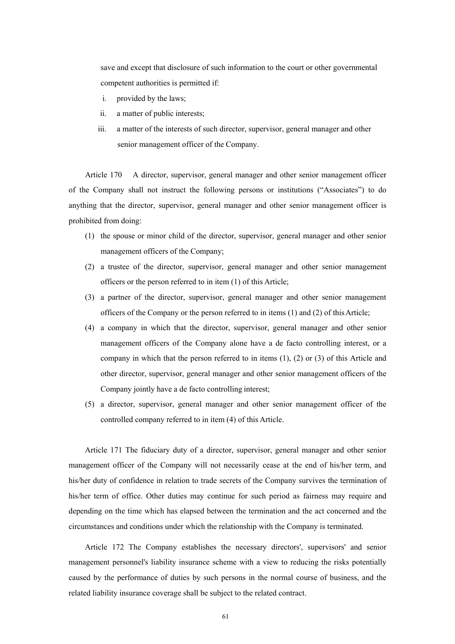save and except that disclosure of such information to the court or other governmental competent authorities is permitted if:

- i. provided by the laws;
- ii. a matter of public interests;
- iii. a matter of the interests of such director, supervisor, general manager and other senior management officer of the Company.

Article 170 A director, supervisor, general manager and other senior management officer of the Company shall not instruct the following persons or institutions ("Associates") to do anything that the director, supervisor, general manager and other senior management officer is prohibited from doing:

- (1) the spouse or minor child of the director, supervisor, general manager and other senior management officers of the Company;
- (2) a trustee of the director, supervisor, general manager and other senior management officers or the person referred to in item (1) of this Article;
- (3) a partner of the director, supervisor, general manager and other senior management officers of the Company or the person referred to in items (1) and (2) of this Article;
- (4) a company in which that the director, supervisor, general manager and other senior management officers of the Company alone have a de facto controlling interest, or a company in which that the person referred to in items (1), (2) or (3) of this Article and other director, supervisor, general manager and other senior management officers of the Company jointly have a de facto controlling interest;
- (5) a director, supervisor, general manager and other senior management officer of the controlled company referred to in item (4) of this Article.

Article 171 The fiduciary duty of a director, supervisor, general manager and other senior management officer of the Company will not necessarily cease at the end of his/her term, and his/her duty of confidence in relation to trade secrets of the Company survives the termination of his/her term of office. Other duties may continue for such period as fairness may require and depending on the time which has elapsed between the termination and the act concerned and the circumstances and conditions under which the relationship with the Company is terminated.

Article 172 The Company establishes the necessary directors', supervisors' and senior management personnel's liability insurance scheme with a view to reducing the risks potentially caused by the performance of duties by such persons in the normal course of business, and the related liability insurance coverage shall be subject to the related contract.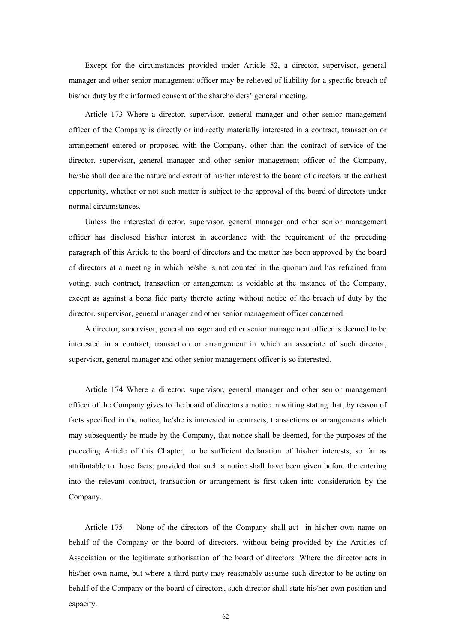Except for the circumstances provided under Article 52, a director, supervisor, general manager and other senior management officer may be relieved of liability for a specific breach of his/her duty by the informed consent of the shareholders' general meeting.

Article 173 Where a director, supervisor, general manager and other senior management officer of the Company is directly or indirectly materially interested in a contract, transaction or arrangement entered or proposed with the Company, other than the contract of service of the director, supervisor, general manager and other senior management officer of the Company, he/she shall declare the nature and extent of his/her interest to the board of directors at the earliest opportunity, whether or not such matter is subject to the approval of the board of directors under normal circumstances.

Unless the interested director, supervisor, general manager and other senior management officer has disclosed his/her interest in accordance with the requirement of the preceding paragraph of this Article to the board of directors and the matter has been approved by the board of directors at a meeting in which he/she is not counted in the quorum and has refrained from voting, such contract, transaction or arrangement is voidable at the instance of the Company, except as against a bona fide party thereto acting without notice of the breach of duty by the director, supervisor, general manager and other senior management officer concerned.

A director, supervisor, general manager and other senior management officer is deemed to be interested in a contract, transaction or arrangement in which an associate of such director, supervisor, general manager and other senior management officer is so interested.

Article 174 Where a director, supervisor, general manager and other senior management officer of the Company gives to the board of directors a notice in writing stating that, by reason of facts specified in the notice, he/she is interested in contracts, transactions or arrangements which may subsequently be made by the Company, that notice shall be deemed, for the purposes of the preceding Article of this Chapter, to be sufficient declaration of his/her interests, so far as attributable to those facts; provided that such a notice shall have been given before the entering into the relevant contract, transaction or arrangement is first taken into consideration by the Company.

Article 175 None of the directors of the Company shall act in his/her own name on behalf of the Company or the board of directors, without being provided by the Articles of Association or the legitimate authorisation of the board of directors. Where the director acts in his/her own name, but where a third party may reasonably assume such director to be acting on behalf of the Company or the board of directors, such director shall state his/her own position and capacity.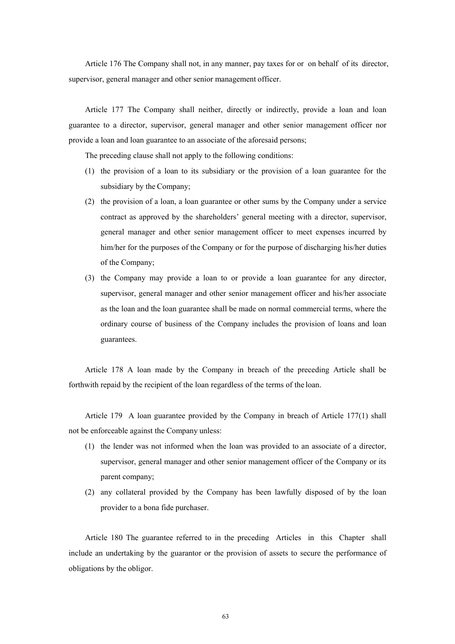Article 176 The Company shall not, in any manner, pay taxes for or on behalf of its director, supervisor, general manager and other senior management officer.

Article 177 The Company shall neither, directly or indirectly, provide a loan and loan guarantee to a director, supervisor, general manager and other senior management officer nor provide a loan and loan guarantee to an associate of the aforesaid persons;

The preceding clause shall not apply to the following conditions:

- (1) the provision of a loan to its subsidiary or the provision of a loan guarantee for the subsidiary by the Company;
- (2) the provision of a loan, a loan guarantee or other sums by the Company under a service contract as approved by the shareholders' general meeting with a director, supervisor, general manager and other senior management officer to meet expenses incurred by him/her for the purposes of the Company or for the purpose of discharging his/her duties of the Company;
- (3) the Company may provide a loan to or provide a loan guarantee for any director, supervisor, general manager and other senior management officer and his/her associate as the loan and the loan guarantee shall be made on normal commercial terms, where the ordinary course of business of the Company includes the provision of loans and loan guarantees.

Article 178 A loan made by the Company in breach of the preceding Article shall be forthwith repaid by the recipient of the loan regardless of the terms of the loan.

Article 179 A loan guarantee provided by the Company in breach of Article 177(1) shall not be enforceable against the Company unless:

- (1) the lender was not informed when the loan was provided to an associate of a director, supervisor, general manager and other senior management officer of the Company or its parent company;
- (2) any collateral provided by the Company has been lawfully disposed of by the loan provider to a bona fide purchaser.

Article 180 The guarantee referred to in the preceding Articles in this Chapter shall include an undertaking by the guarantor or the provision of assets to secure the performance of obligations by the obligor.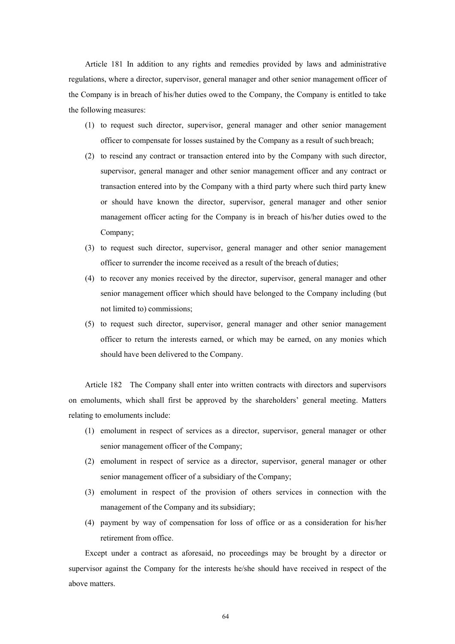Article 181 In addition to any rights and remedies provided by laws and administrative regulations, where a director, supervisor, general manager and other senior management officer of the Company is in breach of his/her duties owed to the Company, the Company is entitled to take the following measures:

- (1) to request such director, supervisor, general manager and other senior management officer to compensate for losses sustained by the Company as a result of such breach;
- (2) to rescind any contract or transaction entered into by the Company with such director, supervisor, general manager and other senior management officer and any contract or transaction entered into by the Company with a third party where such third party knew or should have known the director, supervisor, general manager and other senior management officer acting for the Company is in breach of his/her duties owed to the Company;
- (3) to request such director, supervisor, general manager and other senior management officer to surrender the income received as a result of the breach of duties;
- (4) to recover any monies received by the director, supervisor, general manager and other senior management officer which should have belonged to the Company including (but not limited to) commissions;
- (5) to request such director, supervisor, general manager and other senior management officer to return the interests earned, or which may be earned, on any monies which should have been delivered to the Company.

Article 182 The Company shall enter into written contracts with directors and supervisors on emoluments, which shall first be approved by the shareholders' general meeting. Matters relating to emoluments include:

- (1) emolument in respect of services as a director, supervisor, general manager or other senior management officer of the Company;
- (2) emolument in respect of service as a director, supervisor, general manager or other senior management officer of a subsidiary of the Company;
- (3) emolument in respect of the provision of others services in connection with the management of the Company and its subsidiary;
- (4) payment by way of compensation for loss of office or as a consideration for his/her retirement from office.

Except under a contract as aforesaid, no proceedings may be brought by a director or supervisor against the Company for the interests he/she should have received in respect of the above matters.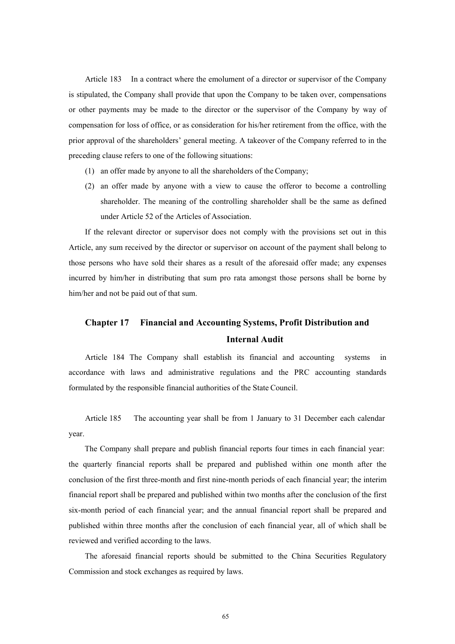Article 183 In a contract where the emolument of a director or supervisor of the Company is stipulated, the Company shall provide that upon the Company to be taken over, compensations or other payments may be made to the director or the supervisor of the Company by way of compensation for loss of office, or as consideration for his/her retirement from the office, with the prior approval of the shareholders' general meeting. A takeover of the Company referred to in the preceding clause refers to one of the following situations:

- (1) an offer made by anyone to all the shareholders of the Company;
- (2) an offer made by anyone with a view to cause the offeror to become a controlling shareholder. The meaning of the controlling shareholder shall be the same as defined under Article 52 of the Articles of Association.

If the relevant director or supervisor does not comply with the provisions set out in this Article, any sum received by the director or supervisor on account of the payment shall belong to those persons who have sold their shares as a result of the aforesaid offer made; any expenses incurred by him/her in distributing that sum pro rata amongst those persons shall be borne by him/her and not be paid out of that sum.

## **Chapter 17 Financial and Accounting Systems, Profit Distribution and Internal Audit**

Article 184 The Company shall establish its financial and accounting systems in accordance with laws and administrative regulations and the PRC accounting standards formulated by the responsible financial authorities of the State Council.

year. Article 185 The accounting year shall be from 1 January to 31 December each calendar

The Company shall prepare and publish financial reports four times in each financial year: the quarterly financial reports shall be prepared and published within one month after the conclusion of the first three-month and first nine-month periods of each financial year; the interim financial report shall be prepared and published within two months after the conclusion of the first six-month period of each financial year; and the annual financial report shall be prepared and published within three months after the conclusion of each financial year, all of which shall be reviewed and verified according to the laws.

The aforesaid financial reports should be submitted to the China Securities Regulatory Commission and stock exchanges as required by laws.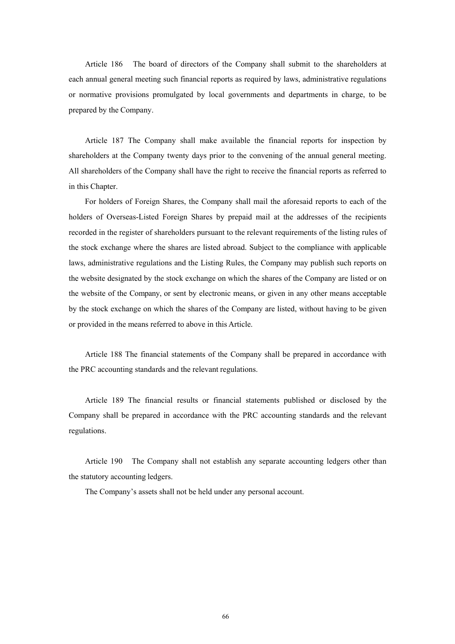Article 186 The board of directors of the Company shall submit to the shareholders at each annual general meeting such financial reports as required by laws, administrative regulations or normative provisions promulgated by local governments and departments in charge, to be prepared by the Company.

Article 187 The Company shall make available the financial reports for inspection by shareholders at the Company twenty days prior to the convening of the annual general meeting. All shareholders of the Company shall have the right to receive the financial reports as referred to in this Chapter.

For holders of Foreign Shares, the Company shall mail the aforesaid reports to each of the holders of Overseas-Listed Foreign Shares by prepaid mail at the addresses of the recipients recorded in the register of shareholders pursuant to the relevant requirements of the listing rules of the stock exchange where the shares are listed abroad. Subject to the compliance with applicable laws, administrative regulations and the Listing Rules, the Company may publish such reports on the website designated by the stock exchange on which the shares of the Company are listed or on the website of the Company, or sent by electronic means, or given in any other means acceptable by the stock exchange on which the shares of the Company are listed, without having to be given or provided in the means referred to above in this Article.

Article 188 The financial statements of the Company shall be prepared in accordance with the PRC accounting standards and the relevant regulations.

Article 189 The financial results or financial statements published or disclosed by the Company shall be prepared in accordance with the PRC accounting standards and the relevant regulations.

Article 190 The Company shall not establish any separate accounting ledgers other than the statutory accounting ledgers.

The Company's assets shall not be held under any personal account.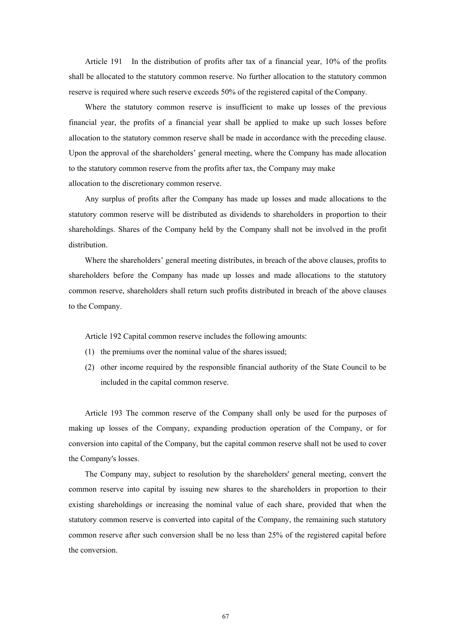Article 191 In the distribution of profits after tax of a financial year, 10% of the profits shall be allocated to the statutory common reserve. No further allocation to the statutory common reserve is required where such reserve exceeds 50% of the registered capital of the Company.

Where the statutory common reserve is insufficient to make up losses of the previous financial year, the profits of a financial year shall be applied to make up such losses before allocation to the statutory common reserve shall be made in accordance with the preceding clause. Upon the approval of the shareholders' general meeting, where the Company has made allocation to the statutory common reserve from the profits after tax, the Company may make allocation to the discretionary common reserve.

Any surplus of profits after the Company has made up losses and made allocations to the statutory common reserve will be distributed as dividends to shareholders in proportion to their shareholdings. Shares of the Company held by the Company shall not be involved in the profit distribution.

Where the shareholders' general meeting distributes, in breach of the above clauses, profits to shareholders before the Company has made up losses and made allocations to the statutory common reserve, shareholders shall return such profits distributed in breach of the above clauses to the Company.

Article 192 Capital common reserve includes the following amounts:

- (1) the premiums over the nominal value of the shares issued;
- (2) other income required by the responsible financial authority of the State Council to be included in the capital common reserve.

Article 193 The common reserve of the Company shall only be used for the purposes of making up losses of the Company, expanding production operation of the Company, or for conversion into capital of the Company, but the capital common reserve shall not be used to cover the Company's losses.

The Company may, subject to resolution by the shareholders' general meeting, convert the common reserve into capital by issuing new shares to the shareholders in proportion to their existing shareholdings or increasing the nominal value of each share, provided that when the statutory common reserve is converted into capital of the Company, the remaining such statutory common reserve after such conversion shall be no less than 25% of the registered capital before the conversion.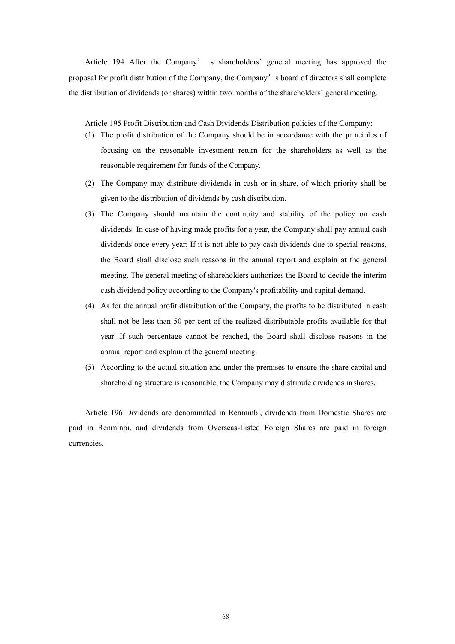Article 194 After the Company' s shareholders' general meeting has approved the proposal for profit distribution of the Company, the Company's board of directors shall complete the distribution of dividends (or shares) within two months of the shareholders' general meeting.

Article 195 Profit Distribution and Cash Dividends Distribution policies of the Company:

- (1) The profit distribution of the Company should be in accordance with the principles of focusing on the reasonable investment return for the shareholders as well as the reasonable requirement for funds of the Company.
- (2) The Company may distribute dividends in cash or in share, of which priority shall be given to the distribution of dividends by cash distribution.
- (3) The Company should maintain the continuity and stability of the policy on cash dividends. In case of having made profits for a year, the Company shall pay annual cash dividends once every year; If it is not able to pay cash dividends due to special reasons, the Board shall disclose such reasons in the annual report and explain at the general meeting. The general meeting of shareholders authorizes the Board to decide the interim cash dividend policy according to the Company's profitability and capital demand.
- (4) As for the annual profit distribution of the Company, the profits to be distributed in cash shall not be less than 50 per cent of the realized distributable profits available for that year. If such percentage cannot be reached, the Board shall disclose reasons in the annual report and explain at the general meeting.
- (5) According to the actual situation and under the premises to ensure the share capital and shareholding structure is reasonable, the Company may distribute dividends in shares.

Article 196 Dividends are denominated in Renminbi, dividends from Domestic Shares are paid in Renminbi, and dividends from Overseas-Listed Foreign Shares are paid in foreign currencies.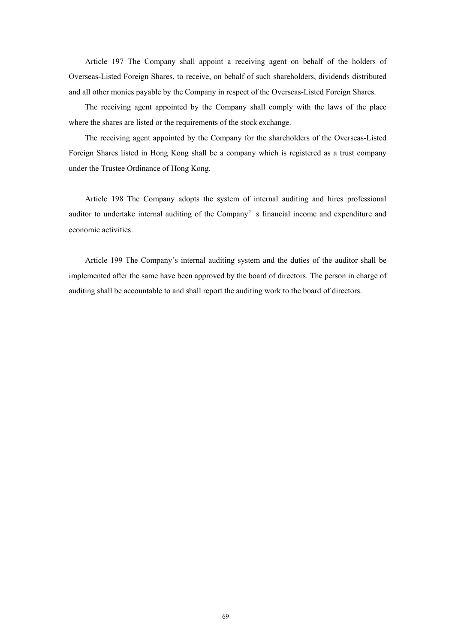Article 197 The Company shall appoint a receiving agent on behalf of the holders of Overseas-Listed Foreign Shares, to receive, on behalf of such shareholders, dividends distributed and all other monies payable by the Company in respect of the Overseas-Listed Foreign Shares.

The receiving agent appointed by the Company shall comply with the laws of the place where the shares are listed or the requirements of the stock exchange.

The receiving agent appointed by the Company for the shareholders of the Overseas-Listed Foreign Shares listed in Hong Kong shall be a company which is registered as a trust company under the Trustee Ordinance of Hong Kong.

Article 198 The Company adopts the system of internal auditing and hires professional auditor to undertake internal auditing of the Company's financial income and expenditure and economic activities.

Article 199 The Company's internal auditing system and the duties of the auditor shall be implemented after the same have been approved by the board of directors. The person in charge of auditing shall be accountable to and shall report the auditing work to the board of directors.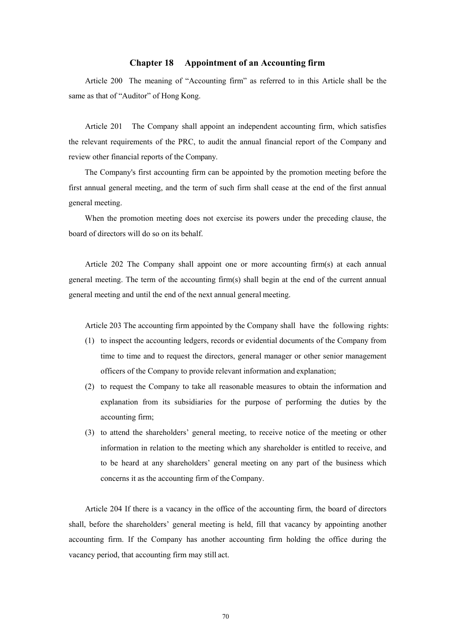### **Chapter 18 Appointment of an Accounting firm**

Article 200 The meaning of "Accounting firm" as referred to in this Article shall be the same as that of "Auditor" of Hong Kong.

Article 201 The Company shall appoint an independent accounting firm, which satisfies the relevant requirements of the PRC, to audit the annual financial report of the Company and review other financial reports of the Company.

The Company's first accounting firm can be appointed by the promotion meeting before the first annual general meeting, and the term of such firm shall cease at the end of the first annual general meeting.

When the promotion meeting does not exercise its powers under the preceding clause, the board of directors will do so on its behalf.

Article 202 The Company shall appoint one or more accounting firm(s) at each annual general meeting. The term of the accounting firm(s) shall begin at the end of the current annual general meeting and until the end of the next annual general meeting.

Article 203 The accounting firm appointed by the Company shall have the following rights:

- (1) to inspect the accounting ledgers, records or evidential documents of the Company from time to time and to request the directors, general manager or other senior management officers of the Company to provide relevant information and explanation;
- (2) to request the Company to take all reasonable measures to obtain the information and explanation from its subsidiaries for the purpose of performing the duties by the accounting firm;
- (3) to attend the shareholders' general meeting, to receive notice of the meeting or other information in relation to the meeting which any shareholder is entitled to receive, and to be heard at any shareholders' general meeting on any part of the business which concerns it as the accounting firm of the Company.

Article 204 If there is a vacancy in the office of the accounting firm, the board of directors shall, before the shareholders' general meeting is held, fill that vacancy by appointing another accounting firm. If the Company has another accounting firm holding the office during the vacancy period, that accounting firm may still act.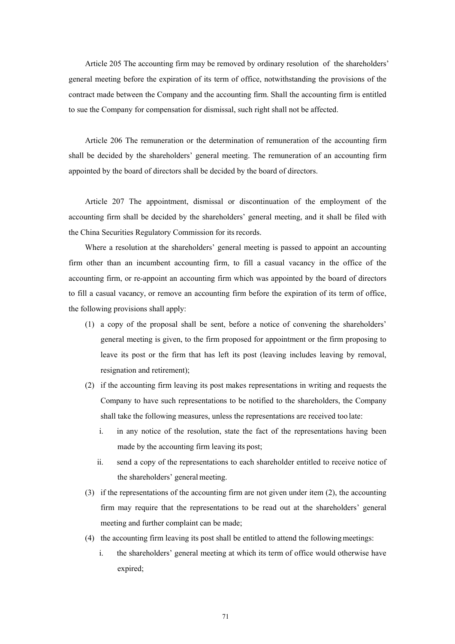Article 205 The accounting firm may be removed by ordinary resolution of the shareholders' general meeting before the expiration of its term of office, notwithstanding the provisions of the contract made between the Company and the accounting firm. Shall the accounting firm is entitled to sue the Company for compensation for dismissal, such right shall not be affected.

Article 206 The remuneration or the determination of remuneration of the accounting firm shall be decided by the shareholders' general meeting. The remuneration of an accounting firm appointed by the board of directors shall be decided by the board of directors.

Article 207 The appointment, dismissal or discontinuation of the employment of the accounting firm shall be decided by the shareholders' general meeting, and it shall be filed with the China Securities Regulatory Commission for its records.

Where a resolution at the shareholders' general meeting is passed to appoint an accounting firm other than an incumbent accounting firm, to fill a casual vacancy in the office of the accounting firm, or re-appoint an accounting firm which was appointed by the board of directors to fill a casual vacancy, or remove an accounting firm before the expiration of its term of office, the following provisions shall apply:

- (1) a copy of the proposal shall be sent, before a notice of convening the shareholders' general meeting is given, to the firm proposed for appointment or the firm proposing to leave its post or the firm that has left its post (leaving includes leaving by removal, resignation and retirement);
- (2) if the accounting firm leaving its post makes representations in writing and requests the Company to have such representations to be notified to the shareholders, the Company shall take the following measures, unless the representations are received too late:
	- i. in any notice of the resolution, state the fact of the representations having been made by the accounting firm leaving its post;
	- ii. send a copy of the representations to each shareholder entitled to receive notice of the shareholders' general meeting.
- (3) if the representations of the accounting firm are not given under item (2), the accounting firm may require that the representations to be read out at the shareholders' general meeting and further complaint can be made;
- (4) the accounting firm leaving its post shall be entitled to attend the following meetings:
	- i. the shareholders' general meeting at which its term of office would otherwise have expired;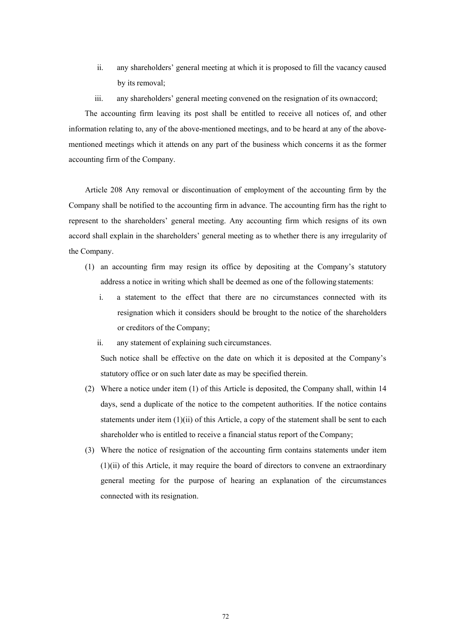- ii. any shareholders' general meeting at which it is proposed to fill the vacancy caused by its removal;
- iii. any shareholders' general meeting convened on the resignation of its own accord;

The accounting firm leaving its post shall be entitled to receive all notices of, and other information relating to, any of the above-mentioned meetings, and to be heard at any of the abovementioned meetings which it attends on any part of the business which concerns it as the former accounting firm of the Company.

Article 208 Any removal or discontinuation of employment of the accounting firm by the Company shall be notified to the accounting firm in advance. The accounting firm has the right to represent to the shareholders' general meeting. Any accounting firm which resigns of its own accord shall explain in the shareholders' general meeting as to whether there is any irregularity of the Company.

- (1) an accounting firm may resign its office by depositing at the Company's statutory address a notice in writing which shall be deemed as one of the following statements:
	- i. a statement to the effect that there are no circumstances connected with its resignation which it considers should be brought to the notice of the shareholders or creditors of the Company;
	- ii. any statement of explaining such circumstances.

Such notice shall be effective on the date on which it is deposited at the Company's statutory office or on such later date as may be specified therein.

- (2) Where a notice under item (1) of this Article is deposited, the Company shall, within 14 days, send a duplicate of the notice to the competent authorities. If the notice contains statements under item (1)(ii) of this Article, a copy of the statement shall be sent to each shareholder who is entitled to receive a financial status report of the Company;
- (3) Where the notice of resignation of the accounting firm contains statements under item (1)(ii) of this Article, it may require the board of directors to convene an extraordinary general meeting for the purpose of hearing an explanation of the circumstances connected with its resignation.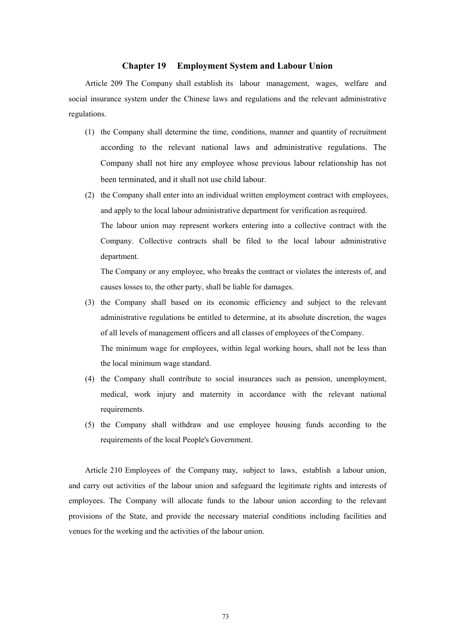#### **Chapter 19 Employment System and Labour Union**

Article 209 The Company shall establish its labour management, wages, welfare and social insurance system under the Chinese laws and regulations and the relevant administrative regulations.

- (1) the Company shall determine the time, conditions, manner and quantity of recruitment according to the relevant national laws and administrative regulations. The Company shall not hire any employee whose previous labour relationship has not been terminated, and it shall not use child labour.
- (2) the Company shall enter into an individual written employment contract with employees, and apply to the local labour administrative department for verification as required. The labour union may represent workers entering into a collective contract with the Company. Collective contracts shall be filed to the local labour administrative department.

The Company or any employee, who breaks the contract or violates the interests of, and causes losses to, the other party, shall be liable for damages.

- (3) the Company shall based on its economic efficiency and subject to the relevant administrative regulations be entitled to determine, at its absolute discretion, the wages of all levels of management officers and all classes of employees of the Company. The minimum wage for employees, within legal working hours, shall not be less than the local minimum wage standard.
- (4) the Company shall contribute to social insurances such as pension, unemployment, medical, work injury and maternity in accordance with the relevant national requirements.
- (5) the Company shall withdraw and use employee housing funds according to the requirements of the local People's Government.

Article 210 Employees of the Company may, subject to laws, establish a labour union, and carry out activities of the labour union and safeguard the legitimate rights and interests of employees. The Company will allocate funds to the labour union according to the relevant provisions of the State, and provide the necessary material conditions including facilities and venues for the working and the activities of the labour union.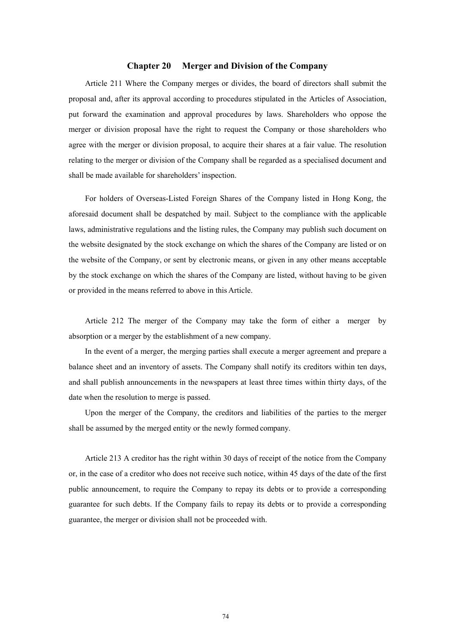# **Chapter 20 Merger and Division of the Company**

Article 211 Where the Company merges or divides, the board of directors shall submit the proposal and, after its approval according to procedures stipulated in the Articles of Association, put forward the examination and approval procedures by laws. Shareholders who oppose the merger or division proposal have the right to request the Company or those shareholders who agree with the merger or division proposal, to acquire their shares at a fair value. The resolution relating to the merger or division of the Company shall be regarded as a specialised document and shall be made available for shareholders' inspection.

For holders of Overseas-Listed Foreign Shares of the Company listed in Hong Kong, the aforesaid document shall be despatched by mail. Subject to the compliance with the applicable laws, administrative regulations and the listing rules, the Company may publish such document on the website designated by the stock exchange on which the shares of the Company are listed or on the website of the Company, or sent by electronic means, or given in any other means acceptable by the stock exchange on which the shares of the Company are listed, without having to be given or provided in the means referred to above in this Article.

Article 212 The merger of the Company may take the form of either a merger by absorption or a merger by the establishment of a new company.

In the event of a merger, the merging parties shall execute a merger agreement and prepare a balance sheet and an inventory of assets. The Company shall notify its creditors within ten days, and shall publish announcements in the newspapers at least three times within thirty days, of the date when the resolution to merge is passed.

Upon the merger of the Company, the creditors and liabilities of the parties to the merger shall be assumed by the merged entity or the newly formed company.

Article 213 A creditor has the right within 30 days of receipt of the notice from the Company or, in the case of a creditor who does not receive such notice, within 45 days of the date of the first public announcement, to require the Company to repay its debts or to provide a corresponding guarantee for such debts. If the Company fails to repay its debts or to provide a corresponding guarantee, the merger or division shall not be proceeded with.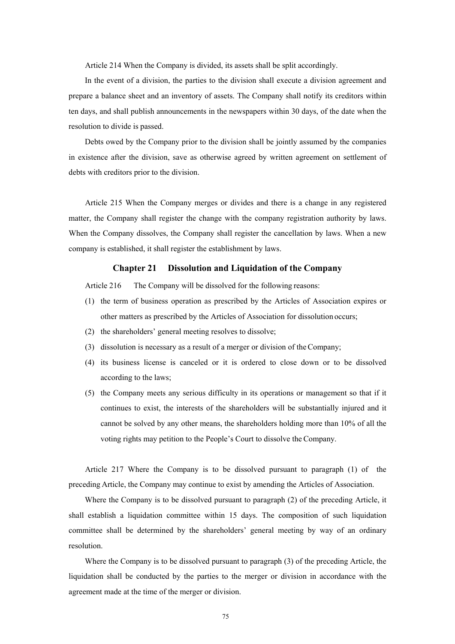Article 214 When the Company is divided, its assets shall be split accordingly.

In the event of a division, the parties to the division shall execute a division agreement and prepare a balance sheet and an inventory of assets. The Company shall notify its creditors within ten days, and shall publish announcements in the newspapers within 30 days, of the date when the resolution to divide is passed.

Debts owed by the Company prior to the division shall be jointly assumed by the companies in existence after the division, save as otherwise agreed by written agreement on settlement of debts with creditors prior to the division.

Article 215 When the Company merges or divides and there is a change in any registered matter, the Company shall register the change with the company registration authority by laws. When the Company dissolves, the Company shall register the cancellation by laws. When a new company is established, it shall register the establishment by laws.

#### **Chapter 21 Dissolution and Liquidation of the Company**

Article 216 The Company will be dissolved for the following reasons:

- (1) the term of business operation as prescribed by the Articles of Association expires or other matters as prescribed by the Articles of Association for dissolution occurs;
- (2) the shareholders' general meeting resolves to dissolve;
- (3) dissolution is necessary as a result of a merger or division of the Company;
- (4) its business license is canceled or it is ordered to close down or to be dissolved according to the laws;
- (5) the Company meets any serious difficulty in its operations or management so that if it continues to exist, the interests of the shareholders will be substantially injured and it cannot be solved by any other means, the shareholders holding more than 10% of all the voting rights may petition to the People's Court to dissolve the Company.

Article 217 Where the Company is to be dissolved pursuant to paragraph (1) of the preceding Article, the Company may continue to exist by amending the Articles of Association.

Where the Company is to be dissolved pursuant to paragraph (2) of the preceding Article, it shall establish a liquidation committee within 15 days. The composition of such liquidation committee shall be determined by the shareholders' general meeting by way of an ordinary resolution.

Where the Company is to be dissolved pursuant to paragraph (3) of the preceding Article, the liquidation shall be conducted by the parties to the merger or division in accordance with the agreement made at the time of the merger or division.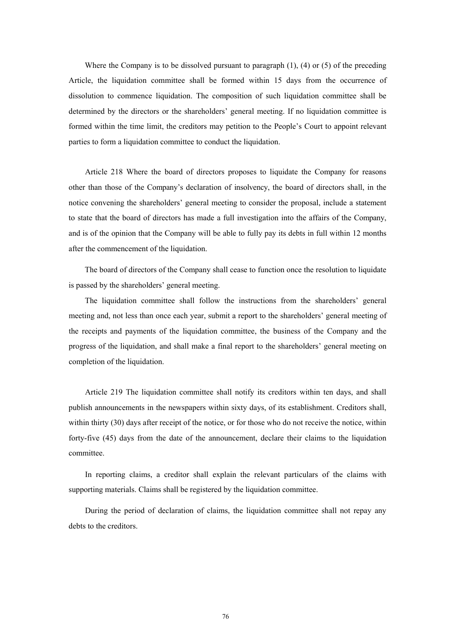Where the Company is to be dissolved pursuant to paragraph  $(1)$ ,  $(4)$  or  $(5)$  of the preceding Article, the liquidation committee shall be formed within 15 days from the occurrence of dissolution to commence liquidation. The composition of such liquidation committee shall be determined by the directors or the shareholders' general meeting. If no liquidation committee is formed within the time limit, the creditors may petition to the People's Court to appoint relevant parties to form a liquidation committee to conduct the liquidation.

Article 218 Where the board of directors proposes to liquidate the Company for reasons other than those of the Company's declaration of insolvency, the board of directors shall, in the notice convening the shareholders' general meeting to consider the proposal, include a statement to state that the board of directors has made a full investigation into the affairs of the Company, and is of the opinion that the Company will be able to fully pay its debts in full within 12 months after the commencement of the liquidation.

The board of directors of the Company shall cease to function once the resolution to liquidate is passed by the shareholders' general meeting.

The liquidation committee shall follow the instructions from the shareholders' general meeting and, not less than once each year, submit a report to the shareholders' general meeting of the receipts and payments of the liquidation committee, the business of the Company and the progress of the liquidation, and shall make a final report to the shareholders' general meeting on completion of the liquidation.

Article 219 The liquidation committee shall notify its creditors within ten days, and shall publish announcements in the newspapers within sixty days, of its establishment. Creditors shall, within thirty (30) days after receipt of the notice, or for those who do not receive the notice, within forty-five (45) days from the date of the announcement, declare their claims to the liquidation committee.

In reporting claims, a creditor shall explain the relevant particulars of the claims with supporting materials. Claims shall be registered by the liquidation committee.

During the period of declaration of claims, the liquidation committee shall not repay any debts to the creditors.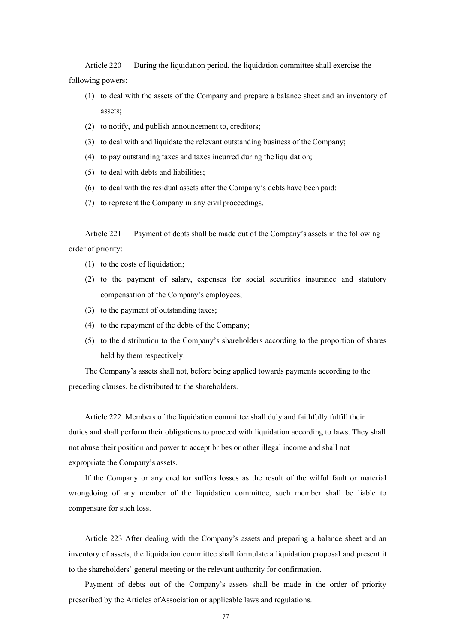Article 220 During the liquidation period, the liquidation committee shall exercise the following powers:

- (1) to deal with the assets of the Company and prepare a balance sheet and an inventory of assets;
- (2) to notify, and publish announcement to, creditors;
- (3) to deal with and liquidate the relevant outstanding business of the Company;
- (4) to pay outstanding taxes and taxes incurred during the liquidation;
- (5) to deal with debts and liabilities;
- (6) to deal with the residual assets after the Company's debts have been paid;
- (7) to represent the Company in any civil proceedings.

Article 221 Payment of debts shall be made out of the Company's assets in the following order of priority:

- (1) to the costs of liquidation;
- (2) to the payment of salary, expenses for social securities insurance and statutory compensation of the Company's employees;
- (3) to the payment of outstanding taxes;
- (4) to the repayment of the debts of the Company;
- (5) to the distribution to the Company's shareholders according to the proportion of shares held by them respectively.

The Company's assets shall not, before being applied towards payments according to the preceding clauses, be distributed to the shareholders.

Article 222 Members of the liquidation committee shall duly and faithfully fulfill their duties and shall perform their obligations to proceed with liquidation according to laws. They shall not abuse their position and power to accept bribes or other illegal income and shall not expropriate the Company's assets.

If the Company or any creditor suffers losses as the result of the wilful fault or material wrongdoing of any member of the liquidation committee, such member shall be liable to compensate for such loss.

Article 223 After dealing with the Company's assets and preparing a balance sheet and an inventory of assets, the liquidation committee shall formulate a liquidation proposal and present it to the shareholders' general meeting or the relevant authority for confirmation.

Payment of debts out of the Company's assets shall be made in the order of priority prescribed by the Articles of Association or applicable laws and regulations.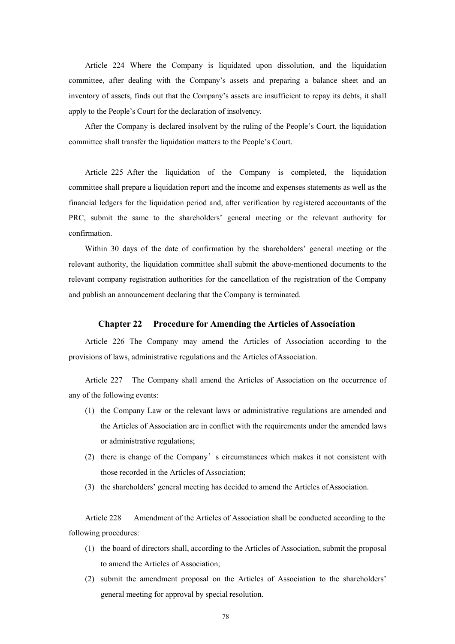Article 224 Where the Company is liquidated upon dissolution, and the liquidation committee, after dealing with the Company's assets and preparing a balance sheet and an inventory of assets, finds out that the Company's assets are insufficient to repay its debts, it shall apply to the People's Court for the declaration of insolvency.

After the Company is declared insolvent by the ruling of the People's Court, the liquidation committee shall transfer the liquidation matters to the People's Court.

Article 225 After the liquidation of the Company is completed, the liquidation committee shall prepare a liquidation report and the income and expenses statements as well as the financial ledgers for the liquidation period and, after verification by registered accountants of the PRC, submit the same to the shareholders' general meeting or the relevant authority for confirmation.

Within 30 days of the date of confirmation by the shareholders' general meeting or the relevant authority, the liquidation committee shall submit the above-mentioned documents to the relevant company registration authorities for the cancellation of the registration of the Company and publish an announcement declaring that the Company is terminated.

#### **Chapter 22 Procedure for Amending the Articles of Association**

Article 226 The Company may amend the Articles of Association according to the provisions of laws, administrative regulations and the Articles of Association.

Article 227 The Company shall amend the Articles of Association on the occurrence of any of the following events:

- (1) the Company Law or the relevant laws or administrative regulations are amended and the Articles of Association are in conflict with the requirements under the amended laws or administrative regulations;
- (2) there is change of the Company's circumstances which makes it not consistent with those recorded in the Articles of Association;
- (3) the shareholders' general meeting has decided to amend the Articles of Association.

Article 228 Amendment of the Articles of Association shall be conducted according to the following procedures:

- (1) the board of directors shall, according to the Articles of Association, submit the proposal to amend the Articles of Association;
- (2) submit the amendment proposal on the Articles of Association to the shareholders' general meeting for approval by special resolution.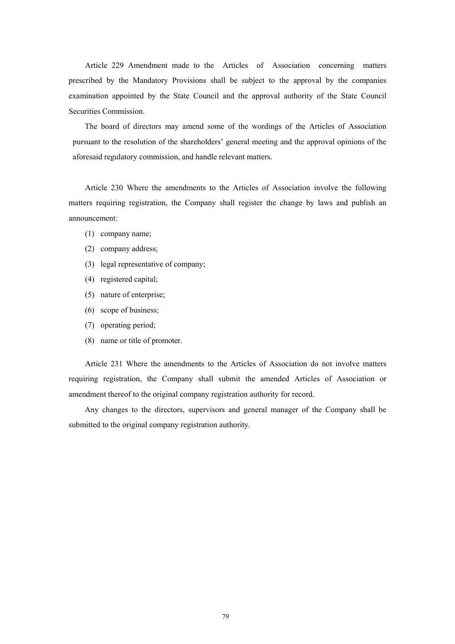Article 229 Amendment made to the Articles of Association concerning matters prescribed by the Mandatory Provisions shall be subject to the approval by the companies examination appointed by the State Council and the approval authority of the State Council Securities Commission.

The board of directors may amend some of the wordings of the Articles of Association pursuant to the resolution of the shareholders' general meeting and the approval opinions of the aforesaid regulatory commission, and handle relevant matters.

Article 230 Where the amendments to the Articles of Association involve the following matters requiring registration, the Company shall register the change by laws and publish an announcement:

- (1) company name;
- (2) company address;
- (3) legal representative of company;
- (4) registered capital;
- (5) nature of enterprise;
- (6) scope of business;
- (7) operating period;
- (8) name or title of promoter.

Article 231 Where the amendments to the Articles of Association do not involve matters requiring registration, the Company shall submit the amended Articles of Association or amendment thereof to the original company registration authority for record.

Any changes to the directors, supervisors and general manager of the Company shall be submitted to the original company registration authority.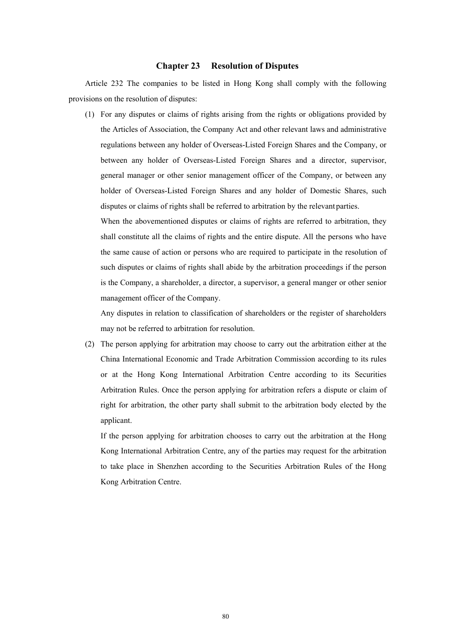### **Chapter 23 Resolution of Disputes**

Article 232 The companies to be listed in Hong Kong shall comply with the following provisions on the resolution of disputes:

(1) For any disputes or claims of rights arising from the rights or obligations provided by the Articles of Association, the Company Act and other relevant laws and administrative regulations between any holder of Overseas-Listed Foreign Shares and the Company, or between any holder of Overseas-Listed Foreign Shares and a director, supervisor, general manager or other senior management officer of the Company, or between any holder of Overseas-Listed Foreign Shares and any holder of Domestic Shares, such disputes or claims of rights shall be referred to arbitration by the relevant parties.

When the abovementioned disputes or claims of rights are referred to arbitration, they shall constitute all the claims of rights and the entire dispute. All the persons who have the same cause of action or persons who are required to participate in the resolution of such disputes or claims of rights shall abide by the arbitration proceedings if the person is the Company, a shareholder, a director, a supervisor, a general manger or other senior management officer of the Company.

Any disputes in relation to classification of shareholders or the register of shareholders may not be referred to arbitration for resolution.

(2) The person applying for arbitration may choose to carry out the arbitration either at the China International Economic and Trade Arbitration Commission according to its rules or at the Hong Kong International Arbitration Centre according to its Securities Arbitration Rules. Once the person applying for arbitration refers a dispute or claim of right for arbitration, the other party shall submit to the arbitration body elected by the applicant.

If the person applying for arbitration chooses to carry out the arbitration at the Hong Kong International Arbitration Centre, any of the parties may request for the arbitration to take place in Shenzhen according to the Securities Arbitration Rules of the Hong Kong Arbitration Centre.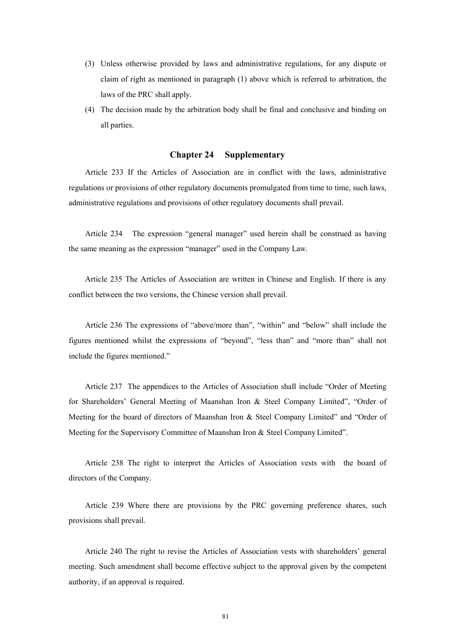- (3) Unless otherwise provided by laws and administrative regulations, for any dispute or claim of right as mentioned in paragraph (1) above which is referred to arbitration, the laws of the PRC shall apply.
- (4) The decision made by the arbitration body shall be final and conclusive and binding on all parties.

## **Chapter 24 Supplementary**

Article 233 If the Articles of Association are in conflict with the laws, administrative regulations or provisions of other regulatory documents promulgated from time to time, such laws, administrative regulations and provisions of other regulatory documents shall prevail.

Article 234 The expression "general manager" used herein shall be construed as having the same meaning as the expression "manager" used in the Company Law.

Article 235 The Articles of Association are written in Chinese and English. If there is any conflict between the two versions, the Chinese version shall prevail.

Article 236 The expressions of "above/more than", "within" and "below" shall include the figures mentioned whilst the expressions of "beyond", "less than" and "more than" shall not include the figures mentioned."

Article 237 The appendices to the Articles of Association shall include "Order of Meeting for Shareholders' General Meeting of Maanshan Iron & Steel Company Limited", "Order of Meeting for the board of directors of Maanshan Iron & Steel Company Limited" and "Order of Meeting for the Supervisory Committee of Maanshan Iron & Steel Company Limited".

Article 238 The right to interpret the Articles of Association vests with the board of directors of the Company.

Article 239 Where there are provisions by the PRC governing preference shares, such provisions shall prevail.

Article 240 The right to revise the Articles of Association vests with shareholders' general meeting. Such amendment shall become effective subject to the approval given by the competent authority, if an approval is required.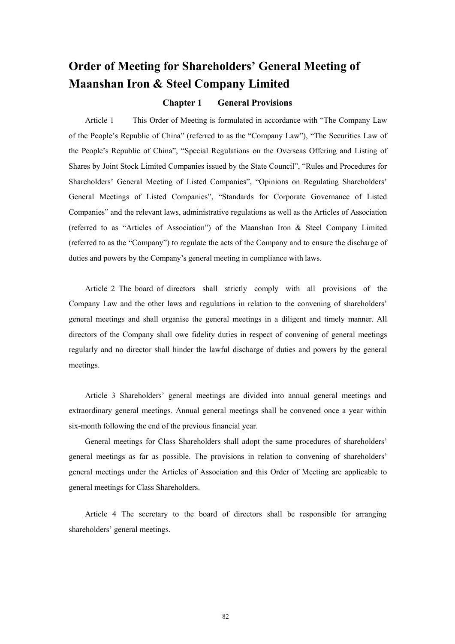# **Order of Meeting for Shareholders' General Meeting of Maanshan Iron & Steel Company Limited**

## **Chapter 1 General Provisions**

Article 1 This Order of Meeting is formulated in accordance with "The Company Law of the People's Republic of China" (referred to as the "Company Law"), "The Securities Law of the People's Republic of China", "Special Regulations on the Overseas Offering and Listing of Shares by Joint Stock Limited Companies issued by the State Council", "Rules and Procedures for Shareholders' General Meeting of Listed Companies", "Opinions on Regulating Shareholders' General Meetings of Listed Companies", "Standards for Corporate Governance of Listed Companies" and the relevant laws, administrative regulations as well as the Articles of Association (referred to as "Articles of Association") of the Maanshan Iron & Steel Company Limited (referred to as the "Company") to regulate the acts of the Company and to ensure the discharge of duties and powers by the Company's general meeting in compliance with laws.

Article 2 The board of directors shall strictly comply with all provisions of the Company Law and the other laws and regulations in relation to the convening of shareholders' general meetings and shall organise the general meetings in a diligent and timely manner. All directors of the Company shall owe fidelity duties in respect of convening of general meetings regularly and no director shall hinder the lawful discharge of duties and powers by the general meetings.

Article 3 Shareholders' general meetings are divided into annual general meetings and extraordinary general meetings. Annual general meetings shall be convened once a year within six-month following the end of the previous financial year.

General meetings for Class Shareholders shall adopt the same procedures of shareholders' general meetings as far as possible. The provisions in relation to convening of shareholders' general meetings under the Articles of Association and this Order of Meeting are applicable to general meetings for Class Shareholders.

Article 4 The secretary to the board of directors shall be responsible for arranging shareholders' general meetings.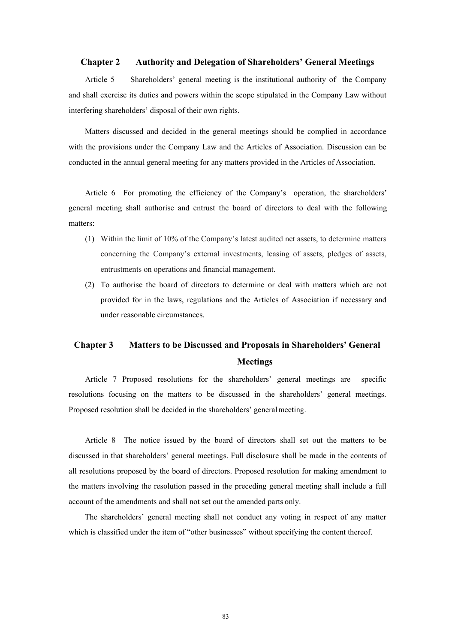#### **Chapter 2 Authority and Delegation of Shareholders' General Meetings**

Article 5 Shareholders' general meeting is the institutional authority of the Company and shall exercise its duties and powers within the scope stipulated in the Company Law without interfering shareholders' disposal of their own rights.

Matters discussed and decided in the general meetings should be complied in accordance with the provisions under the Company Law and the Articles of Association. Discussion can be conducted in the annual general meeting for any matters provided in the Articles of Association.

Article 6 For promoting the efficiency of the Company's operation, the shareholders' general meeting shall authorise and entrust the board of directors to deal with the following matters:

- (1) Within the limit of 10% of the Company's latest audited net assets, to determine matters concerning the Company's external investments, leasing of assets, pledges of assets, entrustments on operations and financial management.
- (2) To authorise the board of directors to determine or deal with matters which are not provided for in the laws, regulations and the Articles of Association if necessary and under reasonable circumstances.

# **Chapter 3 Matters to be Discussed and Proposals in Shareholders' General Meetings**

Article 7 Proposed resolutions for the shareholders' general meetings are specific resolutions focusing on the matters to be discussed in the shareholders' general meetings. Proposed resolution shall be decided in the shareholders' general meeting.

Article 8 The notice issued by the board of directors shall set out the matters to be discussed in that shareholders' general meetings. Full disclosure shall be made in the contents of all resolutions proposed by the board of directors. Proposed resolution for making amendment to the matters involving the resolution passed in the preceding general meeting shall include a full account of the amendments and shall not set out the amended parts only.

The shareholders' general meeting shall not conduct any voting in respect of any matter which is classified under the item of "other businesses" without specifying the content thereof.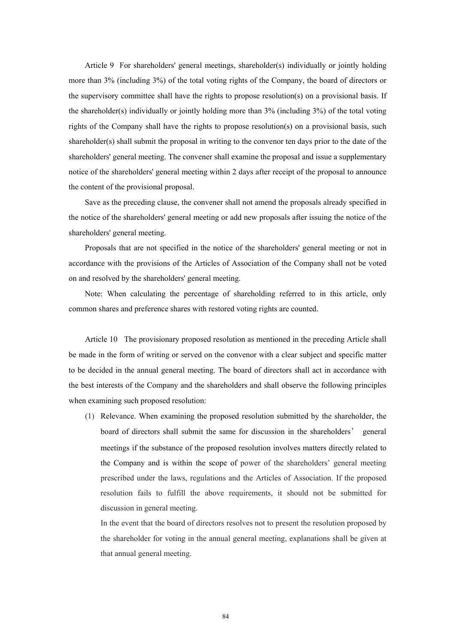Article 9 For shareholders' general meetings, shareholder(s) individually or jointly holding more than 3% (including 3%) of the total voting rights of the Company, the board of directors or the supervisory committee shall have the rights to propose resolution(s) on a provisional basis. If the shareholder(s) individually or jointly holding more than 3% (including 3%) of the total voting rights of the Company shall have the rights to propose resolution(s) on a provisional basis, such shareholder(s) shall submit the proposal in writing to the convenor ten days prior to the date of the shareholders' general meeting. The convener shall examine the proposal and issue a supplementary notice of the shareholders' general meeting within 2 days after receipt of the proposal to announce the content of the provisional proposal.

Save as the preceding clause, the convener shall not amend the proposals already specified in the notice of the shareholders' general meeting or add new proposals after issuing the notice of the shareholders' general meeting.

Proposals that are not specified in the notice of the shareholders' general meeting or not in accordance with the provisions of the Articles of Association of the Company shall not be voted on and resolved by the shareholders' general meeting.

Note: When calculating the percentage of shareholding referred to in this article, only common shares and preference shares with restored voting rights are counted.

Article 10 The provisionary proposed resolution as mentioned in the preceding Article shall be made in the form of writing or served on the convenor with a clear subject and specific matter to be decided in the annual general meeting. The board of directors shall act in accordance with the best interests of the Company and the shareholders and shall observe the following principles when examining such proposed resolution:

(1) Relevance. When examining the proposed resolution submitted by the shareholder, the board of directors shall submit the same for discussion in the shareholders' general meetings if the substance of the proposed resolution involves matters directly related to the Company and is within the scope of power of the shareholders' general meeting prescribed under the laws, regulations and the Articles of Association. If the proposed resolution fails to fulfill the above requirements, it should not be submitted for discussion in general meeting.

In the event that the board of directors resolves not to present the resolution proposed by the shareholder for voting in the annual general meeting, explanations shall be given at that annual general meeting.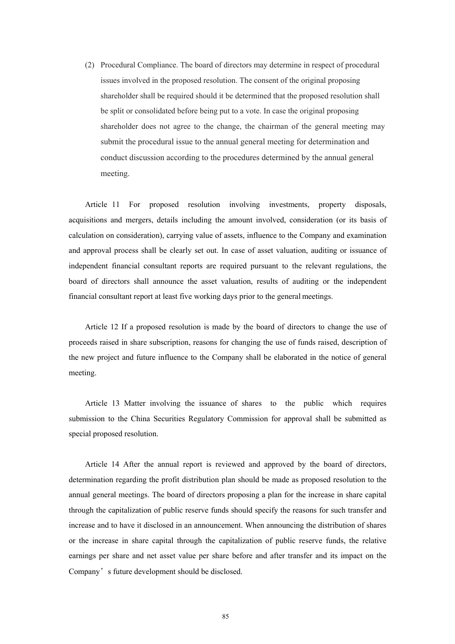(2) Procedural Compliance. The board of directors may determine in respect of procedural issues involved in the proposed resolution. The consent of the original proposing shareholder shall be required should it be determined that the proposed resolution shall be split or consolidated before being put to a vote. In case the original proposing shareholder does not agree to the change, the chairman of the general meeting may submit the procedural issue to the annual general meeting for determination and conduct discussion according to the procedures determined by the annual general meeting.

Article 11 For proposed resolution involving investments, property disposals, acquisitions and mergers, details including the amount involved, consideration (or its basis of calculation on consideration), carrying value of assets, influence to the Company and examination and approval process shall be clearly set out. In case of asset valuation, auditing or issuance of independent financial consultant reports are required pursuant to the relevant regulations, the board of directors shall announce the asset valuation, results of auditing or the independent financial consultant report at least five working days prior to the general meetings.

Article 12 If a proposed resolution is made by the board of directors to change the use of proceeds raised in share subscription, reasons for changing the use of funds raised, description of the new project and future influence to the Company shall be elaborated in the notice of general meeting.

Article 13 Matter involving the issuance of shares to the public which requires submission to the China Securities Regulatory Commission for approval shall be submitted as special proposed resolution.

Article 14 After the annual report is reviewed and approved by the board of directors, determination regarding the profit distribution plan should be made as proposed resolution to the annual general meetings. The board of directors proposing a plan for the increase in share capital through the capitalization of public reserve funds should specify the reasons for such transfer and increase and to have it disclosed in an announcement. When announcing the distribution of shares or the increase in share capital through the capitalization of public reserve funds, the relative earnings per share and net asset value per share before and after transfer and its impact on the Company's future development should be disclosed.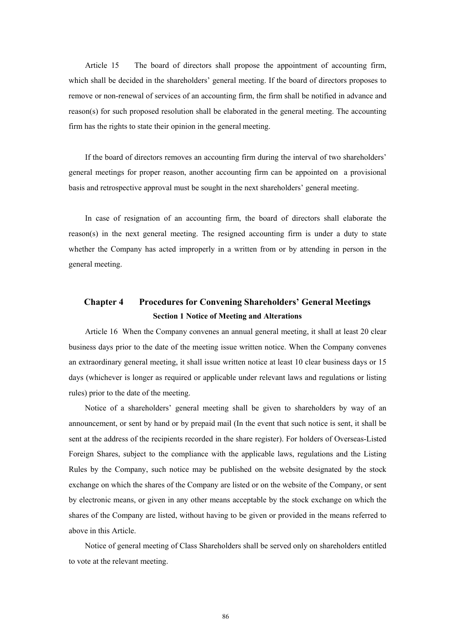Article 15 The board of directors shall propose the appointment of accounting firm, which shall be decided in the shareholders' general meeting. If the board of directors proposes to remove or non-renewal of services of an accounting firm, the firm shall be notified in advance and reason(s) for such proposed resolution shall be elaborated in the general meeting. The accounting firm has the rights to state their opinion in the general meeting.

If the board of directors removes an accounting firm during the interval of two shareholders' general meetings for proper reason, another accounting firm can be appointed on a provisional basis and retrospective approval must be sought in the next shareholders' general meeting.

In case of resignation of an accounting firm, the board of directors shall elaborate the reason(s) in the next general meeting. The resigned accounting firm is under a duty to state whether the Company has acted improperly in a written from or by attending in person in the general meeting.

# **Chapter 4 Procedures for Convening Shareholders' General Meetings Section 1 Notice of Meeting and Alterations**

Article 16 When the Company convenes an annual general meeting, it shall at least 20 clear business days prior to the date of the meeting issue written notice. When the Company convenes an extraordinary general meeting, it shall issue written notice at least 10 clear business days or 15 days (whichever is longer as required or applicable under relevant laws and regulations or listing rules) prior to the date of the meeting.

Notice of a shareholders' general meeting shall be given to shareholders by way of an announcement, or sent by hand or by prepaid mail (In the event that such notice is sent, it shall be sent at the address of the recipients recorded in the share register). For holders of Overseas-Listed Foreign Shares, subject to the compliance with the applicable laws, regulations and the Listing Rules by the Company, such notice may be published on the website designated by the stock exchange on which the shares of the Company are listed or on the website of the Company, or sent by electronic means, or given in any other means acceptable by the stock exchange on which the shares of the Company are listed, without having to be given or provided in the means referred to above in this Article.

Notice of general meeting of Class Shareholders shall be served only on shareholders entitled to vote at the relevant meeting.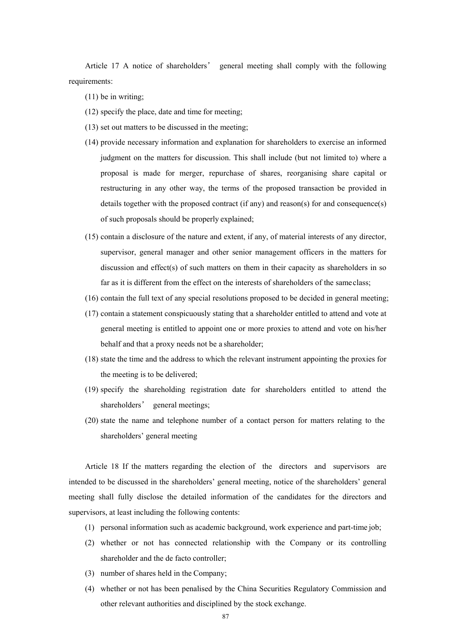Article 17 A notice of shareholders' general meeting shall comply with the following requirements:

- (11) be in writing;
- (12) specify the place, date and time for meeting;
- (13) set out matters to be discussed in the meeting;
- (14) provide necessary information and explanation for shareholders to exercise an informed judgment on the matters for discussion. This shall include (but not limited to) where a proposal is made for merger, repurchase of shares, reorganising share capital or restructuring in any other way, the terms of the proposed transaction be provided in details together with the proposed contract (if any) and reason(s) for and consequence(s) of such proposals should be properly explained;
- (15) contain a disclosure of the nature and extent, if any, of material interests of any director, supervisor, general manager and other senior management officers in the matters for discussion and effect(s) of such matters on them in their capacity as shareholders in so far as it is different from the effect on the interests of shareholders of the same class;
- (16) contain the full text of any special resolutions proposed to be decided in general meeting;
- (17) contain a statement conspicuously stating that a shareholder entitled to attend and vote at general meeting is entitled to appoint one or more proxies to attend and vote on his/her behalf and that a proxy needs not be a shareholder;
- (18) state the time and the address to which the relevant instrument appointing the proxies for the meeting is to be delivered;
- (19) specify the shareholding registration date for shareholders entitled to attend the shareholders' general meetings;
- (20) state the name and telephone number of a contact person for matters relating to the shareholders' general meeting

Article 18 If the matters regarding the election of the directors and supervisors are intended to be discussed in the shareholders' general meeting, notice of the shareholders' general meeting shall fully disclose the detailed information of the candidates for the directors and supervisors, at least including the following contents:

- (1) personal information such as academic background, work experience and part-time job;
- (2) whether or not has connected relationship with the Company or its controlling shareholder and the de facto controller;
- (3) number of shares held in the Company;
- (4) whether or not has been penalised by the China Securities Regulatory Commission and other relevant authorities and disciplined by the stock exchange.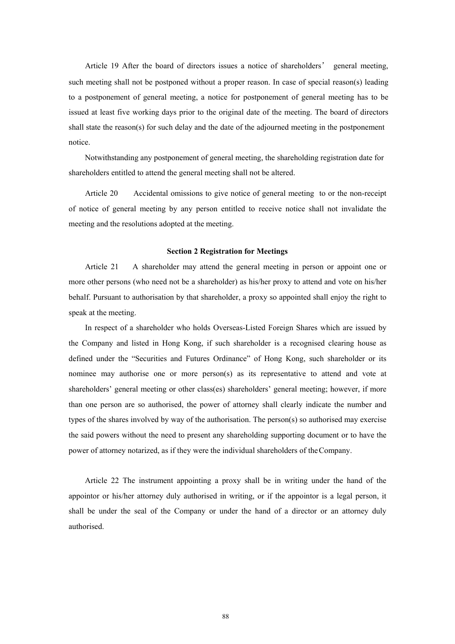Article 19 After the board of directors issues a notice of shareholders' general meeting, such meeting shall not be postponed without a proper reason. In case of special reason(s) leading to a postponement of general meeting, a notice for postponement of general meeting has to be issued at least five working days prior to the original date of the meeting. The board of directors shall state the reason(s) for such delay and the date of the adjourned meeting in the postponement notice.

Notwithstanding any postponement of general meeting, the shareholding registration date for shareholders entitled to attend the general meeting shall not be altered.

Article 20 Accidental omissions to give notice of general meeting to or the non-receipt of notice of general meeting by any person entitled to receive notice shall not invalidate the meeting and the resolutions adopted at the meeting.

#### **Section 2 Registration for Meetings**

Article 21 A shareholder may attend the general meeting in person or appoint one or more other persons (who need not be a shareholder) as his/her proxy to attend and vote on his/her behalf. Pursuant to authorisation by that shareholder, a proxy so appointed shall enjoy the right to speak at the meeting.

In respect of a shareholder who holds Overseas-Listed Foreign Shares which are issued by the Company and listed in Hong Kong, if such shareholder is a recognised clearing house as defined under the "Securities and Futures Ordinance" of Hong Kong, such shareholder or its nominee may authorise one or more person(s) as its representative to attend and vote at shareholders' general meeting or other class(es) shareholders' general meeting; however, if more than one person are so authorised, the power of attorney shall clearly indicate the number and types of the shares involved by way of the authorisation. The person(s) so authorised may exercise the said powers without the need to present any shareholding supporting document or to have the power of attorney notarized, as if they were the individual shareholders of the Company.

Article 22 The instrument appointing a proxy shall be in writing under the hand of the appointor or his/her attorney duly authorised in writing, or if the appointor is a legal person, it shall be under the seal of the Company or under the hand of a director or an attorney duly authorised.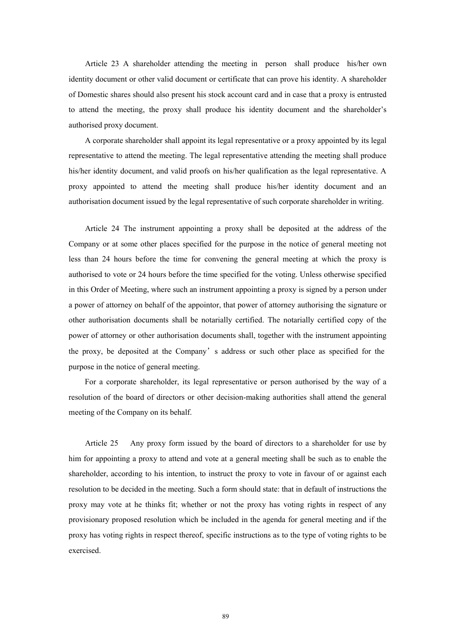Article 23 A shareholder attending the meeting in person shall produce his/her own identity document or other valid document or certificate that can prove his identity. A shareholder of Domestic shares should also present his stock account card and in case that a proxy is entrusted to attend the meeting, the proxy shall produce his identity document and the shareholder's authorised proxy document.

A corporate shareholder shall appoint its legal representative or a proxy appointed by its legal representative to attend the meeting. The legal representative attending the meeting shall produce his/her identity document, and valid proofs on his/her qualification as the legal representative. A proxy appointed to attend the meeting shall produce his/her identity document and an authorisation document issued by the legal representative of such corporate shareholder in writing.

Article 24 The instrument appointing a proxy shall be deposited at the address of the Company or at some other places specified for the purpose in the notice of general meeting not less than 24 hours before the time for convening the general meeting at which the proxy is authorised to vote or 24 hours before the time specified for the voting. Unless otherwise specified in this Order of Meeting, where such an instrument appointing a proxy is signed by a person under a power of attorney on behalf of the appointor, that power of attorney authorising the signature or other authorisation documents shall be notarially certified. The notarially certified copy of the power of attorney or other authorisation documents shall, together with the instrument appointing the proxy, be deposited at the Company's address or such other place as specified for the purpose in the notice of general meeting.

For a corporate shareholder, its legal representative or person authorised by the way of a resolution of the board of directors or other decision-making authorities shall attend the general meeting of the Company on its behalf.

Article 25 Any proxy form issued by the board of directors to a shareholder for use by him for appointing a proxy to attend and vote at a general meeting shall be such as to enable the shareholder, according to his intention, to instruct the proxy to vote in favour of or against each resolution to be decided in the meeting. Such a form should state: that in default of instructions the proxy may vote at he thinks fit; whether or not the proxy has voting rights in respect of any provisionary proposed resolution which be included in the agenda for general meeting and if the proxy has voting rights in respect thereof, specific instructions as to the type of voting rights to be exercised.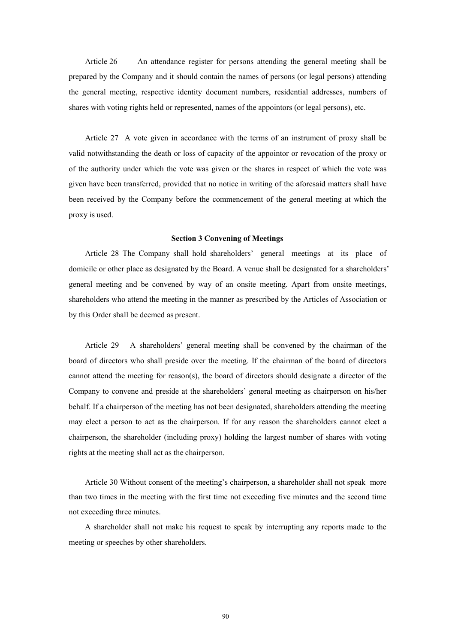Article 26 An attendance register for persons attending the general meeting shall be prepared by the Company and it should contain the names of persons (or legal persons) attending the general meeting, respective identity document numbers, residential addresses, numbers of shares with voting rights held or represented, names of the appointors (or legal persons), etc.

Article 27 A vote given in accordance with the terms of an instrument of proxy shall be valid notwithstanding the death or loss of capacity of the appointor or revocation of the proxy or of the authority under which the vote was given or the shares in respect of which the vote was given have been transferred, provided that no notice in writing of the aforesaid matters shall have been received by the Company before the commencement of the general meeting at which the proxy is used.

#### **Section 3 Convening of Meetings**

Article 28 The Company shall hold shareholders' general meetings at its place of domicile or other place as designated by the Board. A venue shall be designated for a shareholders' general meeting and be convened by way of an onsite meeting. Apart from onsite meetings, shareholders who attend the meeting in the manner as prescribed by the Articles of Association or by this Order shall be deemed as present.

Article 29 A shareholders' general meeting shall be convened by the chairman of the board of directors who shall preside over the meeting. If the chairman of the board of directors cannot attend the meeting for reason(s), the board of directors should designate a director of the Company to convene and preside at the shareholders' general meeting as chairperson on his/her behalf. If a chairperson of the meeting has not been designated, shareholders attending the meeting may elect a person to act as the chairperson. If for any reason the shareholders cannot elect a chairperson, the shareholder (including proxy) holding the largest number of shares with voting rights at the meeting shall act as the chairperson.

Article 30 Without consent of the meeting's chairperson, a shareholder shall not speak more than two times in the meeting with the first time not exceeding five minutes and the second time not exceeding three minutes.

A shareholder shall not make his request to speak by interrupting any reports made to the meeting or speeches by other shareholders.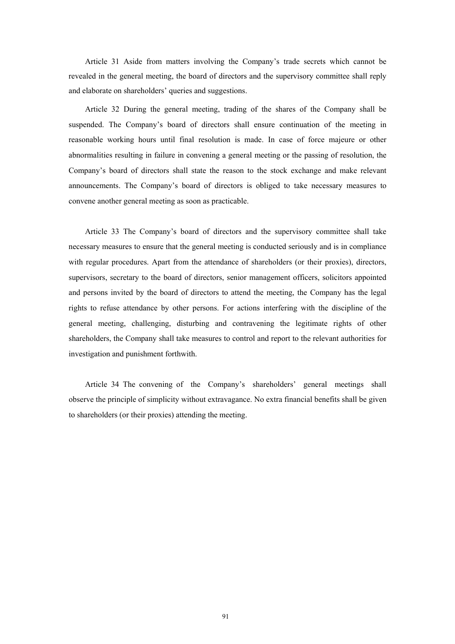Article 31 Aside from matters involving the Company's trade secrets which cannot be revealed in the general meeting, the board of directors and the supervisory committee shall reply and elaborate on shareholders' queries and suggestions.

Article 32 During the general meeting, trading of the shares of the Company shall be suspended. The Company's board of directors shall ensure continuation of the meeting in reasonable working hours until final resolution is made. In case of force majeure or other abnormalities resulting in failure in convening a general meeting or the passing of resolution, the Company's board of directors shall state the reason to the stock exchange and make relevant announcements. The Company's board of directors is obliged to take necessary measures to convene another general meeting as soon as practicable.

Article 33 The Company's board of directors and the supervisory committee shall take necessary measures to ensure that the general meeting is conducted seriously and is in compliance with regular procedures. Apart from the attendance of shareholders (or their proxies), directors, supervisors, secretary to the board of directors, senior management officers, solicitors appointed and persons invited by the board of directors to attend the meeting, the Company has the legal rights to refuse attendance by other persons. For actions interfering with the discipline of the general meeting, challenging, disturbing and contravening the legitimate rights of other shareholders, the Company shall take measures to control and report to the relevant authorities for investigation and punishment forthwith.

Article 34 The convening of the Company's shareholders' general meetings shall observe the principle of simplicity without extravagance. No extra financial benefits shall be given to shareholders (or their proxies) attending the meeting.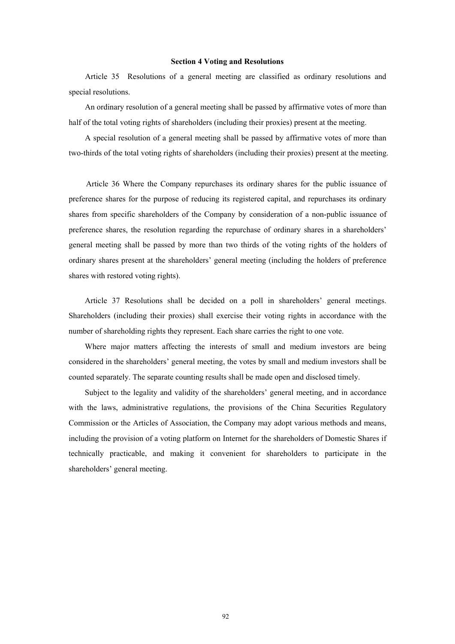## **Section 4 Voting and Resolutions**

Article 35 Resolutions of a general meeting are classified as ordinary resolutions and special resolutions.

An ordinary resolution of a general meeting shall be passed by affirmative votes of more than half of the total voting rights of shareholders (including their proxies) present at the meeting.

A special resolution of a general meeting shall be passed by affirmative votes of more than two-thirds of the total voting rights of shareholders (including their proxies) present at the meeting.

Article 36 Where the Company repurchases its ordinary shares for the public issuance of preference shares for the purpose of reducing its registered capital, and repurchases its ordinary shares from specific shareholders of the Company by consideration of a non-public issuance of preference shares, the resolution regarding the repurchase of ordinary shares in a shareholders' general meeting shall be passed by more than two thirds of the voting rights of the holders of ordinary shares present at the shareholders' general meeting (including the holders of preference shares with restored voting rights).

Article 37 Resolutions shall be decided on a poll in shareholders' general meetings. Shareholders (including their proxies) shall exercise their voting rights in accordance with the number of shareholding rights they represent. Each share carries the right to one vote.

Where major matters affecting the interests of small and medium investors are being considered in the shareholders' general meeting, the votes by small and medium investors shall be counted separately. The separate counting results shall be made open and disclosed timely.

Subject to the legality and validity of the shareholders' general meeting, and in accordance with the laws, administrative regulations, the provisions of the China Securities Regulatory Commission or the Articles of Association, the Company may adopt various methods and means, including the provision of a voting platform on Internet for the shareholders of Domestic Shares if technically practicable, and making it convenient for shareholders to participate in the shareholders' general meeting.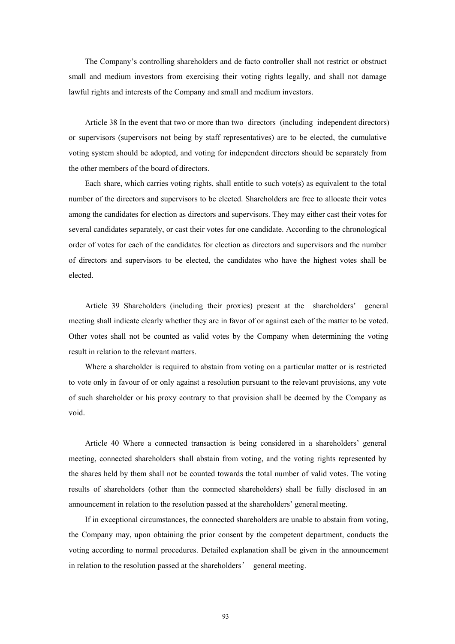The Company's controlling shareholders and de facto controller shall not restrict or obstruct small and medium investors from exercising their voting rights legally, and shall not damage lawful rights and interests of the Company and small and medium investors.

Article 38 In the event that two or more than two directors (including independent directors) or supervisors (supervisors not being by staff representatives) are to be elected, the cumulative voting system should be adopted, and voting for independent directors should be separately from the other members of the board of directors.

Each share, which carries voting rights, shall entitle to such vote(s) as equivalent to the total number of the directors and supervisors to be elected. Shareholders are free to allocate their votes among the candidates for election as directors and supervisors. They may either cast their votes for several candidates separately, or cast their votes for one candidate. According to the chronological order of votes for each of the candidates for election as directors and supervisors and the number of directors and supervisors to be elected, the candidates who have the highest votes shall be elected.

Article 39 Shareholders (including their proxies) present at the shareholders' general meeting shall indicate clearly whether they are in favor of or against each of the matter to be voted. Other votes shall not be counted as valid votes by the Company when determining the voting result in relation to the relevant matters.

Where a shareholder is required to abstain from voting on a particular matter or is restricted to vote only in favour of or only against a resolution pursuant to the relevant provisions, any vote of such shareholder or his proxy contrary to that provision shall be deemed by the Company as void.

Article 40 Where a connected transaction is being considered in a shareholders' general meeting, connected shareholders shall abstain from voting, and the voting rights represented by the shares held by them shall not be counted towards the total number of valid votes. The voting results of shareholders (other than the connected shareholders) shall be fully disclosed in an announcement in relation to the resolution passed at the shareholders' general meeting.

If in exceptional circumstances, the connected shareholders are unable to abstain from voting, the Company may, upon obtaining the prior consent by the competent department, conducts the voting according to normal procedures. Detailed explanation shall be given in the announcement in relation to the resolution passed at the shareholders' general meeting.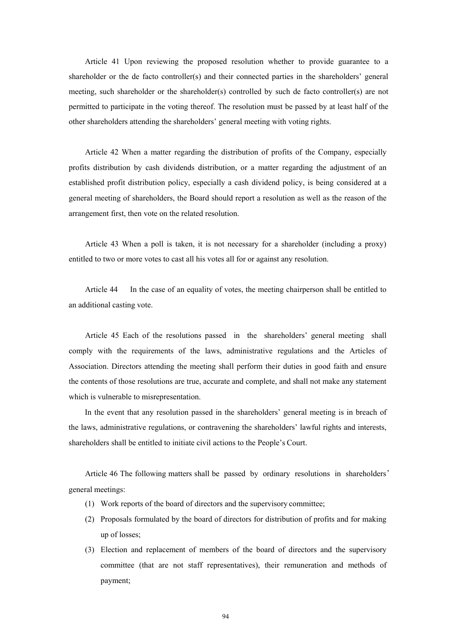Article 41 Upon reviewing the proposed resolution whether to provide guarantee to a shareholder or the de facto controller(s) and their connected parties in the shareholders' general meeting, such shareholder or the shareholder(s) controlled by such de facto controller(s) are not permitted to participate in the voting thereof. The resolution must be passed by at least half of the other shareholders attending the shareholders' general meeting with voting rights.

Article 42 When a matter regarding the distribution of profits of the Company, especially profits distribution by cash dividends distribution, or a matter regarding the adjustment of an established profit distribution policy, especially a cash dividend policy, is being considered at a general meeting of shareholders, the Board should report a resolution as well as the reason of the arrangement first, then vote on the related resolution.

Article 43 When a poll is taken, it is not necessary for a shareholder (including a proxy) entitled to two or more votes to cast all his votes all for or against any resolution.

Article 44 In the case of an equality of votes, the meeting chairperson shall be entitled to an additional casting vote.

Article 45 Each of the resolutions passed in the shareholders' general meeting shall comply with the requirements of the laws, administrative regulations and the Articles of Association. Directors attending the meeting shall perform their duties in good faith and ensure the contents of those resolutions are true, accurate and complete, and shall not make any statement which is vulnerable to misrepresentation.

In the event that any resolution passed in the shareholders' general meeting is in breach of the laws, administrative regulations, or contravening the shareholders' lawful rights and interests, shareholders shall be entitled to initiate civil actions to the People's Court.

Article 46 The following matters shall be passed by ordinary resolutions in shareholders' general meetings:

- (1) Work reports of the board of directors and the supervisory committee;
- (2) Proposals formulated by the board of directors for distribution of profits and for making up of losses;
- (3) Election and replacement of members of the board of directors and the supervisory committee (that are not staff representatives), their remuneration and methods of payment;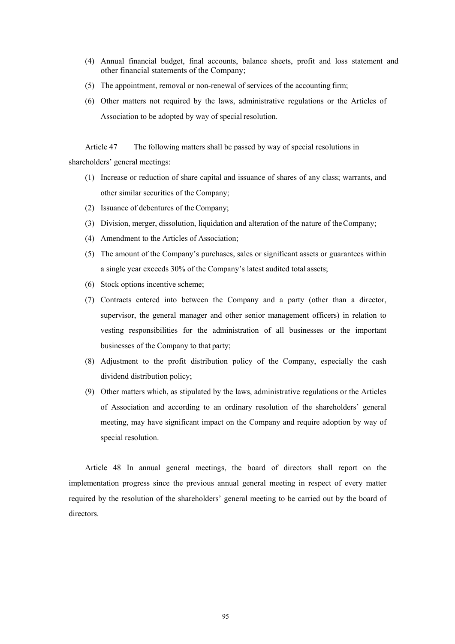- (4) Annual financial budget, final accounts, balance sheets, profit and loss statement and other financial statements of the Company;
- (5) The appointment, removal or non-renewal of services of the accounting firm;
- (6) Other matters not required by the laws, administrative regulations or the Articles of Association to be adopted by way of special resolution.

Article 47 The following matters shall be passed by way of special resolutions in shareholders' general meetings:

- (1) Increase or reduction of share capital and issuance of shares of any class; warrants, and other similar securities of the Company;
- (2) Issuance of debentures of the Company;
- (3) Division, merger, dissolution, liquidation and alteration of the nature of the Company;
- (4) Amendment to the Articles of Association;
- (5) The amount of the Company's purchases, sales or significant assets or guarantees within a single year exceeds 30% of the Company's latest audited total assets;
- (6) Stock options incentive scheme;
- (7) Contracts entered into between the Company and a party (other than a director, supervisor, the general manager and other senior management officers) in relation to vesting responsibilities for the administration of all businesses or the important businesses of the Company to that party;
- (8) Adjustment to the profit distribution policy of the Company, especially the cash dividend distribution policy;
- (9) Other matters which, as stipulated by the laws, administrative regulations or the Articles of Association and according to an ordinary resolution of the shareholders' general meeting, may have significant impact on the Company and require adoption by way of special resolution.

Article 48 In annual general meetings, the board of directors shall report on the implementation progress since the previous annual general meeting in respect of every matter required by the resolution of the shareholders' general meeting to be carried out by the board of directors.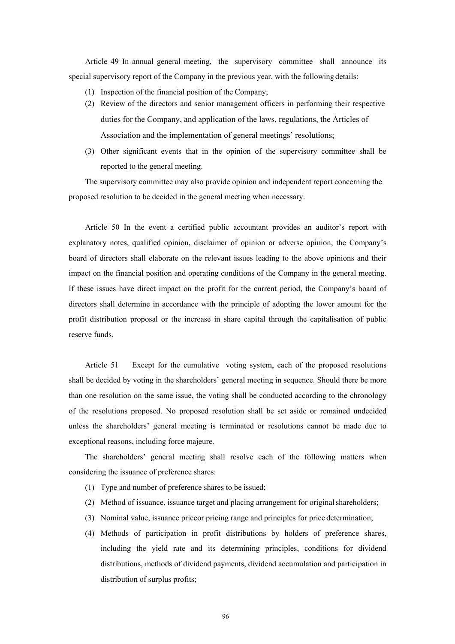Article 49 In annual general meeting, the supervisory committee shall announce its special supervisory report of the Company in the previous year, with the following details:

- (1) Inspection of the financial position of the Company;
- (2) Review of the directors and senior management officers in performing their respective duties for the Company, and application of the laws, regulations, the Articles of Association and the implementation of general meetings' resolutions;
- (3) Other significant events that in the opinion of the supervisory committee shall be reported to the general meeting.

The supervisory committee may also provide opinion and independent report concerning the proposed resolution to be decided in the general meeting when necessary.

Article 50 In the event a certified public accountant provides an auditor's report with explanatory notes, qualified opinion, disclaimer of opinion or adverse opinion, the Company's board of directors shall elaborate on the relevant issues leading to the above opinions and their impact on the financial position and operating conditions of the Company in the general meeting. If these issues have direct impact on the profit for the current period, the Company's board of directors shall determine in accordance with the principle of adopting the lower amount for the profit distribution proposal or the increase in share capital through the capitalisation of public reserve funds.

Article 51 Except for the cumulative voting system, each of the proposed resolutions shall be decided by voting in the shareholders' general meeting in sequence. Should there be more than one resolution on the same issue, the voting shall be conducted according to the chronology of the resolutions proposed. No proposed resolution shall be set aside or remained undecided unless the shareholders' general meeting is terminated or resolutions cannot be made due to exceptional reasons, including force majeure.

The shareholders' general meeting shall resolve each of the following matters when considering the issuance of preference shares:

- (1) Type and number of preference shares to be issued;
- (2) Method of issuance, issuance target and placing arrangement for original shareholders;
- (3) Nominal value, issuance priceor pricing range and principles for price determination;
- (4) Methods of participation in profit distributions by holders of preference shares, including the yield rate and its determining principles, conditions for dividend distributions, methods of dividend payments, dividend accumulation and participation in distribution of surplus profits;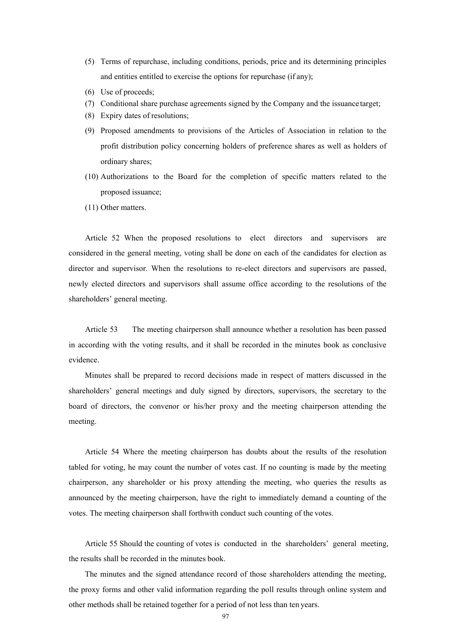- (5) Terms of repurchase, including conditions, periods, price and its determining principles and entities entitled to exercise the options for repurchase (if any);
- (6) Use of proceeds;
- (7) Conditional share purchase agreements signed by the Company and the issuance target;
- (8) Expiry dates of resolutions;
- (9) Proposed amendments to provisions of the Articles of Association in relation to the profit distribution policy concerning holders of preference shares as well as holders of ordinary shares;
- (10) Authorizations to the Board for the completion of specific matters related to the proposed issuance;
- (11) Other matters.

Article 52 When the proposed resolutions to elect directors and supervisors are considered in the general meeting, voting shall be done on each of the candidates for election as director and supervisor. When the resolutions to re-elect directors and supervisors are passed, newly elected directors and supervisors shall assume office according to the resolutions of the shareholders' general meeting.

Article 53 The meeting chairperson shall announce whether a resolution has been passed in according with the voting results, and it shall be recorded in the minutes book as conclusive evidence.

Minutes shall be prepared to record decisions made in respect of matters discussed in the shareholders' general meetings and duly signed by directors, supervisors, the secretary to the board of directors, the convenor or his/her proxy and the meeting chairperson attending the meeting.

Article 54 Where the meeting chairperson has doubts about the results of the resolution tabled for voting, he may count the number of votes cast. If no counting is made by the meeting chairperson, any shareholder or his proxy attending the meeting, who queries the results as announced by the meeting chairperson, have the right to immediately demand a counting of the votes. The meeting chairperson shall forthwith conduct such counting of the votes.

Article 55 Should the counting of votes is conducted in the shareholders' general meeting, the results shall be recorded in the minutes book.

The minutes and the signed attendance record of those shareholders attending the meeting, the proxy forms and other valid information regarding the poll results through online system and other methods shall be retained together for a period of not less than ten years.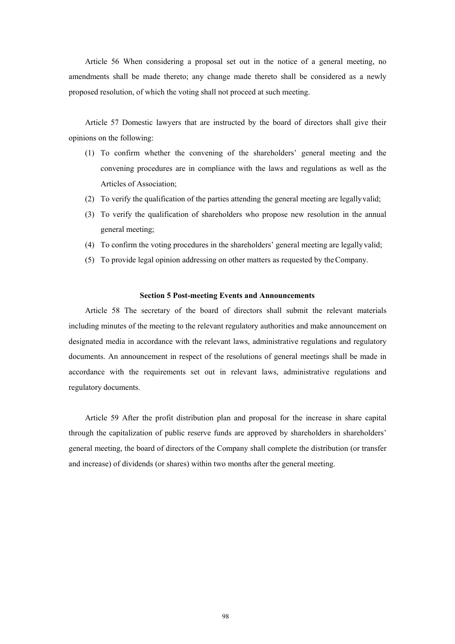Article 56 When considering a proposal set out in the notice of a general meeting, no amendments shall be made thereto; any change made thereto shall be considered as a newly proposed resolution, of which the voting shall not proceed at such meeting.

Article 57 Domestic lawyers that are instructed by the board of directors shall give their opinions on the following:

- (1) To confirm whether the convening of the shareholders' general meeting and the convening procedures are in compliance with the laws and regulations as well as the Articles of Association;
- (2) To verify the qualification of the parties attending the general meeting are legally valid;
- (3) To verify the qualification of shareholders who propose new resolution in the annual general meeting;
- (4) To confirm the voting procedures in the shareholders' general meeting are legally valid;
- (5) To provide legal opinion addressing on other matters as requested by the Company.

#### **Section 5 Post-meeting Events and Announcements**

Article 58 The secretary of the board of directors shall submit the relevant materials including minutes of the meeting to the relevant regulatory authorities and make announcement on designated media in accordance with the relevant laws, administrative regulations and regulatory documents. An announcement in respect of the resolutions of general meetings shall be made in accordance with the requirements set out in relevant laws, administrative regulations and regulatory documents.

Article 59 After the profit distribution plan and proposal for the increase in share capital through the capitalization of public reserve funds are approved by shareholders in shareholders' general meeting, the board of directors of the Company shall complete the distribution (or transfer and increase) of dividends (or shares) within two months after the general meeting.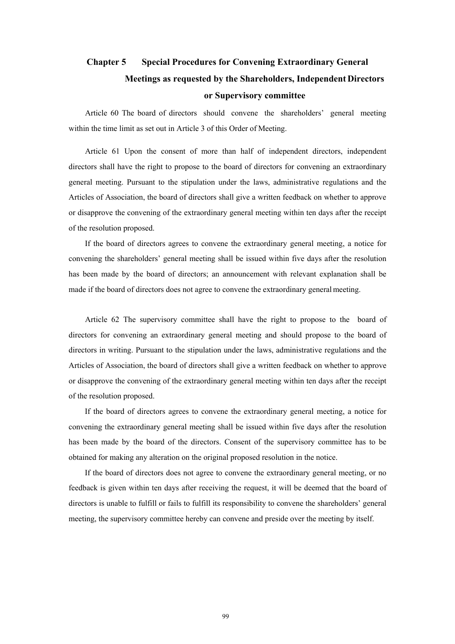# **Chapter 5 Special Procedures for Convening Extraordinary General Meetings as requested by the Shareholders, Independent Directors or Supervisory committee**

Article 60 The board of directors should convene the shareholders' general meeting within the time limit as set out in Article 3 of this Order of Meeting.

Article 61 Upon the consent of more than half of independent directors, independent directors shall have the right to propose to the board of directors for convening an extraordinary general meeting. Pursuant to the stipulation under the laws, administrative regulations and the Articles of Association, the board of directors shall give a written feedback on whether to approve or disapprove the convening of the extraordinary general meeting within ten days after the receipt of the resolution proposed.

If the board of directors agrees to convene the extraordinary general meeting, a notice for convening the shareholders' general meeting shall be issued within five days after the resolution has been made by the board of directors; an announcement with relevant explanation shall be made if the board of directors does not agree to convene the extraordinary general meeting.

Article 62 The supervisory committee shall have the right to propose to the board of directors for convening an extraordinary general meeting and should propose to the board of directors in writing. Pursuant to the stipulation under the laws, administrative regulations and the Articles of Association, the board of directors shall give a written feedback on whether to approve or disapprove the convening of the extraordinary general meeting within ten days after the receipt of the resolution proposed.

If the board of directors agrees to convene the extraordinary general meeting, a notice for convening the extraordinary general meeting shall be issued within five days after the resolution has been made by the board of the directors. Consent of the supervisory committee has to be obtained for making any alteration on the original proposed resolution in the notice.

If the board of directors does not agree to convene the extraordinary general meeting, or no feedback is given within ten days after receiving the request, it will be deemed that the board of directors is unable to fulfill or fails to fulfill its responsibility to convene the shareholders' general meeting, the supervisory committee hereby can convene and preside over the meeting by itself.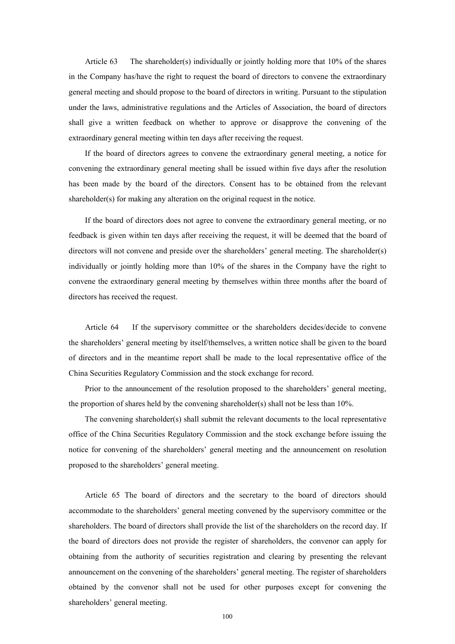Article 63 The shareholder(s) individually or jointly holding more that 10% of the shares in the Company has/have the right to request the board of directors to convene the extraordinary general meeting and should propose to the board of directors in writing. Pursuant to the stipulation under the laws, administrative regulations and the Articles of Association, the board of directors shall give a written feedback on whether to approve or disapprove the convening of the extraordinary general meeting within ten days after receiving the request.

If the board of directors agrees to convene the extraordinary general meeting, a notice for convening the extraordinary general meeting shall be issued within five days after the resolution has been made by the board of the directors. Consent has to be obtained from the relevant shareholder(s) for making any alteration on the original request in the notice.

If the board of directors does not agree to convene the extraordinary general meeting, or no feedback is given within ten days after receiving the request, it will be deemed that the board of directors will not convene and preside over the shareholders' general meeting. The shareholder(s) individually or jointly holding more than 10% of the shares in the Company have the right to convene the extraordinary general meeting by themselves within three months after the board of directors has received the request.

Article 64 If the supervisory committee or the shareholders decides/decide to convene the shareholders' general meeting by itself/themselves, a written notice shall be given to the board of directors and in the meantime report shall be made to the local representative office of the China Securities Regulatory Commission and the stock exchange for record.

Prior to the announcement of the resolution proposed to the shareholders' general meeting, the proportion of shares held by the convening shareholder(s) shall not be less than 10%.

The convening shareholder(s) shall submit the relevant documents to the local representative office of the China Securities Regulatory Commission and the stock exchange before issuing the notice for convening of the shareholders' general meeting and the announcement on resolution proposed to the shareholders' general meeting.

Article 65 The board of directors and the secretary to the board of directors should accommodate to the shareholders' general meeting convened by the supervisory committee or the shareholders. The board of directors shall provide the list of the shareholders on the record day. If the board of directors does not provide the register of shareholders, the convenor can apply for obtaining from the authority of securities registration and clearing by presenting the relevant announcement on the convening of the shareholders' general meeting. The register of shareholders obtained by the convenor shall not be used for other purposes except for convening the shareholders' general meeting.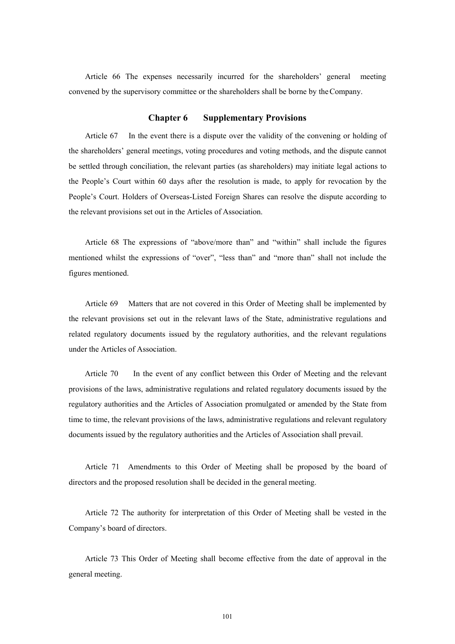Article 66 The expenses necessarily incurred for the shareholders' general meeting convened by the supervisory committee or the shareholders shall be borne by the Company.

#### **Chapter 6 Supplementary Provisions**

Article 67 In the event there is a dispute over the validity of the convening or holding of the shareholders' general meetings, voting procedures and voting methods, and the dispute cannot be settled through conciliation, the relevant parties (as shareholders) may initiate legal actions to the People's Court within 60 days after the resolution is made, to apply for revocation by the People's Court. Holders of Overseas-Listed Foreign Shares can resolve the dispute according to the relevant provisions set out in the Articles of Association.

Article 68 The expressions of "above/more than" and "within" shall include the figures mentioned whilst the expressions of "over", "less than" and "more than" shall not include the figures mentioned.

Article 69 Matters that are not covered in this Order of Meeting shall be implemented by the relevant provisions set out in the relevant laws of the State, administrative regulations and related regulatory documents issued by the regulatory authorities, and the relevant regulations under the Articles of Association.

Article 70 In the event of any conflict between this Order of Meeting and the relevant provisions of the laws, administrative regulations and related regulatory documents issued by the regulatory authorities and the Articles of Association promulgated or amended by the State from time to time, the relevant provisions of the laws, administrative regulations and relevant regulatory documents issued by the regulatory authorities and the Articles of Association shall prevail.

Article 71 Amendments to this Order of Meeting shall be proposed by the board of directors and the proposed resolution shall be decided in the general meeting.

Article 72 The authority for interpretation of this Order of Meeting shall be vested in the Company's board of directors.

Article 73 This Order of Meeting shall become effective from the date of approval in the general meeting.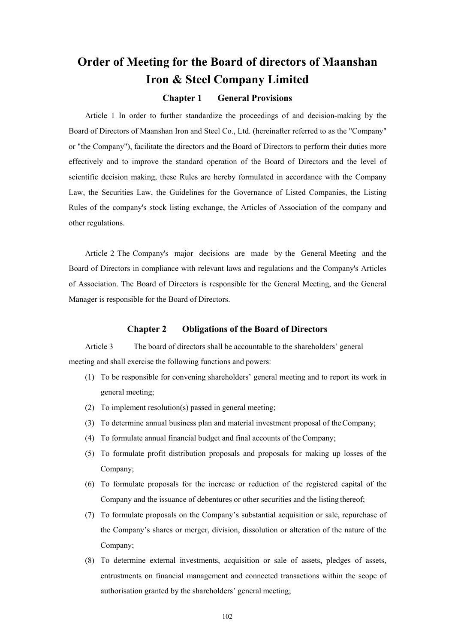# **Order of Meeting for the Board of directors of Maanshan Iron & Steel Company Limited**

#### **Chapter 1 General Provisions**

Article 1 In order to further standardize the proceedings of and decision-making by the Board of Directors of Maanshan Iron and Steel Co., Ltd. (hereinafter referred to as the "Company" or "the Company"), facilitate the directors and the Board of Directors to perform their duties more effectively and to improve the standard operation of the Board of Directors and the level of scientific decision making, these Rules are hereby formulated in accordance with the Company Law, the Securities Law, the Guidelines for the Governance of Listed Companies, the Listing Rules of the company's stock listing exchange, the Articles of Association of the company and other regulations.

Article 2 The Company's major decisions are made by the General Meeting and the Board of Directors in compliance with relevant laws and regulations and the Company's Articles of Association. The Board of Directors is responsible for the General Meeting, and the General Manager is responsible for the Board of Directors.

#### **Chapter 2 Obligations of the Board of Directors**

Article 3 The board of directors shall be accountable to the shareholders' general meeting and shall exercise the following functions and powers:

- (1) To be responsible for convening shareholders' general meeting and to report its work in general meeting;
- (2) To implement resolution(s) passed in general meeting;
- (3) To determine annual business plan and material investment proposal of the Company;
- (4) To formulate annual financial budget and final accounts of the Company;
- (5) To formulate profit distribution proposals and proposals for making up losses of the Company;
- (6) To formulate proposals for the increase or reduction of the registered capital of the Company and the issuance of debentures or other securities and the listing thereof;
- (7) To formulate proposals on the Company's substantial acquisition or sale, repurchase of the Company's shares or merger, division, dissolution or alteration of the nature of the Company;
- (8) To determine external investments, acquisition or sale of assets, pledges of assets, entrustments on financial management and connected transactions within the scope of authorisation granted by the shareholders' general meeting;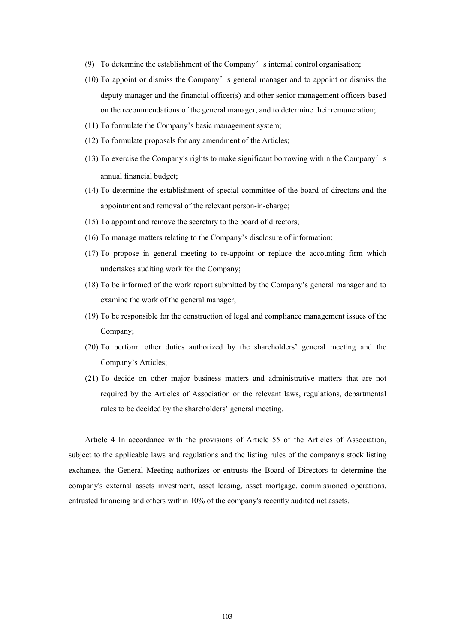- (9) To determine the establishment of the Company's internal control organisation;
- (10) To appoint or dismiss the Company's general manager and to appoint or dismiss the deputy manager and the financial officer(s) and other senior management officers based on the recommendations of the general manager, and to determine their remuneration;
- (11) To formulate the Company's basic management system;
- (12) To formulate proposals for any amendment of the Articles;
- (13) To exercise the Company's rights to make significant borrowing within the Company's annual financial budget;
- (14) To determine the establishment of special committee of the board of directors and the appointment and removal of the relevant person-in-charge;
- (15) To appoint and remove the secretary to the board of directors;
- (16) To manage matters relating to the Company's disclosure of information;
- (17) To propose in general meeting to re-appoint or replace the accounting firm which undertakes auditing work for the Company;
- (18) To be informed of the work report submitted by the Company's general manager and to examine the work of the general manager;
- (19) To be responsible for the construction of legal and compliance management issues of the Company;
- (20) To perform other duties authorized by the shareholders' general meeting and the Company's Articles;
- (21) To decide on other major business matters and administrative matters that are not required by the Articles of Association or the relevant laws, regulations, departmental rules to be decided by the shareholders' general meeting.

Article 4 In accordance with the provisions of Article 55 of the Articles of Association, subject to the applicable laws and regulations and the listing rules of the company's stock listing exchange, the General Meeting authorizes or entrusts the Board of Directors to determine the company's external assets investment, asset leasing, asset mortgage, commissioned operations, entrusted financing and others within 10% of the company's recently audited net assets.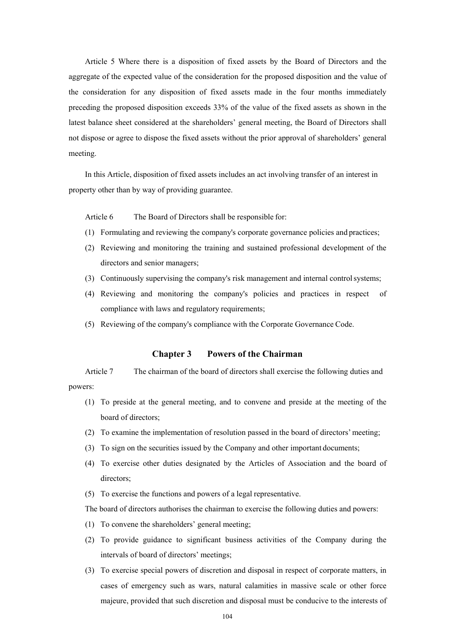Article 5 Where there is a disposition of fixed assets by the Board of Directors and the aggregate of the expected value of the consideration for the proposed disposition and the value of the consideration for any disposition of fixed assets made in the four months immediately preceding the proposed disposition exceeds 33% of the value of the fixed assets as shown in the latest balance sheet considered at the shareholders' general meeting, the Board of Directors shall not dispose or agree to dispose the fixed assets without the prior approval of shareholders' general meeting.

In this Article, disposition of fixed assets includes an act involving transfer of an interest in property other than by way of providing guarantee.

Article 6 The Board of Directors shall be responsible for:

- (1) Formulating and reviewing the company's corporate governance policies and practices;
- (2) Reviewing and monitoring the training and sustained professional development of the directors and senior managers;
- (3) Continuously supervising the company's risk management and internal control systems;
- (4) Reviewing and monitoring the company's policies and practices in respect of compliance with laws and regulatory requirements;
- (5) Reviewing of the company's compliance with the Corporate Governance Code.

### **Chapter 3 Powers of the Chairman**

Article 7 The chairman of the board of directors shall exercise the following duties and powers:

- (1) To preside at the general meeting, and to convene and preside at the meeting of the board of directors;
- (2) To examine the implementation of resolution passed in the board of directors' meeting;
- (3) To sign on the securities issued by the Company and other important documents;
- (4) To exercise other duties designated by the Articles of Association and the board of directors;
- (5) To exercise the functions and powers of a legal representative.

The board of directors authorises the chairman to exercise the following duties and powers:

- (1) To convene the shareholders' general meeting;
- (2) To provide guidance to significant business activities of the Company during the intervals of board of directors' meetings;
- (3) To exercise special powers of discretion and disposal in respect of corporate matters, in cases of emergency such as wars, natural calamities in massive scale or other force majeure, provided that such discretion and disposal must be conducive to the interests of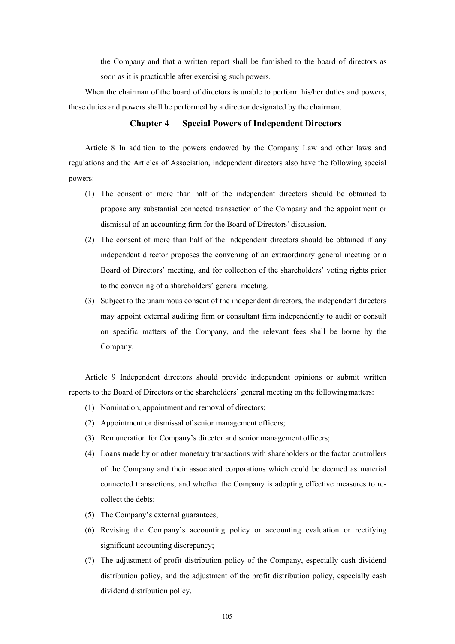the Company and that a written report shall be furnished to the board of directors as soon as it is practicable after exercising such powers.

When the chairman of the board of directors is unable to perform his/her duties and powers, these duties and powers shall be performed by a director designated by the chairman.

# **Chapter 4 Special Powers of Independent Directors**

Article 8 In addition to the powers endowed by the Company Law and other laws and regulations and the Articles of Association, independent directors also have the following special powers:

- (1) The consent of more than half of the independent directors should be obtained to propose any substantial connected transaction of the Company and the appointment or dismissal of an accounting firm for the Board of Directors' discussion.
- (2) The consent of more than half of the independent directors should be obtained if any independent director proposes the convening of an extraordinary general meeting or a Board of Directors' meeting, and for collection of the shareholders' voting rights prior to the convening of a shareholders' general meeting.
- (3) Subject to the unanimous consent of the independent directors, the independent directors may appoint external auditing firm or consultant firm independently to audit or consult on specific matters of the Company, and the relevant fees shall be borne by the Company.

Article 9 Independent directors should provide independent opinions or submit written reports to the Board of Directors or the shareholders' general meeting on the following matters:

- (1) Nomination, appointment and removal of directors;
- (2) Appointment or dismissal of senior management officers;
- (3) Remuneration for Company's director and senior management officers;
- (4) Loans made by or other monetary transactions with shareholders or the factor controllers of the Company and their associated corporations which could be deemed as material connected transactions, and whether the Company is adopting effective measures to recollect the debts;
- (5) The Company's external guarantees;
- (6) Revising the Company's accounting policy or accounting evaluation or rectifying significant accounting discrepancy;
- (7) The adjustment of profit distribution policy of the Company, especially cash dividend distribution policy, and the adjustment of the profit distribution policy, especially cash dividend distribution policy.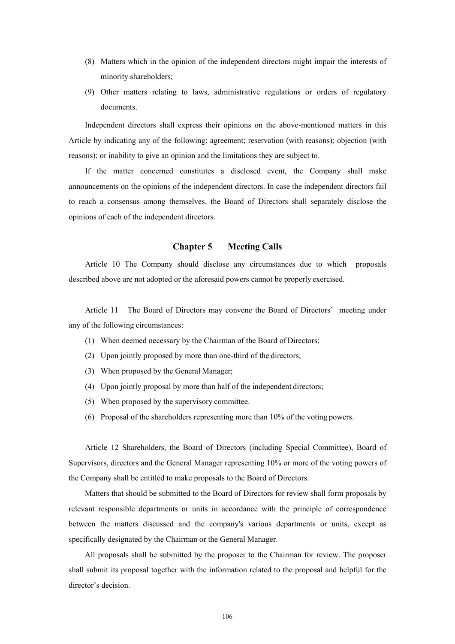- (8) Matters which in the opinion of the independent directors might impair the interests of minority shareholders;
- (9) Other matters relating to laws, administrative regulations or orders of regulatory documents.

Independent directors shall express their opinions on the above-mentioned matters in this Article by indicating any of the following: agreement; reservation (with reasons); objection (with reasons); or inability to give an opinion and the limitations they are subject to.

If the matter concerned constitutes a disclosed event, the Company shall make announcements on the opinions of the independent directors. In case the independent directors fail to reach a consensus among themselves, the Board of Directors shall separately disclose the opinions of each of the independent directors.

### **Chapter 5 Meeting Calls**

Article 10 The Company should disclose any circumstances due to which proposals described above are not adopted or the aforesaid powers cannot be properly exercised.

Article 11 The Board of Directors may convene the Board of Directors' meeting under any of the following circumstances:

- (1) When deemed necessary by the Chairman of the Board of Directors;
- (2) Upon jointly proposed by more than one-third of the directors;
- (3) When proposed by the General Manager;
- (4) Upon jointly proposal by more than half of the independent directors;
- (5) When proposed by the supervisory committee.
- (6) Proposal of the shareholders representing more than 10% of the voting powers.

Article 12 Shareholders, the Board of Directors (including Special Committee), Board of Supervisors, directors and the General Manager representing 10% or more of the voting powers of the Company shall be entitled to make proposals to the Board of Directors.

Matters that should be submitted to the Board of Directors for review shall form proposals by relevant responsible departments or units in accordance with the principle of correspondence between the matters discussed and the company's various departments or units, except as specifically designated by the Chairman or the General Manager.

All proposals shall be submitted by the proposer to the Chairman for review. The proposer shall submit its proposal together with the information related to the proposal and helpful for the director's decision.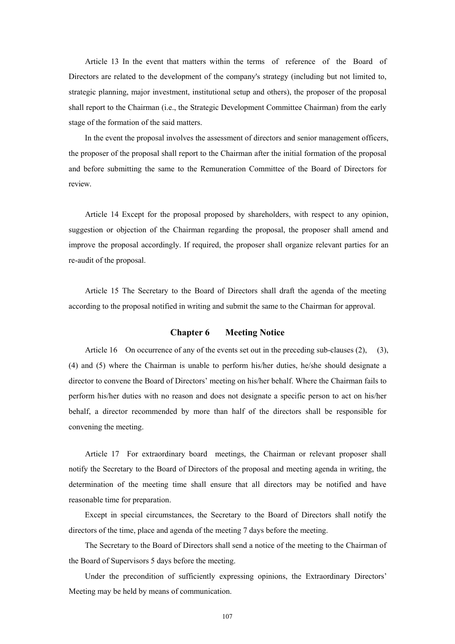Article 13 In the event that matters within the terms of reference of the Board of Directors are related to the development of the company's strategy (including but not limited to, strategic planning, major investment, institutional setup and others), the proposer of the proposal shall report to the Chairman (i.e., the Strategic Development Committee Chairman) from the early stage of the formation of the said matters.

In the event the proposal involves the assessment of directors and senior management officers, the proposer of the proposal shall report to the Chairman after the initial formation of the proposal and before submitting the same to the Remuneration Committee of the Board of Directors for review.

Article 14 Except for the proposal proposed by shareholders, with respect to any opinion, suggestion or objection of the Chairman regarding the proposal, the proposer shall amend and improve the proposal accordingly. If required, the proposer shall organize relevant parties for an re-audit of the proposal.

Article 15 The Secretary to the Board of Directors shall draft the agenda of the meeting according to the proposal notified in writing and submit the same to the Chairman for approval.

### **Chapter 6 Meeting Notice**

Article 16 On occurrence of any of the events set out in the preceding sub-clauses (2), (3), (4) and (5) where the Chairman is unable to perform his/her duties, he/she should designate a director to convene the Board of Directors' meeting on his/her behalf. Where the Chairman fails to perform his/her duties with no reason and does not designate a specific person to act on his/her behalf, a director recommended by more than half of the directors shall be responsible for convening the meeting.

Article 17 For extraordinary board meetings, the Chairman or relevant proposer shall notify the Secretary to the Board of Directors of the proposal and meeting agenda in writing, the determination of the meeting time shall ensure that all directors may be notified and have reasonable time for preparation.

Except in special circumstances, the Secretary to the Board of Directors shall notify the directors of the time, place and agenda of the meeting 7 days before the meeting.

The Secretary to the Board of Directors shall send a notice of the meeting to the Chairman of the Board of Supervisors 5 days before the meeting.

Under the precondition of sufficiently expressing opinions, the Extraordinary Directors' Meeting may be held by means of communication.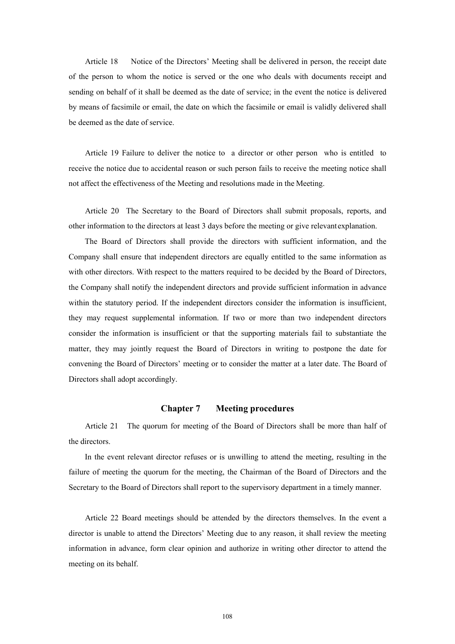Article 18 Notice of the Directors' Meeting shall be delivered in person, the receipt date of the person to whom the notice is served or the one who deals with documents receipt and sending on behalf of it shall be deemed as the date of service; in the event the notice is delivered by means of facsimile or email, the date on which the facsimile or email is validly delivered shall be deemed as the date of service.

Article 19 Failure to deliver the notice to a director or other person who is entitled to receive the notice due to accidental reason or such person fails to receive the meeting notice shall not affect the effectiveness of the Meeting and resolutions made in the Meeting.

Article 20 The Secretary to the Board of Directors shall submit proposals, reports, and other information to the directors at least 3 days before the meeting or give relevant explanation.

The Board of Directors shall provide the directors with sufficient information, and the Company shall ensure that independent directors are equally entitled to the same information as with other directors. With respect to the matters required to be decided by the Board of Directors, the Company shall notify the independent directors and provide sufficient information in advance within the statutory period. If the independent directors consider the information is insufficient, they may request supplemental information. If two or more than two independent directors consider the information is insufficient or that the supporting materials fail to substantiate the matter, they may jointly request the Board of Directors in writing to postpone the date for convening the Board of Directors' meeting or to consider the matter at a later date. The Board of Directors shall adopt accordingly.

## **Chapter 7 Meeting procedures**

Article 21 The quorum for meeting of the Board of Directors shall be more than half of the directors.

In the event relevant director refuses or is unwilling to attend the meeting, resulting in the failure of meeting the quorum for the meeting, the Chairman of the Board of Directors and the Secretary to the Board of Directors shall report to the supervisory department in a timely manner.

Article 22 Board meetings should be attended by the directors themselves. In the event a director is unable to attend the Directors' Meeting due to any reason, it shall review the meeting information in advance, form clear opinion and authorize in writing other director to attend the meeting on its behalf.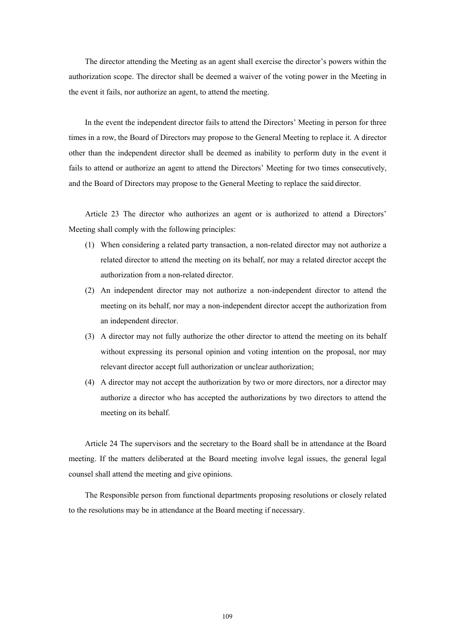The director attending the Meeting as an agent shall exercise the director's powers within the authorization scope. The director shall be deemed a waiver of the voting power in the Meeting in the event it fails, nor authorize an agent, to attend the meeting.

In the event the independent director fails to attend the Directors' Meeting in person for three times in a row, the Board of Directors may propose to the General Meeting to replace it. A director other than the independent director shall be deemed as inability to perform duty in the event it fails to attend or authorize an agent to attend the Directors' Meeting for two times consecutively, and the Board of Directors may propose to the General Meeting to replace the said director.

Article 23 The director who authorizes an agent or is authorized to attend a Directors' Meeting shall comply with the following principles:

- (1) When considering a related party transaction, a non-related director may not authorize a related director to attend the meeting on its behalf, nor may a related director accept the authorization from a non-related director.
- (2) An independent director may not authorize a non-independent director to attend the meeting on its behalf, nor may a non-independent director accept the authorization from an independent director.
- (3) A director may not fully authorize the other director to attend the meeting on its behalf without expressing its personal opinion and voting intention on the proposal, nor may relevant director accept full authorization or unclear authorization;
- (4) A director may not accept the authorization by two or more directors, nor a director may authorize a director who has accepted the authorizations by two directors to attend the meeting on its behalf.

Article 24 The supervisors and the secretary to the Board shall be in attendance at the Board meeting. If the matters deliberated at the Board meeting involve legal issues, the general legal counsel shall attend the meeting and give opinions.

The Responsible person from functional departments proposing resolutions or closely related to the resolutions may be in attendance at the Board meeting if necessary.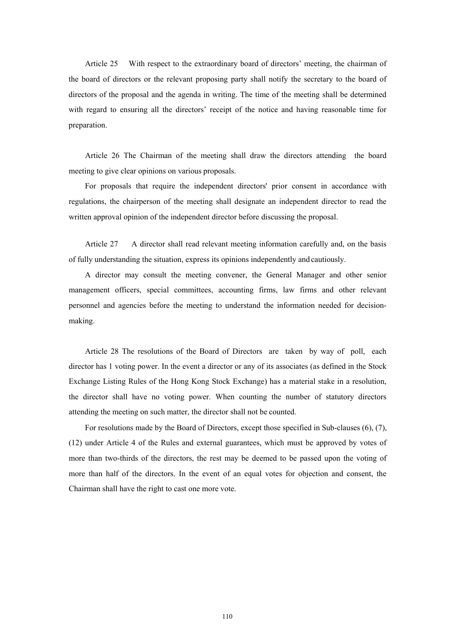Article 25 With respect to the extraordinary board of directors' meeting, the chairman of the board of directors or the relevant proposing party shall notify the secretary to the board of directors of the proposal and the agenda in writing. The time of the meeting shall be determined with regard to ensuring all the directors' receipt of the notice and having reasonable time for preparation.

Article 26 The Chairman of the meeting shall draw the directors attending the board meeting to give clear opinions on various proposals.

For proposals that require the independent directors' prior consent in accordance with regulations, the chairperson of the meeting shall designate an independent director to read the written approval opinion of the independent director before discussing the proposal.

Article 27 A director shall read relevant meeting information carefully and, on the basis of fully understanding the situation, express its opinions independently and cautiously.

A director may consult the meeting convener, the General Manager and other senior management officers, special committees, accounting firms, law firms and other relevant personnel and agencies before the meeting to understand the information needed for decisionmaking.

Article 28 The resolutions of the Board of Directors are taken by way of poll, each director has 1 voting power. In the event a director or any of its associates (as defined in the Stock Exchange Listing Rules of the Hong Kong Stock Exchange) has a material stake in a resolution, the director shall have no voting power. When counting the number of statutory directors attending the meeting on such matter, the director shall not be counted.

For resolutions made by the Board of Directors, except those specified in Sub-clauses (6), (7), (12) under Article 4 of the Rules and external guarantees, which must be approved by votes of more than two-thirds of the directors, the rest may be deemed to be passed upon the voting of more than half of the directors. In the event of an equal votes for objection and consent, the Chairman shall have the right to cast one more vote.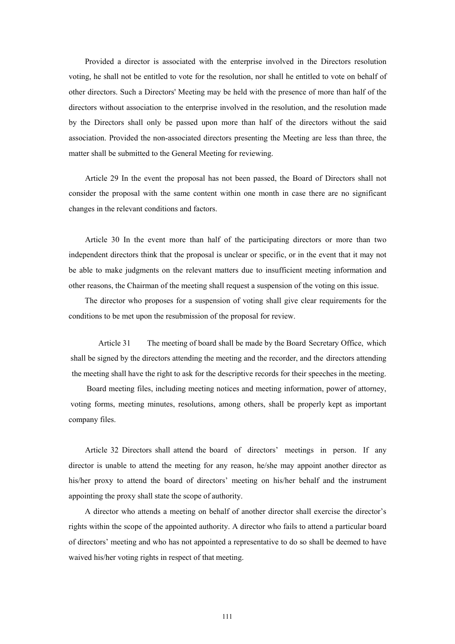Provided a director is associated with the enterprise involved in the Directors resolution voting, he shall not be entitled to vote for the resolution, nor shall he entitled to vote on behalf of other directors. Such a Directors' Meeting may be held with the presence of more than half of the directors without association to the enterprise involved in the resolution, and the resolution made by the Directors shall only be passed upon more than half of the directors without the said association. Provided the non-associated directors presenting the Meeting are less than three, the matter shall be submitted to the General Meeting for reviewing.

Article 29 In the event the proposal has not been passed, the Board of Directors shall not consider the proposal with the same content within one month in case there are no significant changes in the relevant conditions and factors.

Article 30 In the event more than half of the participating directors or more than two independent directors think that the proposal is unclear or specific, or in the event that it may not be able to make judgments on the relevant matters due to insufficient meeting information and other reasons, the Chairman of the meeting shall request a suspension of the voting on this issue.

The director who proposes for a suspension of voting shall give clear requirements for the conditions to be met upon the resubmission of the proposal for review.

Article 31 The meeting of board shall be made by the Board Secretary Office, which shall be signed by the directors attending the meeting and the recorder, and the directors attending the meeting shall have the right to ask for the descriptive records for their speeches in the meeting.

Board meeting files, including meeting notices and meeting information, power of attorney, voting forms, meeting minutes, resolutions, among others, shall be properly kept as important company files.

Article 32 Directors shall attend the board of directors' meetings in person. If any director is unable to attend the meeting for any reason, he/she may appoint another director as his/her proxy to attend the board of directors' meeting on his/her behalf and the instrument appointing the proxy shall state the scope of authority.

A director who attends a meeting on behalf of another director shall exercise the director's rights within the scope of the appointed authority. A director who fails to attend a particular board of directors' meeting and who has not appointed a representative to do so shall be deemed to have waived his/her voting rights in respect of that meeting.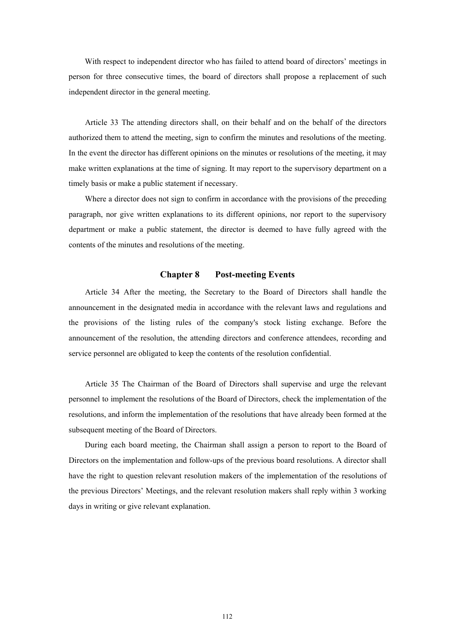With respect to independent director who has failed to attend board of directors' meetings in person for three consecutive times, the board of directors shall propose a replacement of such independent director in the general meeting.

Article 33 The attending directors shall, on their behalf and on the behalf of the directors authorized them to attend the meeting, sign to confirm the minutes and resolutions of the meeting. In the event the director has different opinions on the minutes or resolutions of the meeting, it may make written explanations at the time of signing. It may report to the supervisory department on a timely basis or make a public statement if necessary.

Where a director does not sign to confirm in accordance with the provisions of the preceding paragraph, nor give written explanations to its different opinions, nor report to the supervisory department or make a public statement, the director is deemed to have fully agreed with the contents of the minutes and resolutions of the meeting.

## **Chapter 8 Post-meeting Events**

Article 34 After the meeting, the Secretary to the Board of Directors shall handle the announcement in the designated media in accordance with the relevant laws and regulations and the provisions of the listing rules of the company's stock listing exchange. Before the announcement of the resolution, the attending directors and conference attendees, recording and service personnel are obligated to keep the contents of the resolution confidential.

Article 35 The Chairman of the Board of Directors shall supervise and urge the relevant personnel to implement the resolutions of the Board of Directors, check the implementation of the resolutions, and inform the implementation of the resolutions that have already been formed at the subsequent meeting of the Board of Directors.

During each board meeting, the Chairman shall assign a person to report to the Board of Directors on the implementation and follow-ups of the previous board resolutions. A director shall have the right to question relevant resolution makers of the implementation of the resolutions of the previous Directors' Meetings, and the relevant resolution makers shall reply within 3 working days in writing or give relevant explanation.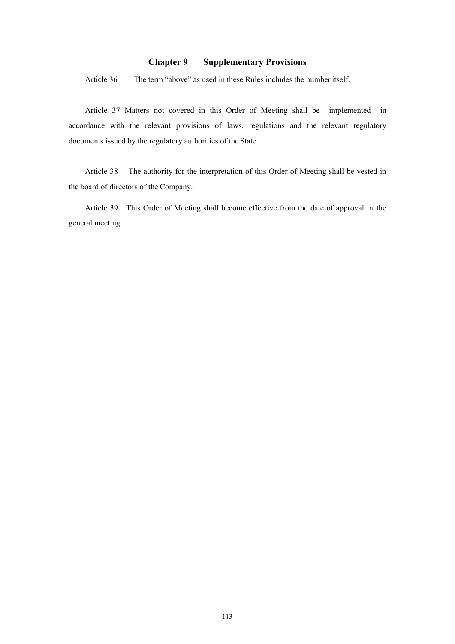## **Chapter 9 Supplementary Provisions**

Article 36 The term "above" as used in these Rules includes the number itself.

Article 37 Matters not covered in this Order of Meeting shall be implemented in accordance with the relevant provisions of laws, regulations and the relevant regulatory documents issued by the regulatory authorities of the State.

Article 38 The authority for the interpretation of this Order of Meeting shall be vested in the board of directors of the Company.

Article 39 This Order of Meeting shall become effective from the date of approval in the general meeting.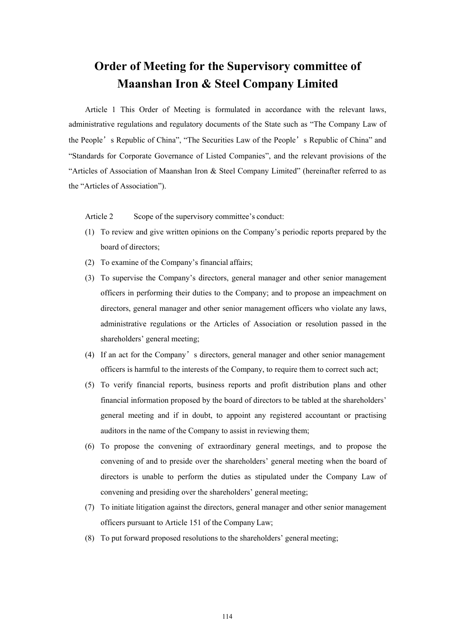## **Order of Meeting for the Supervisory committee of Maanshan Iron & Steel Company Limited**

Article 1 This Order of Meeting is formulated in accordance with the relevant laws, administrative regulations and regulatory documents of the State such as "The Company Law of the People's Republic of China", "The Securities Law of the People's Republic of China" and "Standards for Corporate Governance of Listed Companies", and the relevant provisions of the "Articles of Association of Maanshan Iron & Steel Company Limited" (hereinafter referred to as the "Articles of Association").

Article 2 Scope of the supervisory committee's conduct:

- (1) To review and give written opinions on the Company's periodic reports prepared by the board of directors;
- (2) To examine of the Company's financial affairs;
- (3) To supervise the Company's directors, general manager and other senior management officers in performing their duties to the Company; and to propose an impeachment on directors, general manager and other senior management officers who violate any laws, administrative regulations or the Articles of Association or resolution passed in the shareholders' general meeting;
- (4) If an act for the Company's directors, general manager and other senior management officers is harmful to the interests of the Company, to require them to correct such act;
- (5) To verify financial reports, business reports and profit distribution plans and other financial information proposed by the board of directors to be tabled at the shareholders' general meeting and if in doubt, to appoint any registered accountant or practising auditors in the name of the Company to assist in reviewing them;
- (6) To propose the convening of extraordinary general meetings, and to propose the convening of and to preside over the shareholders' general meeting when the board of directors is unable to perform the duties as stipulated under the Company Law of convening and presiding over the shareholders' general meeting;
- (7) To initiate litigation against the directors, general manager and other senior management officers pursuant to Article 151 of the Company Law;
- (8) To put forward proposed resolutions to the shareholders' general meeting;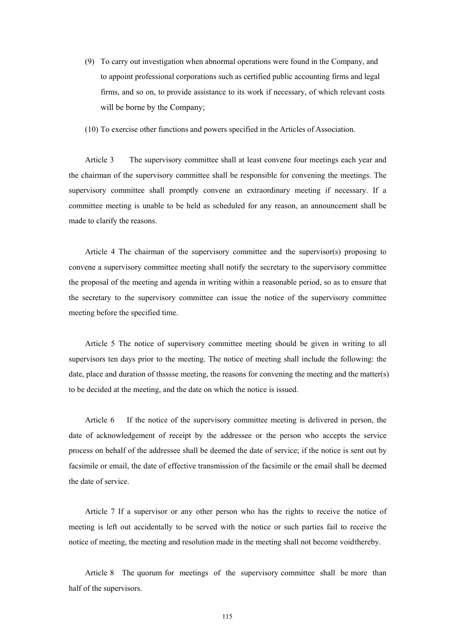(9) To carry out investigation when abnormal operations were found in the Company, and to appoint professional corporations such as certified public accounting firms and legal firms, and so on, to provide assistance to its work if necessary, of which relevant costs will be borne by the Company;

(10) To exercise other functions and powers specified in the Articles of Association.

Article 3 The supervisory committee shall at least convene four meetings each year and the chairman of the supervisory committee shall be responsible for convening the meetings. The supervisory committee shall promptly convene an extraordinary meeting if necessary. If a committee meeting is unable to be held as scheduled for any reason, an announcement shall be made to clarify the reasons.

Article 4 The chairman of the supervisory committee and the supervisor(s) proposing to convene a supervisory committee meeting shall notify the secretary to the supervisory committee the proposal of the meeting and agenda in writing within a reasonable period, so as to ensure that the secretary to the supervisory committee can issue the notice of the supervisory committee meeting before the specified time.

Article 5 The notice of supervisory committee meeting should be given in writing to all supervisors ten days prior to the meeting. The notice of meeting shall include the following: the date, place and duration of thsssse meeting, the reasons for convening the meeting and the matter(s) to be decided at the meeting, and the date on which the notice is issued.

Article 6 If the notice of the supervisory committee meeting is delivered in person, the date of acknowledgement of receipt by the addressee or the person who accepts the service process on behalf of the addressee shall be deemed the date of service; if the notice is sent out by facsimile or email, the date of effective transmission of the facsimile or the email shall be deemed the date of service.

Article 7 If a supervisor or any other person who has the rights to receive the notice of meeting is left out accidentally to be served with the notice or such parties fail to receive the notice of meeting, the meeting and resolution made in the meeting shall not become void thereby.

Article 8 The quorum for meetings of the supervisory committee shall be more than half of the supervisors.